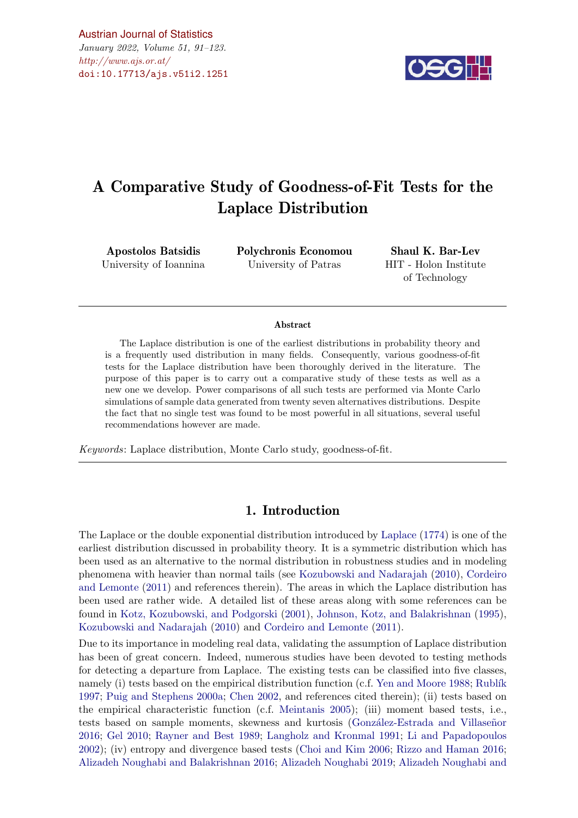$\#http://www.ajs.or.at/$  $\#http://www.ajs.or.at/$ [Austrian Journal of Statistics](http://www.ajs.or.at) January 2022, Volume 51, 91–123. [doi:10.17713/ajs.v51i2.1251](http://dx.doi.org/10.17713/ajs.v51i2.1251)



# A Comparative Study of Goodness-of-Fit Tests for the Laplace Distribution

Apostolos Batsidis University of Ioannina Polychronis Economou University of Patras

Shaul K. Bar-Lev HIT - Holon Institute of Technology

#### Abstract

The Laplace distribution is one of the earliest distributions in probability theory and is a frequently used distribution in many fields. Consequently, various goodness-of-fit tests for the Laplace distribution have been thoroughly derived in the literature. The purpose of this paper is to carry out a comparative study of these tests as well as a new one we develop. Power comparisons of all such tests are performed via Monte Carlo simulations of sample data generated from twenty seven alternatives distributions. Despite the fact that no single test was found to be most powerful in all situations, several useful recommendations however are made.

Keywords: Laplace distribution, Monte Carlo study, goodness-of-fit.

# 1. Introduction

The Laplace or the double exponential distribution introduced by [Laplace](#page-20-0) [\(1774\)](#page-20-0) is one of the earliest distribution discussed in probability theory. It is a symmetric distribution which has been used as an alternative to the normal distribution in robustness studies and in modeling phenomena with heavier than normal tails (see [Kozubowski and Nadarajah](#page-20-1) [\(2010\)](#page-20-1), [Cordeiro](#page-19-0) [and Lemonte](#page-19-0) [\(2011\)](#page-19-0) and references therein). The areas in which the Laplace distribution has been used are rather wide. A detailed list of these areas along with some references can be found in [Kotz, Kozubowski, and Podgorski](#page-20-2) [\(2001\)](#page-20-2), [Johnson, Kotz, and Balakrishnan](#page-19-1) [\(1995\)](#page-19-1), [Kozubowski and Nadarajah](#page-20-1) [\(2010\)](#page-20-1) and [Cordeiro and Lemonte](#page-19-0) [\(2011\)](#page-19-0).

Due to its importance in modeling real data, validating the assumption of Laplace distribution has been of great concern. Indeed, numerous studies have been devoted to testing methods for detecting a departure from Laplace. The existing tests can be classified into five classes, namely (i) tests based on the empirical distribution function (c.f. [Yen and Moore](#page-20-3) [1988;](#page-20-3) Rublík [1997;](#page-20-4) [Puig and Stephens](#page-20-5) [2000a;](#page-20-5) [Chen](#page-19-2) [2002,](#page-19-2) and references cited therein); (ii) tests based on the empirical characteristic function (c.f. [Meintanis](#page-20-6) [2005\)](#page-20-6); (iii) moment based tests, i.e., tests based on sample moments, skewness and kurtosis (González-Estrada and Villaseñor [2016;](#page-19-3) [Gel](#page-19-4) [2010;](#page-19-4) [Rayner and Best](#page-20-7) [1989;](#page-20-7) [Langholz and Kronmal](#page-20-8) [1991;](#page-20-8) [Li and Papadopoulos](#page-20-9) [2002\)](#page-20-9); (iv) entropy and divergence based tests [\(Choi and Kim](#page-19-5) [2006;](#page-19-5) [Rizzo and Haman](#page-20-10) [2016;](#page-20-10) [Alizadeh Noughabi and Balakrishnan](#page-19-6) [2016;](#page-19-6) [Alizadeh Noughabi](#page-19-7) [2019;](#page-19-7) [Alizadeh Noughabi and](#page-19-8)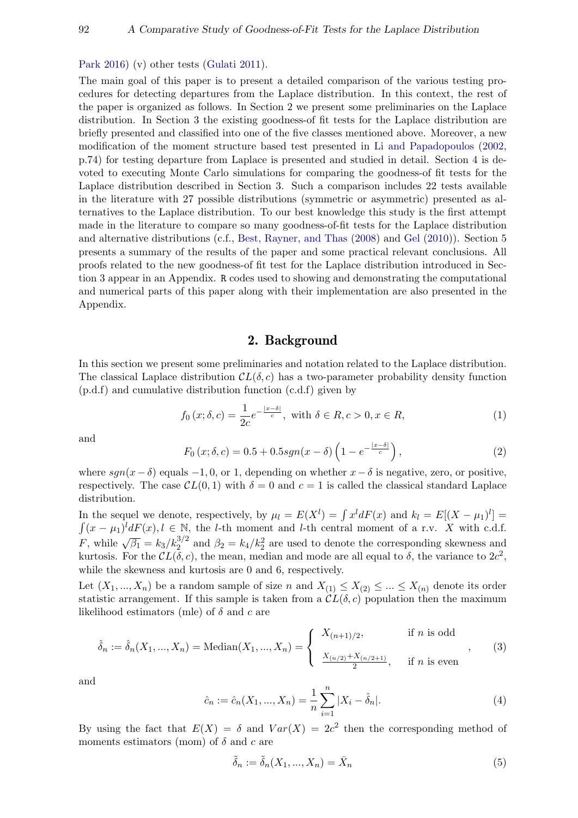[Park](#page-19-8) [2016\)](#page-19-8) (v) other tests [\(Gulati](#page-19-9) [2011\)](#page-19-9).

The main goal of this paper is to present a detailed comparison of the various testing procedures for detecting departures from the Laplace distribution. In this context, the rest of the paper is organized as follows. In Section 2 we present some preliminaries on the Laplace distribution. In Section 3 the existing goodness-of fit tests for the Laplace distribution are briefly presented and classified into one of the five classes mentioned above. Moreover, a new modification of the moment structure based test presented in [Li and Papadopoulos](#page-20-9) [\(2002,](#page-20-9) p.74) for testing departure from Laplace is presented and studied in detail. Section 4 is devoted to executing Monte Carlo simulations for comparing the goodness-of fit tests for the Laplace distribution described in Section 3. Such a comparison includes 22 tests available in the literature with 27 possible distributions (symmetric or asymmetric) presented as alternatives to the Laplace distribution. To our best knowledge this study is the first attempt made in the literature to compare so many goodness-of-fit tests for the Laplace distribution and alternative distributions (c.f., [Best, Rayner, and Thas](#page-19-10) [\(2008\)](#page-19-10) and [Gel](#page-19-4) [\(2010\)](#page-19-4)). Section 5 presents a summary of the results of the paper and some practical relevant conclusions. All proofs related to the new goodness-of fit test for the Laplace distribution introduced in Section 3 appear in an Appendix. R codes used to showing and demonstrating the computational and numerical parts of this paper along with their implementation are also presented in the Appendix.

# <span id="page-1-3"></span>2. Background

In this section we present some preliminaries and notation related to the Laplace distribution. The classical Laplace distribution  $CL(\delta, c)$  has a two-parameter probability density function (p.d.f) and cumulative distribution function (c.d.f) given by

$$
f_0(x; \delta, c) = \frac{1}{2c} e^{-\frac{|x-\delta|}{c}}, \text{ with } \delta \in R, c > 0, x \in R,
$$
 (1)

<span id="page-1-0"></span>and

$$
F_0(x; \delta, c) = 0.5 + 0.5 sgn(x - \delta) \left( 1 - e^{-\frac{|x - \delta|}{c}} \right),\tag{2}
$$

where  $sgn(x-\delta)$  equals -1, 0, or 1, depending on whether  $x-\delta$  is negative, zero, or positive, respectively. The case  $CL(0, 1)$  with  $\delta = 0$  and  $c = 1$  is called the classical standard Laplace distribution.

In the sequel we denote, respectively, by  $\mu_l = E(X^l) = \int x^l dF(x)$  and  $k_l = E[(X - \mu_1)^l] =$  $\int (x - \mu_1)^l dF(x)$ ,  $l \in \mathbb{N}$ , the *l*-th moment and *l*-th central moment of a r.v. X with c.d.f. F, while  $\sqrt{\beta_1} = k_3/k_2^{3/2}$  and  $\beta_2 = k_4/k_2^2$  are used to denote the corresponding skewness and kurtosis. For the  $CL(\delta, c)$ , the mean, median and mode are all equal to  $\delta$ , the variance to  $2c^2$ , while the skewness and kurtosis are 0 and 6, respectively.

Let  $(X_1, ..., X_n)$  be a random sample of size n and  $X_{(1)} \leq X_{(2)} \leq ... \leq X_{(n)}$  denote its order statistic arrangement. If this sample is taken from a  $CL(\delta, c)$  population then the maximum likelihood estimators (mle) of  $\delta$  and c are

$$
\hat{\delta}_n := \hat{\delta}_n(X_1, ..., X_n) = \text{Median}(X_1, ..., X_n) = \begin{cases} X_{(n+1)/2}, & \text{if } n \text{ is odd} \\ \frac{X_{(n/2)} + X_{(n/2+1)}}{2}, & \text{if } n \text{ is even} \end{cases},
$$
(3)

<span id="page-1-1"></span>and

<span id="page-1-2"></span>
$$
\hat{c}_n := \hat{c}_n(X_1, ..., X_n) = \frac{1}{n} \sum_{i=1}^n |X_i - \hat{\delta}_n|.
$$
\n(4)

By using the fact that  $E(X) = \delta$  and  $Var(X) = 2c^2$  then the corresponding method of moments estimators (mom) of  $\delta$  and c are

$$
\tilde{\delta}_n := \tilde{\delta}_n(X_1, ..., X_n) = \bar{X}_n \tag{5}
$$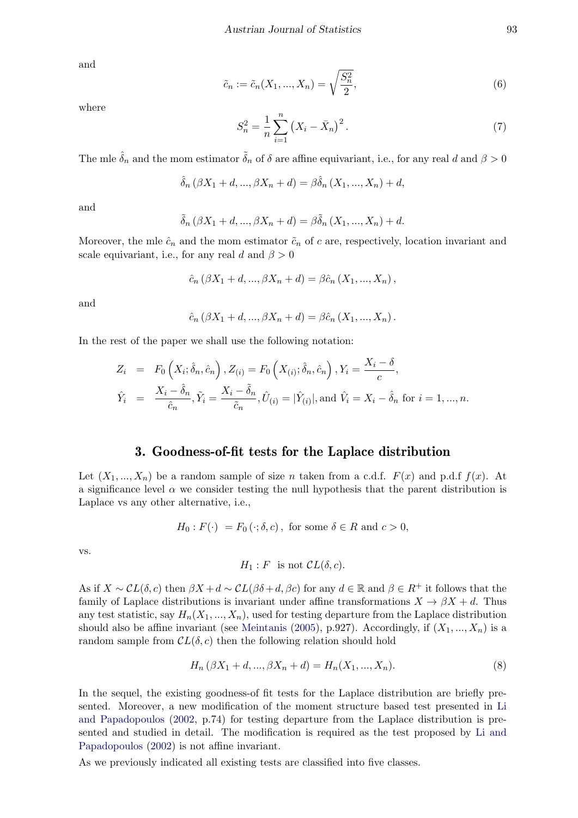and

$$
\tilde{c}_n := \tilde{c}_n(X_1, ..., X_n) = \sqrt{\frac{S_n^2}{2}},\tag{6}
$$

<span id="page-2-0"></span>where

$$
S_n^2 = \frac{1}{n} \sum_{i=1}^n (X_i - \bar{X}_n)^2.
$$
 (7)

The mle  $\delta_n$  and the mom estimator  $\delta_n$  of  $\delta$  are affine equivariant, i.e., for any real d and  $\beta > 0$ 

$$
\hat{\delta}_n (\beta X_1 + d, ..., \beta X_n + d) = \beta \hat{\delta}_n (X_1, ..., X_n) + d,
$$

and

$$
\tilde{\delta}_n(\beta X_1 + d, ..., \beta X_n + d) = \beta \tilde{\delta}_n(X_1, ..., X_n) + d.
$$

Moreover, the mle  $\hat{c}_n$  and the mom estimator  $\tilde{c}_n$  of c are, respectively, location invariant and scale equivariant, i.e., for any real d and  $\beta > 0$ 

$$
\hat{c}_n (\beta X_1 + d, ..., \beta X_n + d) = \beta \hat{c}_n (X_1, ..., X_n),
$$

and

$$
\hat{c}_n (\beta X_1 + d, ..., \beta X_n + d) = \beta \hat{c}_n (X_1, ..., X_n).
$$

In the rest of the paper we shall use the following notation:

$$
Z_i = F_0\left(X_i; \hat{\delta}_n, \hat{c}_n\right), Z_{(i)} = F_0\left(X_{(i)}; \hat{\delta}_n, \hat{c}_n\right), Y_i = \frac{X_i - \delta}{c},
$$
  

$$
\hat{Y}_i = \frac{X_i - \hat{\delta}_n}{\hat{c}_n}, \tilde{Y}_i = \frac{X_i - \tilde{\delta}_n}{\tilde{c}_n}, \tilde{U}_{(i)} = |\hat{Y}_{(i)}|, \text{and } \hat{V}_i = X_i - \hat{\delta}_n \text{ for } i = 1, ..., n.
$$

# 3. Goodness-of-fit tests for the Laplace distribution

Let  $(X_1, ..., X_n)$  be a random sample of size n taken from a c.d.f.  $F(x)$  and p.d.f  $f(x)$ . At a significance level  $\alpha$  we consider testing the null hypothesis that the parent distribution is Laplace vs any other alternative, i.e.,

$$
H_0: F(\cdot) = F_0(\cdot; \delta, c), \text{ for some } \delta \in R \text{ and } c > 0,
$$

vs.

$$
H_1: F \text{ is not } CL(\delta, c).
$$

As if  $X \sim \mathcal{CL}(\delta, c)$  then  $\beta X + d \sim \mathcal{CL}(\beta \delta + d, \beta c)$  for any  $d \in \mathbb{R}$  and  $\beta \in R^+$  it follows that the family of Laplace distributions is invariant under affine transformations  $X \to \beta X + d$ . Thus any test statistic, say  $H_n(X_1, ..., X_n)$ , used for testing departure from the Laplace distribution should also be affine invariant (see [Meintanis](#page-20-6) [\(2005\)](#page-20-6), p.927). Accordingly, if  $(X_1, ..., X_n)$  is a random sample from  $CL(\delta, c)$  then the following relation should hold

$$
H_n(\beta X_1 + d, ..., \beta X_n + d) = H_n(X_1, ..., X_n).
$$
\n(8)

In the sequel, the existing goodness-of fit tests for the Laplace distribution are briefly presented. Moreover, a new modification of the moment structure based test presented in [Li](#page-20-9) [and Papadopoulos](#page-20-9) [\(2002,](#page-20-9) p.74) for testing departure from the Laplace distribution is presented and studied in detail. The modification is required as the test proposed by [Li and](#page-20-9) [Papadopoulos](#page-20-9) [\(2002\)](#page-20-9) is not affine invariant.

As we previously indicated all existing tests are classified into five classes.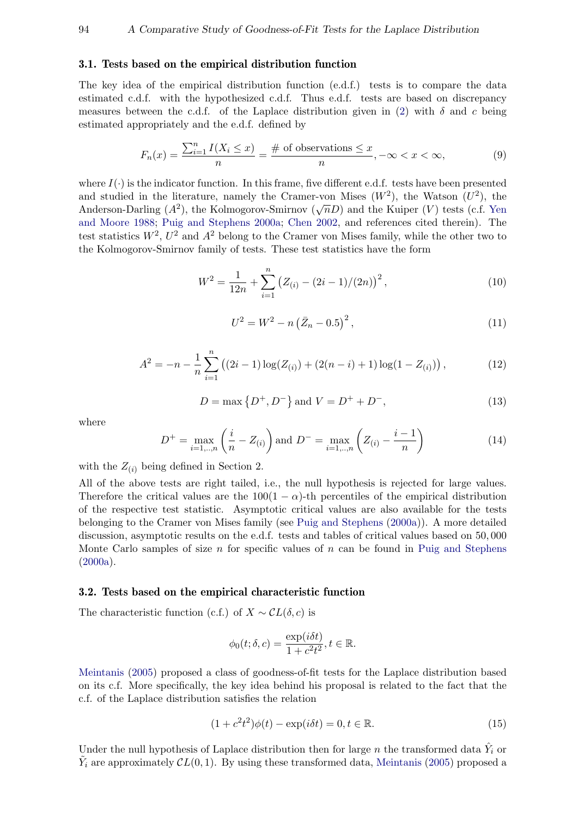### 3.1. Tests based on the empirical distribution function

The key idea of the empirical distribution function (e.d.f.) tests is to compare the data estimated c.d.f. with the hypothesized c.d.f. Thus e.d.f. tests are based on discrepancy measures between the c.d.f. of the Laplace distribution given in [\(2\)](#page-1-0) with  $\delta$  and c being estimated appropriately and the e.d.f. defined by

$$
F_n(x) = \frac{\sum_{i=1}^n I(X_i \le x)}{n} = \frac{\text{\# of observations}}{n} \le x, -\infty < x < \infty,\tag{9}
$$

where  $I(\cdot)$  is the indicator function. In this frame, five different e.d.f. tests have been presented and studied in the literature, namely the Cramer-von Mises  $(W^2)$ , the Watson  $(U^2)$ , the Anderson-Darling  $(A^2)$ , the Kolmogorov-Smirnov  $(\sqrt{n}D)$  and the Kuiper  $(V)$  tests (c.f. [Yen](#page-20-3) [and Moore](#page-20-3) [1988;](#page-20-3) [Puig and Stephens](#page-20-5) [2000a;](#page-20-5) [Chen](#page-19-2) [2002,](#page-19-2) and references cited therein). The test statistics  $W^2$ ,  $U^2$  and  $A^2$  belong to the Cramer von Mises family, while the other two to the Kolmogorov-Smirnov family of tests. These test statistics have the form

$$
W^{2} = \frac{1}{12n} + \sum_{i=1}^{n} (Z_{(i)} - (2i - 1)/(2n))^{2},
$$
\n(10)

$$
U^{2} = W^{2} - n(\bar{Z}_{n} - 0.5)^{2}, \qquad (11)
$$

$$
A^{2} = -n - \frac{1}{n} \sum_{i=1}^{n} ((2i - 1) \log(Z_{(i)}) + (2(n - i) + 1) \log(1 - Z_{(i)})),
$$
\n(12)

$$
D = \max\left\{D^{+}, D^{-}\right\} \text{and } V = D^{+} + D^{-}, \tag{13}
$$

where

$$
D^{+} = \max_{i=1,\dots,n} \left( \frac{i}{n} - Z_{(i)} \right) \text{ and } D^{-} = \max_{i=1,\dots,n} \left( Z_{(i)} - \frac{i-1}{n} \right)
$$
(14)

with the  $Z_{(i)}$  being defined in Section 2.

All of the above tests are right tailed, i.e., the null hypothesis is rejected for large values. Therefore the critical values are the  $100(1 - \alpha)$ -th percentiles of the empirical distribution of the respective test statistic. Asymptotic critical values are also available for the tests belonging to the Cramer von Mises family (see [Puig and Stephens](#page-20-5) [\(2000a\)](#page-20-5)). A more detailed discussion, asymptotic results on the e.d.f. tests and tables of critical values based on 50, 000 Monte Carlo samples of size n for specific values of  $n$  can be found in [Puig and Stephens](#page-20-5)  $(2000a).$  $(2000a).$ 

#### 3.2. Tests based on the empirical characteristic function

The characteristic function (c.f.) of  $X \sim \mathcal{C}L(\delta, c)$  is

<span id="page-3-0"></span>
$$
\phi_0(t; \delta, c) = \frac{\exp(i\delta t)}{1 + c^2 t^2}, t \in \mathbb{R}.
$$

[Meintanis](#page-20-6) [\(2005\)](#page-20-6) proposed a class of goodness-of-fit tests for the Laplace distribution based on its c.f. More specifically, the key idea behind his proposal is related to the fact that the c.f. of the Laplace distribution satisfies the relation

$$
(1 + c2 t2)\phi(t) - \exp(i\delta t) = 0, t \in \mathbb{R}.
$$
 (15)

Under the null hypothesis of Laplace distribution then for large n the transformed data  $\hat{Y}_i$  or  $\tilde{Y}_i$  are approximately  $CL(0, 1)$ . By using these transformed data, [Meintanis](#page-20-6) [\(2005\)](#page-20-6) proposed a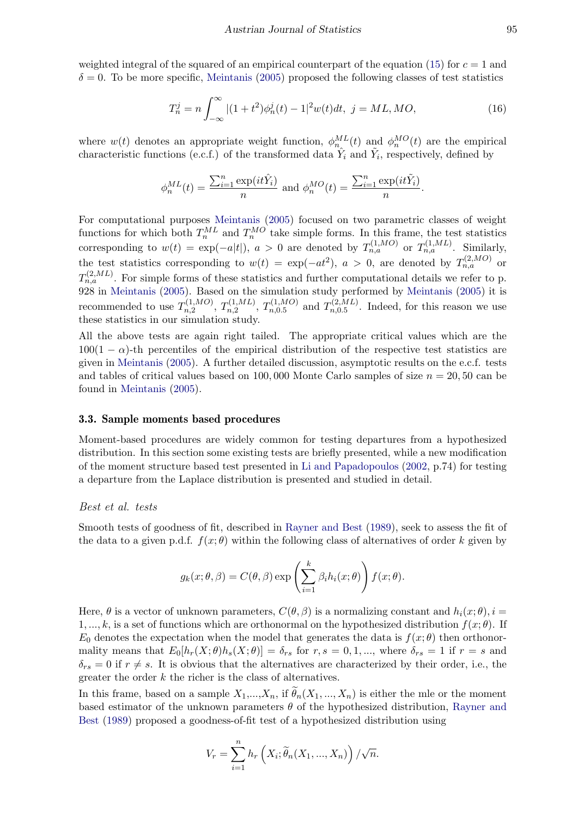weighted integral of the squared of an empirical counterpart of the equation [\(15\)](#page-3-0) for  $c = 1$  and  $\delta = 0$ . To be more specific, [Meintanis](#page-20-6) [\(2005\)](#page-20-6) proposed the following classes of test statistics

$$
T_n^j = n \int_{-\infty}^{\infty} |(1+t^2)\phi_n^j(t) - 1|^2 w(t)dt, \ j = ML, MO,
$$
\n(16)

where  $w(t)$  denotes an appropriate weight function,  $\phi_m^{ML}(t)$  and  $\phi_n^{MO}(t)$  are the empirical characteristic functions (e.c.f.) of the transformed data  $\hat{Y}_i$  and  $\hat{Y}_i$ , respectively, defined by

$$
\phi_n^{ML}(t) = \frac{\sum_{i=1}^n \exp(it\hat{Y}_i)}{n}
$$
 and 
$$
\phi_n^{MO}(t) = \frac{\sum_{i=1}^n \exp(it\tilde{Y}_i)}{n}.
$$

For computational purposes [Meintanis](#page-20-6) [\(2005\)](#page-20-6) focused on two parametric classes of weight functions for which both  $T_n^{ML}$  and  $T_n^{MO}$  take simple forms. In this frame, the test statistics corresponding to  $w(t) = \exp(-a|t|)$ ,  $a > 0$  are denoted by  $T_{n,a}^{(1,MO)}$  or  $T_{n,a}^{(1,ML)}$ . Similarly, the test statistics corresponding to  $w(t) = \exp(-at^2)$ ,  $a > 0$ , are denoted by  $T_{n,a}^{(2,MO)}$  or  $T_{n,a}^{(2,ML)}$ . For simple forms of these statistics and further computational details we refer to p. 928 in [Meintanis](#page-20-6) [\(2005\)](#page-20-6). Based on the simulation study performed by [Meintanis](#page-20-6) [\(2005\)](#page-20-6) it is recommended to use  $T_{n,2}^{(1,MO)}$  $T_{n,2}^{(1,MO)}, T_{n,2}^{(1,ML)}$  $T_{n,2}^{(1,ML)}, T_{n,0.5}^{(1,MO)}$  $T_{n,0.5}^{(1,MO)}$  and  $T_{n,0.5}^{(2,ML)}$  $\sum_{n=0.5}^{n(2,ML)}$ . Indeed, for this reason we use these statistics in our simulation study.

All the above tests are again right tailed. The appropriate critical values which are the  $100(1 - \alpha)$ -th percentiles of the empirical distribution of the respective test statistics are given in [Meintanis](#page-20-6) [\(2005\)](#page-20-6). A further detailed discussion, asymptotic results on the e.c.f. tests and tables of critical values based on  $100,000$  Monte Carlo samples of size  $n = 20,50$  can be found in [Meintanis](#page-20-6) [\(2005\)](#page-20-6).

### 3.3. Sample moments based procedures

Moment-based procedures are widely common for testing departures from a hypothesized distribution. In this section some existing tests are briefly presented, while a new modification of the moment structure based test presented in [Li and Papadopoulos](#page-20-9) [\(2002,](#page-20-9) p.74) for testing a departure from the Laplace distribution is presented and studied in detail.

### Best et al. tests

Smooth tests of goodness of fit, described in [Rayner and Best](#page-20-7) [\(1989\)](#page-20-7), seek to assess the fit of the data to a given p.d.f.  $f(x; \theta)$  within the following class of alternatives of order k given by

$$
g_k(x; \theta, \beta) = C(\theta, \beta) \exp \left( \sum_{i=1}^k \beta_i h_i(x; \theta) \right) f(x; \theta).
$$

Here,  $\theta$  is a vector of unknown parameters,  $C(\theta, \beta)$  is a normalizing constant and  $h_i(x; \theta), i =$ 1, ..., k, is a set of functions which are orthonormal on the hypothesized distribution  $f(x; \theta)$ . If  $E_0$  denotes the expectation when the model that generates the data is  $f(x; \theta)$  then orthonormality means that  $E_0[h_r(X; \theta)h_s(X; \theta)] = \delta_{rs}$  for  $r, s = 0, 1, ...,$  where  $\delta_{rs} = 1$  if  $r = s$  and  $\delta_{rs} = 0$  if  $r \neq s$ . It is obvious that the alternatives are characterized by their order, i.e., the greater the order  $k$  the richer is the class of alternatives.

In this frame, based on a sample  $X_1,...,X_n$ , if  $\widetilde{\theta}_n(X_1,...,X_n)$  is either the mle or the moment based estimator of the unknown parameters  $\theta$  of the hypothesized distribution, [Rayner and](#page-20-7) [Best](#page-20-7) [\(1989\)](#page-20-7) proposed a goodness-of-fit test of a hypothesized distribution using

$$
V_r = \sum_{i=1}^n h_r\left(X_i; \widetilde{\theta}_n(X_1, ..., X_n)\right) / \sqrt{n}.
$$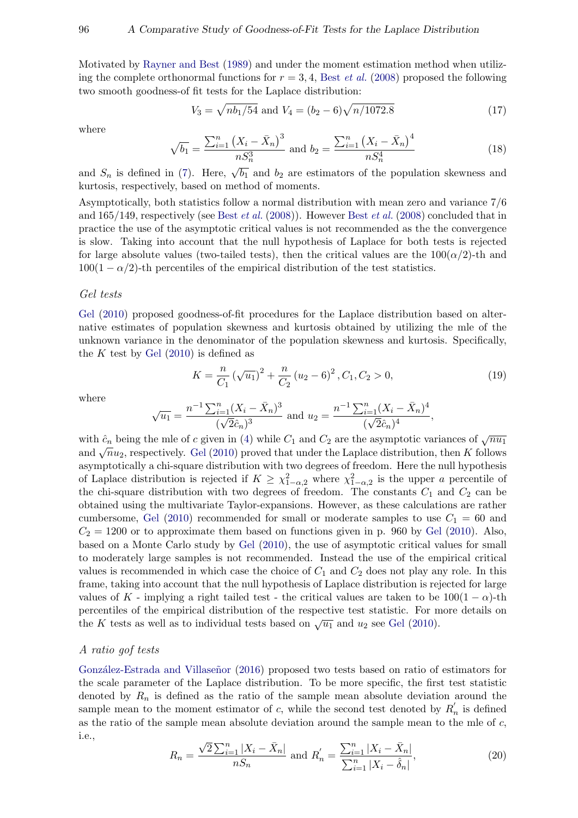Motivated by [Rayner and Best](#page-20-7) [\(1989\)](#page-20-7) and under the moment estimation method when utilizing the complete orthonormal functions for  $r = 3, 4$ , Best *[et al.](#page-19-10)* [\(2008\)](#page-19-10) proposed the following two smooth goodness-of fit tests for the Laplace distribution:

$$
V_3 = \sqrt{nb_1/54} \text{ and } V_4 = (b_2 - 6)\sqrt{n/1072.8}
$$
 (17)

where

$$
\sqrt{b_1} = \frac{\sum_{i=1}^{n} (X_i - \bar{X}_n)^3}{n S_n^3} \text{ and } b_2 = \frac{\sum_{i=1}^{n} (X_i - \bar{X}_n)^4}{n S_n^4}
$$
(18)

and  $S_n$  is defined in [\(7\)](#page-2-0). Here,  $\sqrt{b_1}$  and  $b_2$  are estimators of the population skewness and kurtosis, respectively, based on method of moments.

Asymptotically, both statistics follow a normal distribution with mean zero and variance 7/6 and  $165/149$ , respectively (see Best *[et al.](#page-19-10)* [\(2008\)](#page-19-10)). However Best *et al.* (2008) concluded that in practice the use of the asymptotic critical values is not recommended as the the convergence is slow. Taking into account that the null hypothesis of Laplace for both tests is rejected for large absolute values (two-tailed tests), then the critical values are the  $100(\alpha/2)$ -th and  $100(1 - \alpha/2)$ -th percentiles of the empirical distribution of the test statistics.

# Gel tests

[Gel](#page-19-4) [\(2010\)](#page-19-4) proposed goodness-of-fit procedures for the Laplace distribution based on alternative estimates of population skewness and kurtosis obtained by utilizing the mle of the unknown variance in the denominator of the population skewness and kurtosis. Specifically, the K test by [Gel](#page-19-4)  $(2010)$  is defined as

$$
K = \frac{n}{C_1} \left(\sqrt{u_1}\right)^2 + \frac{n}{C_2} \left(u_2 - 6\right)^2, C_1, C_2 > 0,
$$
\n(19)

where

$$
\sqrt{u_1} = \frac{n^{-1} \sum_{i=1}^n (X_i - \bar{X}_n)^3}{(\sqrt{2}\hat{c}_n)^3}
$$
 and  $u_2 = \frac{n^{-1} \sum_{i=1}^n (X_i - \bar{X}_n)^4}{(\sqrt{2}\hat{c}_n)^4}$ ,

with  $\hat{c}_n$  being the mle of c given in [\(4\)](#page-1-1) while  $C_1$  and  $C_2$  are the asymptotic variances of  $\sqrt{nu_1}$ with  $c_n$  being the line of c given in (4) while  $C_1$  and  $C_2$  are the asymptotic variances of  $\sqrt{n}u_1$  and  $\sqrt{n}u_2$ , respectively. [Gel](#page-19-4) [\(2010\)](#page-19-4) proved that under the Laplace distribution, then K follows asymptotically a chi-square distribution with two degrees of freedom. Here the null hypothesis of Laplace distribution is rejected if  $K \geq \chi^2_{1-\alpha,2}$  where  $\chi^2_{1-\alpha,2}$  is the upper a percentile of the chi-square distribution with two degrees of freedom. The constants  $C_1$  and  $C_2$  can be obtained using the multivariate Taylor-expansions. However, as these calculations are rather cumbersome, [Gel](#page-19-4) [\(2010\)](#page-19-4) recommended for small or moderate samples to use  $C_1 = 60$  and  $C_2 = 1200$  or to approximate them based on functions given in p. 960 by [Gel](#page-19-4) [\(2010\)](#page-19-4). Also, based on a Monte Carlo study by [Gel](#page-19-4) [\(2010\)](#page-19-4), the use of asymptotic critical values for small to moderately large samples is not recommended. Instead the use of the empirical critical values is recommended in which case the choice of  $C_1$  and  $C_2$  does not play any role. In this frame, taking into account that the null hypothesis of Laplace distribution is rejected for large values of K - implying a right tailed test - the critical values are taken to be  $100(1 - \alpha)$ -th percentiles of the empirical distribution of the respective test statistic. For more details on the K tests as well as to individual tests based on  $\sqrt{u_1}$  and  $u_2$  see [Gel](#page-19-4) [\(2010\)](#page-19-4).

# A ratio gof tests

González-Estrada and Villaseñor [\(2016\)](#page-19-3) proposed two tests based on ratio of estimators for the scale parameter of the Laplace distribution. To be more specific, the first test statistic denoted by  $R_n$  is defined as the ratio of the sample mean absolute deviation around the sample mean to the moment estimator of c, while the second test denoted by  $R'_n$  is defined as the ratio of the sample mean absolute deviation around the sample mean to the mle of c, i.e., √

$$
R_n = \frac{\sqrt{2} \sum_{i=1}^n |X_i - \bar{X}_n|}{n S_n} \text{ and } R'_n = \frac{\sum_{i=1}^n |X_i - \bar{X}_n|}{\sum_{i=1}^n |X_i - \hat{\delta}_n|},\tag{20}
$$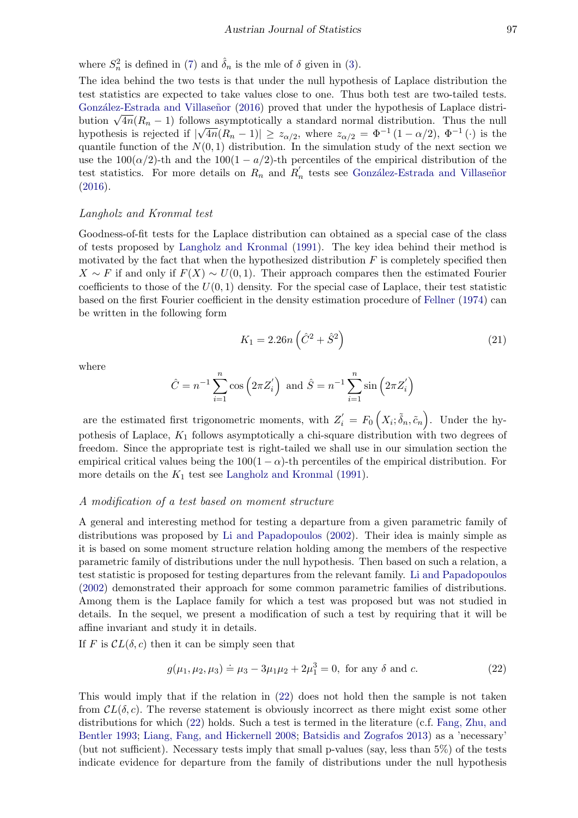where  $S_n^2$  is defined in [\(7\)](#page-2-0) and  $\hat{\delta}_n$  is the mle of  $\delta$  given in [\(3\)](#page-1-2).

The idea behind the two tests is that under the null hypothesis of Laplace distribution the test statistics are expected to take values close to one. Thus both test are two-tailed tests. González-Estrada and Villaseñor [\(2016\)](#page-19-3) proved that under the hypothesis of Laplace distri-Gonzalez-Estrada and vinasenor (2010) proved that under the hypothesis of Laplace distribution  $\sqrt{4n}(R_n - 1)$  follows asymptotically a standard normal distribution. Thus the null hypothesis is rejected if  $|\sqrt{4n}(R_n-1)| \geq z_{\alpha/2}$ , where  $z_{\alpha/2} = \Phi^{-1}(1-\alpha/2), \Phi^{-1}(\cdot)$  is the quantile function of the  $N(0, 1)$  distribution. In the simulation study of the next section we use the  $100(\alpha/2)$ -th and the  $100(1 - \alpha/2)$ -th percentiles of the empirical distribution of the test statistics. For more details on  $R_n$  and  $R'_n$  tests see González-Estrada and Villaseñor [\(2016\)](#page-19-3).

### Langholz and Kronmal test

Goodness-of-fit tests for the Laplace distribution can obtained as a special case of the class of tests proposed by [Langholz and Kronmal](#page-20-8) [\(1991\)](#page-20-8). The key idea behind their method is motivated by the fact that when the hypothesized distribution  $F$  is completely specified then  $X \sim F$  if and only if  $F(X) \sim U(0, 1)$ . Their approach compares then the estimated Fourier coefficients to those of the  $U(0, 1)$  density. For the special case of Laplace, their test statistic based on the first Fourier coefficient in the density estimation procedure of [Fellner](#page-19-11) [\(1974\)](#page-19-11) can be written in the following form

$$
K_1 = 2.26n\left(\hat{C}^2 + \hat{S}^2\right)
$$
\n(21)

where

$$
\hat{C} = n^{-1} \sum_{i=1}^{n} \cos(2\pi Z'_i)
$$
 and  $\hat{S} = n^{-1} \sum_{i=1}^{n} \sin(2\pi Z'_i)$ 

are the estimated first trigonometric moments, with  $Z_i' = F_0(X_i; \tilde{\delta}_n, \tilde{c}_n)$ . Under the hypothesis of Laplace,  $K_1$  follows asymptotically a chi-square distribution with two degrees of freedom. Since the appropriate test is right-tailed we shall use in our simulation section the empirical critical values being the  $100(1 - \alpha)$ -th percentiles of the empirical distribution. For more details on the  $K_1$  test see [Langholz and Kronmal](#page-20-8) [\(1991\)](#page-20-8).

### A modification of a test based on moment structure

A general and interesting method for testing a departure from a given parametric family of distributions was proposed by [Li and Papadopoulos](#page-20-9) [\(2002\)](#page-20-9). Their idea is mainly simple as it is based on some moment structure relation holding among the members of the respective parametric family of distributions under the null hypothesis. Then based on such a relation, a test statistic is proposed for testing departures from the relevant family. [Li and Papadopoulos](#page-20-9) [\(2002\)](#page-20-9) demonstrated their approach for some common parametric families of distributions. Among them is the Laplace family for which a test was proposed but was not studied in details. In the sequel, we present a modification of such a test by requiring that it will be affine invariant and study it in details.

If F is  $CL(\delta, c)$  then it can be simply seen that

<span id="page-6-0"></span>
$$
g(\mu_1, \mu_2, \mu_3) \doteq \mu_3 - 3\mu_1 \mu_2 + 2\mu_1^3 = 0, \text{ for any } \delta \text{ and } c. \tag{22}
$$

This would imply that if the relation in [\(22\)](#page-6-0) does not hold then the sample is not taken from  $CL(\delta, c)$ . The reverse statement is obviously incorrect as there might exist some other distributions for which [\(22\)](#page-6-0) holds. Such a test is termed in the literature (c.f. [Fang, Zhu, and](#page-19-12) [Bentler](#page-19-12) [1993;](#page-19-12) [Liang, Fang, and Hickernell](#page-20-11) [2008;](#page-20-11) [Batsidis and Zografos](#page-19-13) [2013\)](#page-19-13) as a 'necessary' (but not sufficient). Necessary tests imply that small p-values (say, less than 5%) of the tests indicate evidence for departure from the family of distributions under the null hypothesis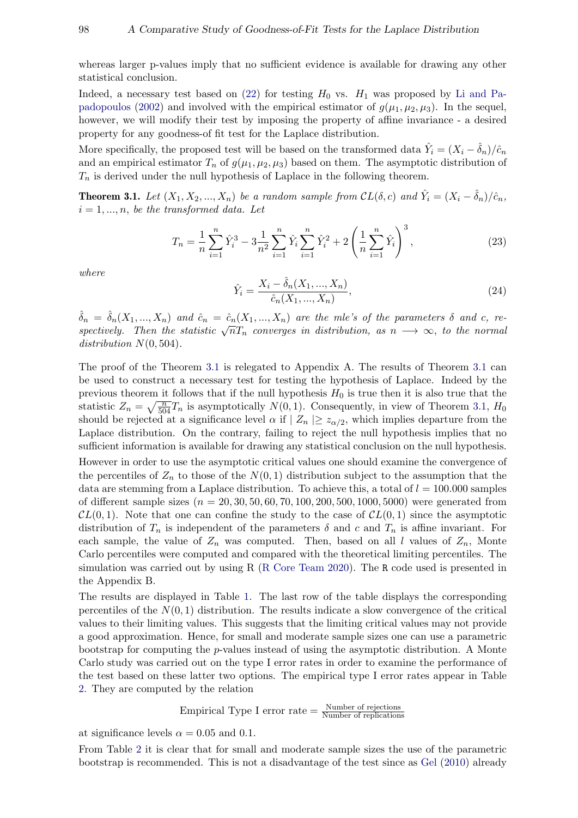whereas larger p-values imply that no sufficient evidence is available for drawing any other statistical conclusion.

Indeed, a necessary test based on [\(22\)](#page-6-0) for testing  $H_0$  vs.  $H_1$  was proposed by [Li and Pa](#page-20-9)[padopoulos](#page-20-9) [\(2002\)](#page-20-9) and involved with the empirical estimator of  $g(\mu_1, \mu_2, \mu_3)$ . In the sequel, however, we will modify their test by imposing the property of affine invariance - a desired property for any goodness-of fit test for the Laplace distribution.

More specifically, the proposed test will be based on the transformed data  $\hat{Y}_i = (X_i - \hat{\delta}_n)/\hat{c}_n$ and an empirical estimator  $T_n$  of  $g(\mu_1, \mu_2, \mu_3)$  based on them. The asymptotic distribution of  $T_n$  is derived under the null hypothesis of Laplace in the following theorem.

<span id="page-7-0"></span>**Theorem 3.1.** Let  $(X_1, X_2, ..., X_n)$  be a random sample from  $CL(\delta, c)$  and  $\hat{Y}_i = (X_i - \hat{\delta}_n)/\hat{c}_n$ ,  $i = 1, ..., n$ , be the transformed data. Let

$$
T_n = \frac{1}{n} \sum_{i=1}^n \hat{Y}_i^3 - 3 \frac{1}{n^2} \sum_{i=1}^n \hat{Y}_i \sum_{i=1}^n \hat{Y}_i^2 + 2 \left( \frac{1}{n} \sum_{i=1}^n \hat{Y}_i \right)^3,
$$
\n(23)

where

$$
\hat{Y}_i = \frac{X_i - \hat{\delta}_n(X_1, ..., X_n)}{\hat{c}_n(X_1, ..., X_n)},
$$
\n(24)

 $\hat{\delta}_n = \hat{\delta}_n(X_1, ..., X_n)$  and  $\hat{c}_n = \hat{c}_n(X_1, ..., X_n)$  are the mle's of the parameters  $\delta$  and c, re- $\sigma_n = \sigma_n(\Lambda_1, ..., \Lambda_n)$  and  $\sigma_n = \sigma_n(\Lambda_1, ..., \Lambda_n)$  are the mess of the parameters  $\sigma$  and  $c$ , respectively. Then the statistic  $\sqrt{n}T_n$  converges in distribution, as  $n \longrightarrow \infty$ , to the normal distribution  $N(0, 504)$ .

The proof of the Theorem [3.1](#page-7-0) is relegated to Appendix A. The results of Theorem [3.1](#page-7-0) can be used to construct a necessary test for testing the hypothesis of Laplace. Indeed by the previous theorem it follows that if the null hypothesis  $H_0$  is true then it is also true that the statistic  $Z_n = \sqrt{\frac{n}{504}}T_n$  is asymptotically  $N(0, 1)$ . Consequently, in view of Theorem [3.1,](#page-7-0)  $H_0$ should be rejected at a significance level  $\alpha$  if  $|Z_n| \geq z_{\alpha/2}$ , which implies departure from the Laplace distribution. On the contrary, failing to reject the null hypothesis implies that no sufficient information is available for drawing any statistical conclusion on the null hypothesis.

However in order to use the asymptotic critical values one should examine the convergence of the percentiles of  $Z_n$  to those of the  $N(0, 1)$  distribution subject to the assumption that the data are stemming from a Laplace distribution. To achieve this, a total of  $l = 100.000$  samples of different sample sizes ( $n = 20, 30, 50, 60, 70, 100, 200, 500, 1000, 5000$ ) were generated from  $CL(0, 1)$ . Note that one can confine the study to the case of  $CL(0, 1)$  since the asymptotic distribution of  $T_n$  is independent of the parameters  $\delta$  and c and  $T_n$  is affine invariant. For each sample, the value of  $Z_n$  was computed. Then, based on all l values of  $Z_n$ , Monte Carlo percentiles were computed and compared with the theoretical limiting percentiles. The simulation was carried out by using R [\(R Core Team](#page-20-12) [2020\)](#page-20-12). The R code used is presented in the Appendix B.

The results are displayed in Table [1.](#page-8-0) The last row of the table displays the corresponding percentiles of the  $N(0, 1)$  distribution. The results indicate a slow convergence of the critical values to their limiting values. This suggests that the limiting critical values may not provide a good approximation. Hence, for small and moderate sample sizes one can use a parametric bootstrap for computing the p-values instead of using the asymptotic distribution. A Monte Carlo study was carried out on the type I error rates in order to examine the performance of the test based on these latter two options. The empirical type I error rates appear in Table [2.](#page-8-1) They are computed by the relation

Empirical Type I error rate = 
$$
\frac{\text{Number of rejections}}{\text{Number of replications}}
$$

at significance levels  $\alpha = 0.05$  and 0.1.

From Table [2](#page-8-1) it is clear that for small and moderate sample sizes the use of the parametric bootstrap is recommended. This is not a disadvantage of the test since as [Gel](#page-19-4) [\(2010\)](#page-19-4) already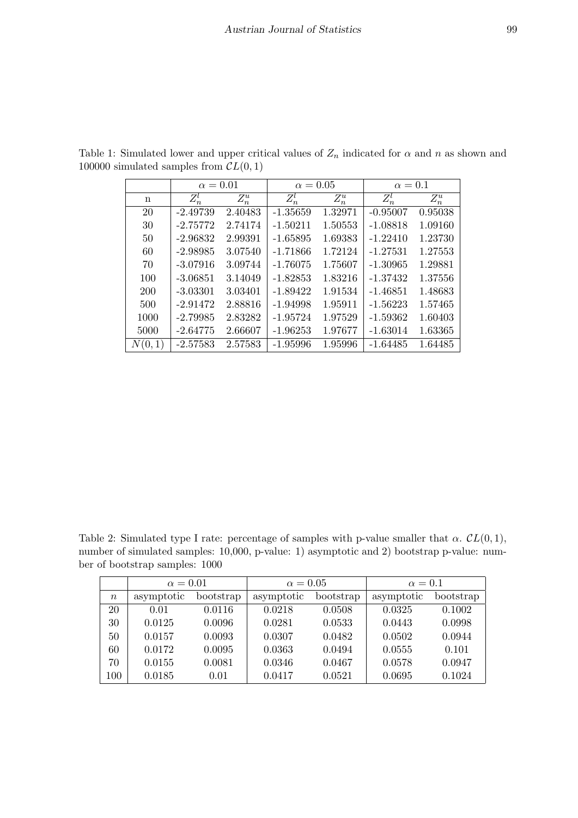<span id="page-8-0"></span>

|        | $\alpha = 0.01$ |         | $\alpha = 0.05$ |         | $\alpha=0.1$ |         |
|--------|-----------------|---------|-----------------|---------|--------------|---------|
| n      | $Z_n^l$         | $Z_n^u$ | $Z_n^l$         | $Z_n^u$ | $Z_n^l$      | $Z_n^u$ |
| 20     | $-2.49739$      | 2.40483 | $-1.35659$      | 1.32971 | $-0.95007$   | 0.95038 |
| 30     | $-2.75772$      | 2.74174 | $-1.50211$      | 1.50553 | $-1.08818$   | 1.09160 |
| 50     | $-2.96832$      | 2.99391 | $-1.65895$      | 1.69383 | $-1.22410$   | 1.23730 |
| 60     | $-2.98985$      | 3.07540 | $-1.71866$      | 1.72124 | $-1.27531$   | 1.27553 |
| 70     | $-3.07916$      | 3.09744 | $-1.76075$      | 1.75607 | $-1.30965$   | 1.29881 |
| 100    | $-3.06851$      | 3.14049 | $-1.82853$      | 1.83216 | $-1.37432$   | 1.37556 |
| 200    | $-3.03301$      | 3.03401 | $-1.89422$      | 1.91534 | $-1.46851$   | 1.48683 |
| 500    | $-2.91472$      | 2.88816 | $-1.94998$      | 1.95911 | $-1.56223$   | 1.57465 |
| 1000   | $-2.79985$      | 2.83282 | $-1.95724$      | 1.97529 | $-1.59362$   | 1.60403 |
| 5000   | $-2.64775$      | 2.66607 | $-1.96253$      | 1.97677 | $-1.63014$   | 1.63365 |
| N(0,1) | $-2.57583$      | 2.57583 | $-1.95996$      | 1.95996 | $-1.64485$   | 1.64485 |

Table 1: Simulated lower and upper critical values of  $Z_n$  indicated for  $\alpha$  and  $n$  as shown and 100000 simulated samples from  $CL(0, 1)$ 

<span id="page-8-1"></span>Table 2: Simulated type I rate: percentage of samples with p-value smaller that  $\alpha$ .  $CL(0, 1)$ , number of simulated samples: 10,000, p-value: 1) asymptotic and 2) bootstrap p-value: number of bootstrap samples: 1000

|                  | $\alpha = 0.01$ |           | $\alpha = 0.05$ |           | $\alpha=0.1$ |           |
|------------------|-----------------|-----------|-----------------|-----------|--------------|-----------|
| $\boldsymbol{n}$ | asymptotic      | bootstrap | asymptotic      | bootstrap | asymptotic   | bootstrap |
| 20               | 0.01            | 0.0116    | 0.0218          | 0.0508    | 0.0325       | 0.1002    |
| 30               | 0.0125          | 0.0096    | 0.0281          | 0.0533    | 0.0443       | 0.0998    |
| 50               | 0.0157          | 0.0093    | 0.0307          | 0.0482    | 0.0502       | 0.0944    |
| 60               | 0.0172          | 0.0095    | 0.0363          | 0.0494    | 0.0555       | 0.101     |
| $70\,$           | 0.0155          | 0.0081    | 0.0346          | 0.0467    | 0.0578       | 0.0947    |
| 100              | 0.0185          | 0.01      | 0.0417          | 0.0521    | 0.0695       | 0.1024    |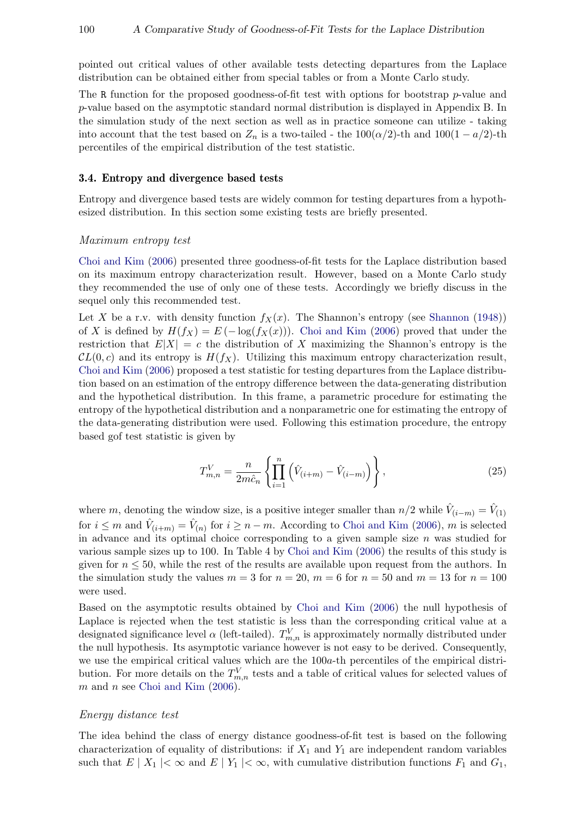pointed out critical values of other available tests detecting departures from the Laplace distribution can be obtained either from special tables or from a Monte Carlo study.

The R function for the proposed goodness-of-fit test with options for bootstrap p-value and p-value based on the asymptotic standard normal distribution is displayed in Appendix B. In the simulation study of the next section as well as in practice someone can utilize - taking into account that the test based on  $Z_n$  is a two-tailed - the 100( $\alpha/2$ )-th and 100(1 –  $a/2$ )-th percentiles of the empirical distribution of the test statistic.

### 3.4. Entropy and divergence based tests

Entropy and divergence based tests are widely common for testing departures from a hypothesized distribution. In this section some existing tests are briefly presented.

#### Maximum entropy test

[Choi and Kim](#page-19-5) [\(2006\)](#page-19-5) presented three goodness-of-fit tests for the Laplace distribution based on its maximum entropy characterization result. However, based on a Monte Carlo study they recommended the use of only one of these tests. Accordingly we briefly discuss in the sequel only this recommended test.

Let X be a r.v. with density function  $f_X(x)$ . The [Shannon](#page-20-13)'s entropy (see Shannon [\(1948\)](#page-20-13)) of X is defined by  $H(f_X) = E(-\log(f_X(x)))$ . [Choi and Kim](#page-19-5) [\(2006\)](#page-19-5) proved that under the restriction that  $E|X| = c$  the distribution of X maximizing the Shannon's entropy is the  $CL(0, c)$  and its entropy is  $H(f_X)$ . Utilizing this maximum entropy characterization result, [Choi and Kim](#page-19-5) [\(2006\)](#page-19-5) proposed a test statistic for testing departures from the Laplace distribution based on an estimation of the entropy difference between the data-generating distribution and the hypothetical distribution. In this frame, a parametric procedure for estimating the entropy of the hypothetical distribution and a nonparametric one for estimating the entropy of the data-generating distribution were used. Following this estimation procedure, the entropy based gof test statistic is given by

$$
T_{m,n}^V = \frac{n}{2m\hat{c}_n} \left\{ \prod_{i=1}^n \left( \hat{V}_{(i+m)} - \hat{V}_{(i-m)} \right) \right\},\tag{25}
$$

where m, denoting the window size, is a positive integer smaller than  $n/2$  while  $\hat{V}_{(i-m)} = \hat{V}_{(1)}$ for  $i \leq m$  and  $\hat{V}_{(i+m)} = \hat{V}_{(n)}$  for  $i \geq n-m$ . According to [Choi and Kim](#page-19-5) [\(2006\)](#page-19-5), m is selected in advance and its optimal choice corresponding to a given sample size  $n$  was studied for various sample sizes up to 100. In Table 4 by [Choi and Kim](#page-19-5) [\(2006\)](#page-19-5) the results of this study is given for  $n \leq 50$ , while the rest of the results are available upon request from the authors. In the simulation study the values  $m = 3$  for  $n = 20$ ,  $m = 6$  for  $n = 50$  and  $m = 13$  for  $n = 100$ were used.

Based on the asymptotic results obtained by [Choi and Kim](#page-19-5) [\(2006\)](#page-19-5) the null hypothesis of Laplace is rejected when the test statistic is less than the corresponding critical value at a designated significance level  $\alpha$  (left-tailed).  $T_{m,n}^V$  is approximately normally distributed under the null hypothesis. Its asymptotic variance however is not easy to be derived. Consequently, we use the empirical critical values which are the  $100a$ -th percentiles of the empirical distribution. For more details on the  $T_{m,n}^V$  tests and a table of critical values for selected values of  $m$  and  $n$  see [Choi and Kim](#page-19-5) [\(2006\)](#page-19-5).

#### Energy distance test

The idea behind the class of energy distance goodness-of-fit test is based on the following characterization of equality of distributions: if  $X_1$  and  $Y_1$  are independent random variables such that  $E | X_1 | < \infty$  and  $E | Y_1 | < \infty$ , with cumulative distribution functions  $F_1$  and  $G_1$ ,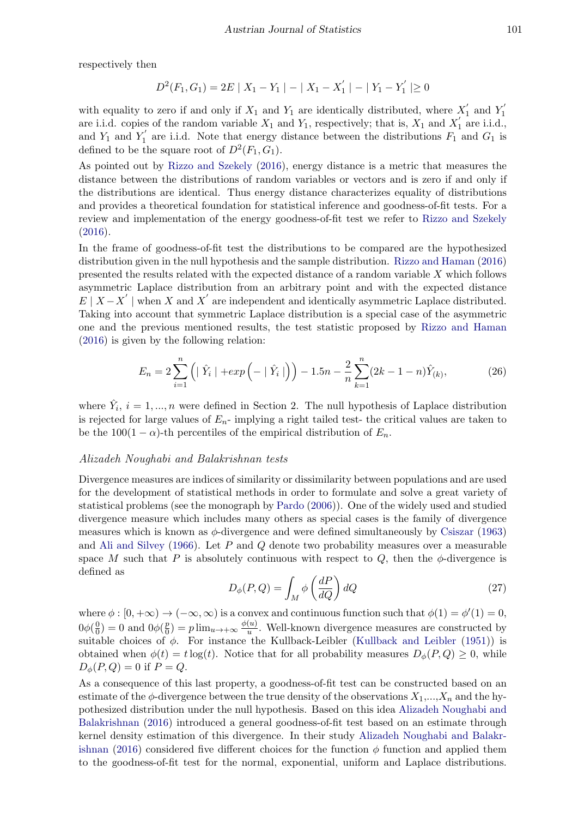respectively then

$$
D^{2}(F_{1}, G_{1}) = 2E \mid X_{1} - Y_{1} \mid - \mid X_{1} - X_{1}^{'} \mid - \mid Y_{1} - Y_{1}^{'} \mid \geq 0
$$

with equality to zero if and only if  $X_1$  and  $Y_1$  are identically distributed, where  $X'_1$  $Y_1'$  and  $Y_1'$ 1 are i.i.d. copies of the random variable  $X_1$  and  $Y_1$ , respectively; that is,  $X_1$  and  $X_1'$  $\mathbf{I}_1$  are i.i.d., and  $Y_1$  and  $Y_1'$  $I_1'$  are i.i.d. Note that energy distance between the distributions  $F_1$  and  $G_1$  is defined to be the square root of  $D^2(F_1, G_1)$ .

As pointed out by [Rizzo and Szekely](#page-20-14) [\(2016\)](#page-20-14), energy distance is a metric that measures the distance between the distributions of random variables or vectors and is zero if and only if the distributions are identical. Thus energy distance characterizes equality of distributions and provides a theoretical foundation for statistical inference and goodness-of-fit tests. For a review and implementation of the energy goodness-of-fit test we refer to [Rizzo and Szekely](#page-20-14) [\(2016\)](#page-20-14).

In the frame of goodness-of-fit test the distributions to be compared are the hypothesized distribution given in the null hypothesis and the sample distribution. [Rizzo and Haman](#page-20-10) [\(2016\)](#page-20-10) presented the results related with the expected distance of a random variable X which follows asymmetric Laplace distribution from an arbitrary point and with the expected distance  $E \mid X - X' \mid$  when X and X' are independent and identically asymmetric Laplace distributed. Taking into account that symmetric Laplace distribution is a special case of the asymmetric one and the previous mentioned results, the test statistic proposed by [Rizzo and Haman](#page-20-10) [\(2016\)](#page-20-10) is given by the following relation:

$$
E_n = 2\sum_{i=1}^n \left( \mid \hat{Y}_i \mid + \exp\left(-\mid \hat{Y}_i \mid\right) \right) - 1.5n - \frac{2}{n} \sum_{k=1}^n (2k - 1 - n)\hat{Y}_{(k)},\tag{26}
$$

where  $\hat{Y}_i$ ,  $i = 1, ..., n$  were defined in Section 2. The null hypothesis of Laplace distribution is rejected for large values of  $E_n$ - implying a right tailed test- the critical values are taken to be the 100(1 –  $\alpha$ )-th percentiles of the empirical distribution of  $E_n$ .

### Alizadeh Noughabi and Balakrishnan tests

Divergence measures are indices of similarity or dissimilarity between populations and are used for the development of statistical methods in order to formulate and solve a great variety of statistical problems (see the monograph by [Pardo](#page-20-15) [\(2006\)](#page-20-15)). One of the widely used and studied divergence measure which includes many others as special cases is the family of divergence measures which is known as  $\phi$ -divergence and were defined simultaneously by [Csiszar](#page-19-14) [\(1963\)](#page-19-14) and [Ali and Silvey](#page-19-15)  $(1966)$ . Let P and Q denote two probability measures over a measurable space M such that P is absolutely continuous with respect to Q, then the  $\phi$ -divergence is defined as

$$
D_{\phi}(P,Q) = \int_{M} \phi\left(\frac{dP}{dQ}\right) dQ \tag{27}
$$

<span id="page-10-0"></span>where  $\phi : [0, +\infty) \to (-\infty, \infty)$  is a convex and continuous function such that  $\phi(1) = \phi'(1) = 0$ ,  $0\phi\left(\frac{0}{0}\right)$  $\left(\frac{0}{0}\right) = 0$  and  $0\phi\left(\frac{p}{0}\right)$  $\frac{p}{0}$ ) = p  $\lim_{u \to +\infty} \frac{\phi(u)}{u}$  $\frac{u}{u}$ . Well-known divergence measures are constructed by suitable choices of  $\phi$ . For instance the Kullback-Leibler [\(Kullback and Leibler](#page-20-16) [\(1951\)](#page-20-16)) is obtained when  $\phi(t) = t \log(t)$ . Notice that for all probability measures  $D_{\phi}(P,Q) \geq 0$ , while  $D_{\phi}(P,Q) = 0$  if  $P = Q$ .

As a consequence of this last property, a goodness-of-fit test can be constructed based on an estimate of the  $\phi$ -divergence between the true density of the observations  $X_1, ..., X_n$  and the hypothesized distribution under the null hypothesis. Based on this idea [Alizadeh Noughabi and](#page-19-6) [Balakrishnan](#page-19-6) [\(2016\)](#page-19-6) introduced a general goodness-of-fit test based on an estimate through kernel density estimation of this divergence. In their study [Alizadeh Noughabi and Balakr](#page-19-6)[ishnan](#page-19-6) [\(2016\)](#page-19-6) considered five different choices for the function  $\phi$  function and applied them to the goodness-of-fit test for the normal, exponential, uniform and Laplace distributions.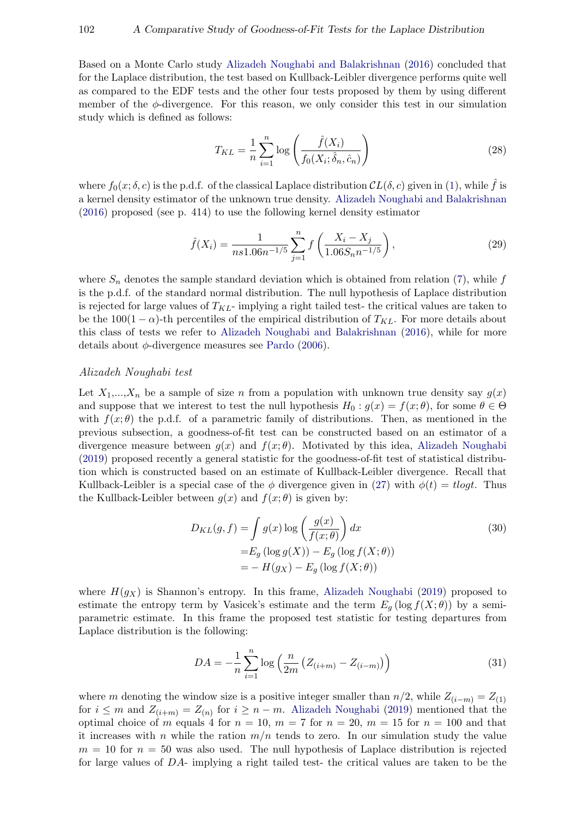Based on a Monte Carlo study [Alizadeh Noughabi and Balakrishnan](#page-19-6) [\(2016\)](#page-19-6) concluded that for the Laplace distribution, the test based on Kullback-Leibler divergence performs quite well as compared to the EDF tests and the other four tests proposed by them by using different member of the  $\phi$ -divergence. For this reason, we only consider this test in our simulation study which is defined as follows:

$$
T_{KL} = \frac{1}{n} \sum_{i=1}^{n} \log \left( \frac{\hat{f}(X_i)}{f_0(X_i; \hat{\delta}_n, \hat{c}_n)} \right)
$$
(28)

where  $f_0(x; \delta, c)$  is the p.d.f. of the classical Laplace distribution  $CL(\delta, c)$  given in [\(1\)](#page-1-3), while  $\hat{f}$  is a kernel density estimator of the unknown true density. [Alizadeh Noughabi and Balakrishnan](#page-19-6) [\(2016\)](#page-19-6) proposed (see p. 414) to use the following kernel density estimator

$$
\hat{f}(X_i) = \frac{1}{ns1.06n^{-1/5}} \sum_{j=1}^{n} f\left(\frac{X_i - X_j}{1.06S_n n^{-1/5}}\right),\tag{29}
$$

where  $S_n$  denotes the sample standard deviation which is obtained from relation [\(7\)](#page-2-0), while f is the p.d.f. of the standard normal distribution. The null hypothesis of Laplace distribution is rejected for large values of  $T_{KL}$ - implying a right tailed test- the critical values are taken to be the 100(1 –  $\alpha$ )-th percentiles of the empirical distribution of  $T_{KL}$ . For more details about this class of tests we refer to [Alizadeh Noughabi and Balakrishnan](#page-19-6) [\(2016\)](#page-19-6), while for more details about  $\phi$ -divergence measures see [Pardo](#page-20-15) [\(2006\)](#page-20-15).

### Alizadeh Noughabi test

Let  $X_1,...,X_n$  be a sample of size n from a population with unknown true density say  $g(x)$ and suppose that we interest to test the null hypothesis  $H_0 : g(x) = f(x; \theta)$ , for some  $\theta \in \Theta$ with  $f(x; \theta)$  the p.d.f. of a parametric family of distributions. Then, as mentioned in the previous subsection, a goodness-of-fit test can be constructed based on an estimator of a divergence measure between  $g(x)$  and  $f(x;\theta)$ . Motivated by this idea, [Alizadeh Noughabi](#page-19-7) [\(2019\)](#page-19-7) proposed recently a general statistic for the goodness-of-fit test of statistical distribution which is constructed based on an estimate of Kullback-Leibler divergence. Recall that Kullback-Leibler is a special case of the  $\phi$  divergence given in [\(27\)](#page-10-0) with  $\phi(t) = t \log t$ . Thus the Kullback-Leibler between  $q(x)$  and  $f(x; \theta)$  is given by:

<span id="page-11-0"></span>
$$
D_{KL}(g, f) = \int g(x) \log \left(\frac{g(x)}{f(x; \theta)}\right) dx
$$
  
=  $E_g \left(\log g(X)\right) - E_g \left(\log f(X; \theta)\right)$   
=  $-H(g_X) - E_g \left(\log f(X; \theta)\right)$  (30)

where  $H(g_X)$  is Shannon's entropy. In this frame, [Alizadeh Noughabi](#page-19-7) [\(2019\)](#page-19-7) proposed to estimate the entropy term by Vasicek's estimate and the term  $E_q$  (log  $f(X; \theta)$ ) by a semiparametric estimate. In this frame the proposed test statistic for testing departures from Laplace distribution is the following:

$$
DA = -\frac{1}{n} \sum_{i=1}^{n} \log \left( \frac{n}{2m} \left( Z_{(i+m)} - Z_{(i-m)} \right) \right)
$$
 (31)

where m denoting the window size is a positive integer smaller than  $n/2$ , while  $Z_{(i-m)} = Z_{(1)}$ for  $i \leq m$  and  $Z_{(i+m)} = Z_{(n)}$  for  $i \geq n-m$ . [Alizadeh Noughabi](#page-19-7) [\(2019\)](#page-19-7) mentioned that the optimal choice of m equals 4 for  $n = 10$ ,  $m = 7$  for  $n = 20$ ,  $m = 15$  for  $n = 100$  and that it increases with n while the ration  $m/n$  tends to zero. In our simulation study the value  $m = 10$  for  $n = 50$  was also used. The null hypothesis of Laplace distribution is rejected for large values of DA- implying a right tailed test- the critical values are taken to be the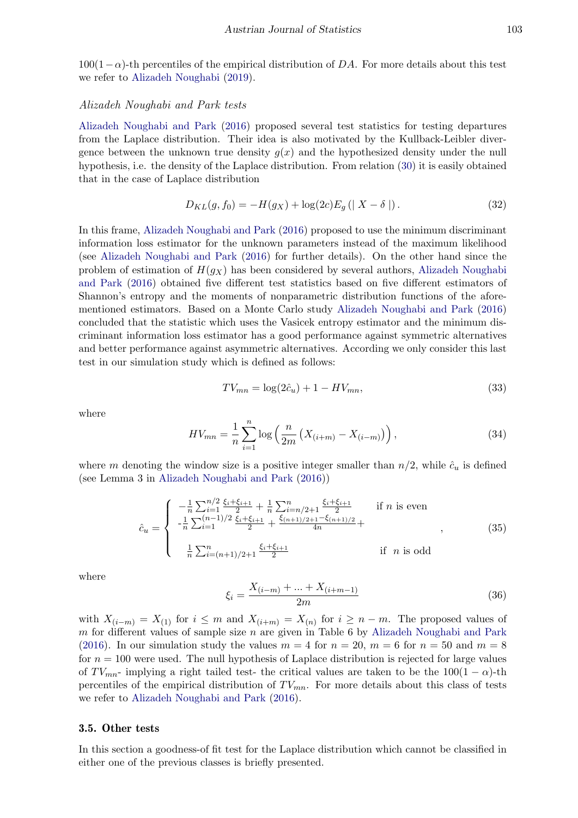$100(1-\alpha)$ -th percentiles of the empirical distribution of DA. For more details about this test we refer to [Alizadeh Noughabi](#page-19-7) [\(2019\)](#page-19-7).

### Alizadeh Noughabi and Park tests

[Alizadeh Noughabi and Park](#page-19-8) [\(2016\)](#page-19-8) proposed several test statistics for testing departures from the Laplace distribution. Their idea is also motivated by the Kullback-Leibler divergence between the unknown true density  $q(x)$  and the hypothesized density under the null hypothesis, i.e. the density of the Laplace distribution. From relation [\(30\)](#page-11-0) it is easily obtained that in the case of Laplace distribution

$$
D_{KL}(g, f_0) = -H(g_X) + \log(2c) E_g (|X - \delta|).
$$
 (32)

In this frame, [Alizadeh Noughabi and Park](#page-19-8) [\(2016\)](#page-19-8) proposed to use the minimum discriminant information loss estimator for the unknown parameters instead of the maximum likelihood (see [Alizadeh Noughabi and Park](#page-19-8) [\(2016\)](#page-19-8) for further details). On the other hand since the problem of estimation of  $H(g_X)$  has been considered by several authors, [Alizadeh Noughabi](#page-19-8) [and Park](#page-19-8) [\(2016\)](#page-19-8) obtained five different test statistics based on five different estimators of Shannon's entropy and the moments of nonparametric distribution functions of the aforementioned estimators. Based on a Monte Carlo study [Alizadeh Noughabi and Park](#page-19-8) [\(2016\)](#page-19-8) concluded that the statistic which uses the Vasicek entropy estimator and the minimum discriminant information loss estimator has a good performance against symmetric alternatives and better performance against asymmetric alternatives. According we only consider this last test in our simulation study which is defined as follows:

$$
TV_{mn} = \log(2\hat{c}_u) + 1 - HV_{mn},
$$
\n(33)

where

$$
HV_{mn} = \frac{1}{n} \sum_{i=1}^{n} \log \left( \frac{n}{2m} \left( X_{(i+m)} - X_{(i-m)} \right) \right),\tag{34}
$$

where m denoting the window size is a positive integer smaller than  $n/2$ , while  $\hat{c}_u$  is defined (see Lemma 3 in [Alizadeh Noughabi and Park](#page-19-8) [\(2016\)](#page-19-8))

$$
\hat{c}_u = \begin{cases}\n-\frac{1}{n} \sum_{i=1}^{n/2} \frac{\xi_i + \xi_{i+1}}{2} + \frac{1}{n} \sum_{i=n/2+1}^n \frac{\xi_i + \xi_{i+1}}{2} & \text{if } n \text{ is even} \\
-\frac{1}{n} \sum_{i=1}^{(n-1)/2} \frac{\xi_i + \xi_{i+1}}{2} + \frac{\xi_{(n+1)/2+1} - \xi_{(n+1)/2}}{4n} + \frac{\xi_{(n+1)/2+1} - \xi_{(n+1)/2}}{4n} + \frac{\xi_{(n+1)/2+1} - \xi_{(n+1)/2}}{4n} + \frac{\xi_{(n+1)/2+1} - \xi_{(n+1)/2}}{4n} + \frac{\xi_{(n+1)/2+1} - \xi_{(n+1)/2}}{4n} + \frac{\xi_{(n+1)/2+1} - \xi_{(n+1)/2}}{4n} + \frac{\xi_{(n+1)/2+1} - \xi_{(n+1)/2}}{4n} + \frac{\xi_{(n+1)/2+1} - \xi_{(n+1)/2}}{4n} + \frac{\xi_{(n+1)/2+1} - \xi_{(n+1)/2}}{4n} + \frac{\xi_{(n+1)/2+1} - \xi_{(n+1)/2}}{4n} + \frac{\xi_{(n+1)/2+1} - \xi_{(n+1)/2}}{4n} + \frac{\xi_{(n+1)/2+1} - \xi_{(n+1)/2}}{4n} + \frac{\xi_{(n+1)/2+1} - \xi_{(n+1)/2}}{4n} + \frac{\xi_{(n+1)/2+1} - \xi_{(n+1)/2}}{4n} + \frac{\xi_{(n+1)/2+1} - \xi_{(n+1)/2}}{4n} + \frac{\xi_{(n+1)/2+1} - \xi_{(n+1)/2}}{4n} + \frac{\xi_{(n+1)/2+1} - \xi_{(n+1)/2}}{4n} + \frac{\xi_{(n+1)/2+1} - \xi_{(n+1)/2}}{4n} + \frac{\xi_{(n+1)/2+1} - \xi_{(n+1)/2}}{4n} + \frac{\xi_{(n+1)/2+1} - \xi_{(n+1)/2}}{4n} + \frac{\xi_{(n+1)/2+1} - \xi_{(n+1)/
$$

where

$$
\xi_i = \frac{X_{(i-m)} + \dots + X_{(i+m-1)}}{2m} \tag{36}
$$

with  $X_{(i-m)} = X_{(1)}$  for  $i \leq m$  and  $X_{(i+m)} = X_{(n)}$  for  $i \geq n-m$ . The proposed values of m for different values of sample size  $n$  are given in Table 6 by [Alizadeh Noughabi and Park](#page-19-8) [\(2016\)](#page-19-8). In our simulation study the values  $m = 4$  for  $n = 20$ ,  $m = 6$  for  $n = 50$  and  $m = 8$ for  $n = 100$  were used. The null hypothesis of Laplace distribution is rejected for large values of  $TV_{mn}$ - implying a right tailed test- the critical values are taken to be the  $100(1 - \alpha)$ -th percentiles of the empirical distribution of  $TV_{mn}$ . For more details about this class of tests we refer to [Alizadeh Noughabi and Park](#page-19-8) [\(2016\)](#page-19-8).

#### 3.5. Other tests

In this section a goodness-of fit test for the Laplace distribution which cannot be classified in either one of the previous classes is briefly presented.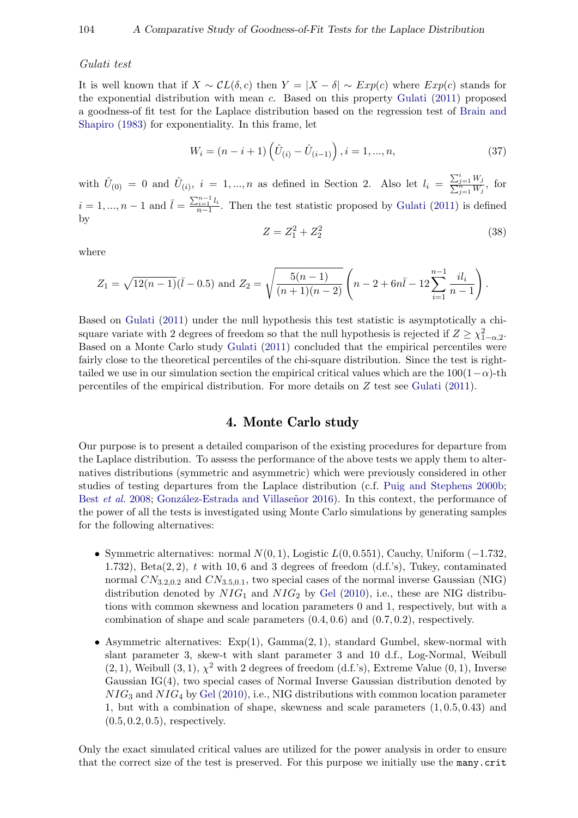#### Gulati test

It is well known that if  $X \sim CL(\delta, c)$  then  $Y = |X - \delta| \sim Exp(c)$  where  $Exp(c)$  stands for the exponential distribution with mean c. Based on this property [Gulati](#page-19-9) [\(2011\)](#page-19-9) proposed a goodness-of fit test for the Laplace distribution based on the regression test of [Brain and](#page-19-16) [Shapiro](#page-19-16) [\(1983\)](#page-19-16) for exponentiality. In this frame, let

$$
W_i = (n - i + 1) \left( \hat{U}_{(i)} - \hat{U}_{(i-1)} \right), i = 1, ..., n,
$$
\n(37)

with  $\hat{U}_{(0)} = 0$  and  $\hat{U}_{(i)}$ ,  $i = 1, ..., n$  as defined in Section 2. Also let  $l_i = \frac{\sum_{i=1}^{n} (l_i - l_i)}{\sum_{i=1}^{n} (l_i - l_i)}$ P  $\frac{j=1}{\substack{n \ j=1}}^i \frac{W_j}{W_j}$ , for  $i = 1, ..., n-1$  and  $\bar{l} = \frac{\sum_{i=1}^{n-1} l_i}{n-1}$ . Then the test statistic proposed by [Gulati](#page-19-9) [\(2011\)](#page-19-9) is defined by

$$
Z = Z_1^2 + Z_2^2 \tag{38}
$$

where

$$
Z_1 = \sqrt{12(n-1)}(\overline{l} - 0.5) \text{ and } Z_2 = \sqrt{\frac{5(n-1)}{(n+1)(n-2)}} \left( n - 2 + 6n\overline{l} - 12 \sum_{i=1}^{n-1} \frac{il_i}{n-1} \right).
$$

Based on [Gulati](#page-19-9) [\(2011\)](#page-19-9) under the null hypothesis this test statistic is asymptotically a chisquare variate with 2 degrees of freedom so that the null hypothesis is rejected if  $Z \geq \chi^2_{1-\alpha,2}$ . Based on a Monte Carlo study [Gulati](#page-19-9) [\(2011\)](#page-19-9) concluded that the empirical percentiles were fairly close to the theoretical percentiles of the chi-square distribution. Since the test is righttailed we use in our simulation section the empirical critical values which are the  $100(1-\alpha)$ -th percentiles of the empirical distribution. For more details on Z test see [Gulati](#page-19-9) [\(2011\)](#page-19-9).

# 4. Monte Carlo study

Our purpose is to present a detailed comparison of the existing procedures for departure from the Laplace distribution. To assess the performance of the above tests we apply them to alternatives distributions (symmetric and asymmetric) which were previously considered in other studies of testing departures from the Laplace distribution (c.f. [Puig and Stephens](#page-20-17) [2000b;](#page-20-17) Best *[et al.](#page-19-10)* [2008;](#page-19-10) González-Estrada and Villaseñor [2016\)](#page-19-3). In this context, the performance of the power of all the tests is investigated using Monte Carlo simulations by generating samples for the following alternatives:

- Symmetric alternatives: normal  $N(0, 1)$ , Logistic  $L(0, 0.551)$ , Cauchy, Uniform (−1.732, 1.732), Beta $(2, 2)$ , t with 10,6 and 3 degrees of freedom  $(d.f.'s)$ , Tukey, contaminated normal  $CN_{3.2,0.2}$  and  $CN_{3.5,0.1}$ , two special cases of the normal inverse Gaussian (NIG) distribution denoted by  $NIG_1$  and  $NIG_2$  by [Gel](#page-19-4) [\(2010\)](#page-19-4), i.e., these are NIG distributions with common skewness and location parameters 0 and 1, respectively, but with a combination of shape and scale parameters  $(0.4, 0.6)$  and  $(0.7, 0.2)$ , respectively.
- Asymmetric alternatives:  $Exp(1)$ ,  $Gamma(2, 1)$ , standard Gumbel, skew-normal with slant parameter 3, skew-t with slant parameter 3 and 10 d.f., Log-Normal, Weibull  $(2, 1)$ , Weibull  $(3, 1)$ ,  $\chi^2$  with 2 degrees of freedom  $(d.f.'s)$ , Extreme Value  $(0, 1)$ , Inverse Gaussian IG(4), two special cases of Normal Inverse Gaussian distribution denoted by  $NIG_3$  and  $NIG_4$  by [Gel](#page-19-4) [\(2010\)](#page-19-4), i.e., NIG distributions with common location parameter 1, but with a combination of shape, skewness and scale parameters (1, 0.5, 0.43) and  $(0.5, 0.2, 0.5)$ , respectively.

Only the exact simulated critical values are utilized for the power analysis in order to ensure that the correct size of the test is preserved. For this purpose we initially use the many.crit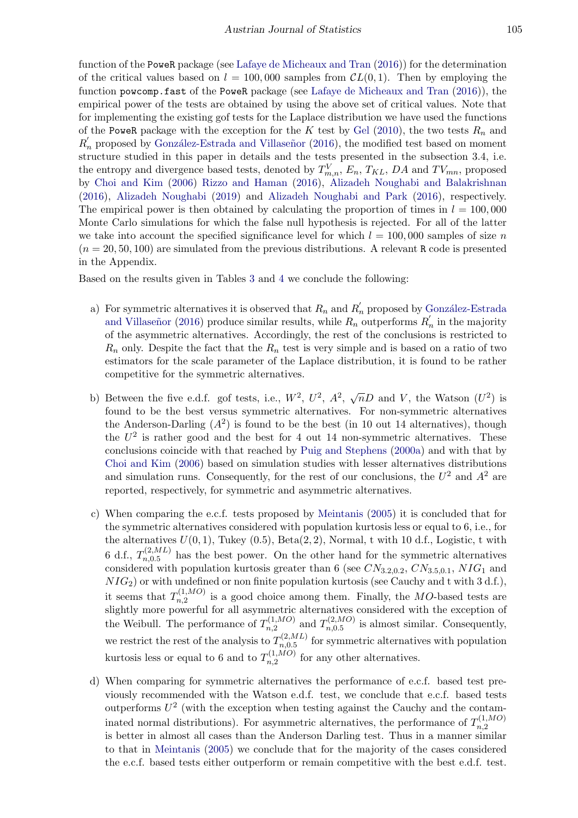function of the PoweR package (see [Lafaye de Micheaux and Tran](#page-20-18) [\(2016\)](#page-20-18)) for the determination of the critical values based on  $l = 100,000$  samples from  $CL(0, 1)$ . Then by employing the function powcomp.fast of the PoweR package (see [Lafaye de Micheaux and Tran](#page-20-18) [\(2016\)](#page-20-18)), the empirical power of the tests are obtained by using the above set of critical values. Note that for implementing the existing gof tests for the Laplace distribution we have used the functions of the PoweR package with the exception for the K test by [Gel](#page-19-4) [\(2010\)](#page-19-4), the two tests  $R_n$  and  $R'_n$  proposed by González-Estrada and Villaseñor [\(2016\)](#page-19-3), the modified test based on moment structure studied in this paper in details and the tests presented in the subsection 3.4, i.e. the entropy and divergence based tests, denoted by  $T_{m,n}^V$ ,  $E_n$ ,  $T_{KL}$ ,  $DA$  and  $TV_{mn}$ , proposed by [Choi and Kim](#page-19-5) [\(2006\)](#page-19-5) [Rizzo and Haman](#page-20-10) [\(2016\)](#page-20-10), [Alizadeh Noughabi and Balakrishnan](#page-19-6) [\(2016\)](#page-19-6), [Alizadeh Noughabi](#page-19-7) [\(2019\)](#page-19-7) and [Alizadeh Noughabi and Park](#page-19-8) [\(2016\)](#page-19-8), respectively. The empirical power is then obtained by calculating the proportion of times in  $l = 100,000$ Monte Carlo simulations for which the false null hypothesis is rejected. For all of the latter we take into account the specified significance level for which  $l = 100,000$  samples of size n  $(n = 20, 50, 100)$  are simulated from the previous distributions. A relevant R code is presented in the Appendix.

Based on the results given in Tables [3](#page-15-0) and [4](#page-16-0) we conclude the following:

- a) For symmetric alternatives it is observed that  $R_n$  and  $R'_n$  proposed by González-Estrada and Villaseñor [\(2016\)](#page-19-3) produce similar results, while  $R_n$  outperforms  $R'_n$  in the majority of the asymmetric alternatives. Accordingly, the rest of the conclusions is restricted to  $R_n$  only. Despite the fact that the  $R_n$  test is very simple and is based on a ratio of two estimators for the scale parameter of the Laplace distribution, it is found to be rather competitive for the symmetric alternatives.
- b) Between the five e.d.f. gof tests, i.e.,  $W^2$ ,  $U^2$ ,  $A^2$ ,  $\sqrt{n}D$  and V, the Watson  $(U^2)$  is found to be the best versus symmetric alternatives. For non-symmetric alternatives the Anderson-Darling  $(A^2)$  is found to be the best (in 10 out 14 alternatives), though the  $U^2$  is rather good and the best for 4 out 14 non-symmetric alternatives. These conclusions coincide with that reached by [Puig and Stephens](#page-20-5) [\(2000a\)](#page-20-5) and with that by [Choi and Kim](#page-19-5) [\(2006\)](#page-19-5) based on simulation studies with lesser alternatives distributions and simulation runs. Consequently, for the rest of our conclusions, the  $U^2$  and  $A^2$  are reported, respectively, for symmetric and asymmetric alternatives.
- c) When comparing the e.c.f. tests proposed by [Meintanis](#page-20-6) [\(2005\)](#page-20-6) it is concluded that for the symmetric alternatives considered with population kurtosis less or equal to 6, i.e., for the alternatives  $U(0, 1)$ , Tukey  $(0.5)$ , Beta $(2, 2)$ , Normal, t with 10 d.f., Logistic, t with 6 d.f.,  $T_{n,0.5}^{(2,ML)}$  $n_{n,0.5}^{(2,ML)}$  has the best power. On the other hand for the symmetric alternatives considered with population kurtosis greater than 6 (see  $CN_{3.2,0.2}$ ,  $CN_{3.5,0.1}$ ,  $NIG_1$  and  $NIG_2$ ) or with undefined or non finite population kurtosis (see Cauchy and t with 3 d.f.), it seems that  $T_{n,2}^{(1,MO)}$  $\sum_{n=2}^{(1,MO)}$  is a good choice among them. Finally, the MO-based tests are slightly more powerful for all asymmetric alternatives considered with the exception of the Weibull. The performance of  $T_{n,2}^{(1,MO)}$  $T_{n,2}^{(1,MO)}$  and  $T_{n,0.5}^{(2,MO)}$  $\sum_{n,0.5}^{(2,MO)}$  is almost similar. Consequently, we restrict the rest of the analysis to  $T_{n,0.5}^{(2,ML)}$  $n_{n,0.5}^{(2,ML)}$  for symmetric alternatives with population kurtosis less or equal to 6 and to  $T_{n,2}^{(1,MO)}$  $n,2$  for any other alternatives.
- d) When comparing for symmetric alternatives the performance of e.c.f. based test previously recommended with the Watson e.d.f. test, we conclude that e.c.f. based tests outperforms  $U^2$  (with the exception when testing against the Cauchy and the contaminated normal distributions). For asymmetric alternatives, the performance of  $T_{n,2}^{(1,MO)}$  $n,2$ is better in almost all cases than the Anderson Darling test. Thus in a manner similar to that in [Meintanis](#page-20-6) [\(2005\)](#page-20-6) we conclude that for the majority of the cases considered the e.c.f. based tests either outperform or remain competitive with the best e.d.f. test.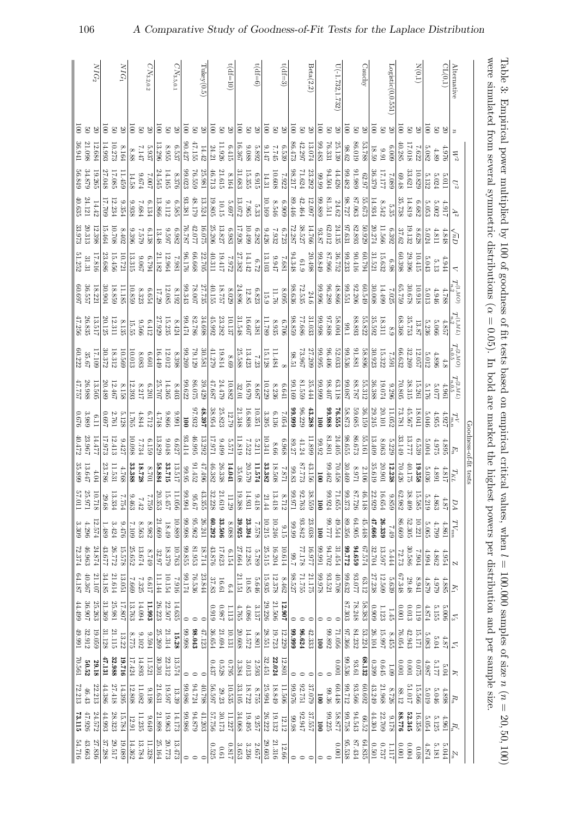<span id="page-15-0"></span>

| were simulated from several symmetric distributions |                                  |                   |                                     |                      |                                                |                        |                                          |                                 |                                                 |                                               |                      |                                |                      |                            |                     |                    |                                               |                  |                      |                        |                     |                      |                          |
|-----------------------------------------------------|----------------------------------|-------------------|-------------------------------------|----------------------|------------------------------------------------|------------------------|------------------------------------------|---------------------------------|-------------------------------------------------|-----------------------------------------------|----------------------|--------------------------------|----------------------|----------------------------|---------------------|--------------------|-----------------------------------------------|------------------|----------------------|------------------------|---------------------|----------------------|--------------------------|
|                                                     |                                  |                   |                                     |                      |                                                |                        |                                          |                                 |                                                 |                                               |                      | Goodness-of-fit tests          |                      |                            |                     |                    |                                               |                  |                      |                        |                     |                      |                          |
| Alternative                                         | $\boldsymbol{u}$                 | $W^2$             | U2                                  | $A^2$                | $\sum_{n}$                                     | ₹                      | $\frac{T_{n,2}^{(1,MO)}}{T_{n,2}^{(2)}}$ | $T_{n,2}^{\left( 1,ML\right) }$ | $T_{n,0.5}^{(2,MO)}$                            | $T_{n,0.5}^{(2,ML)}$                          |                      | $E_n$                          | $T_{KL}$             | ÞД                         | $TV_{mn}$           | Z                  | $K_1$                                         | $\mathbb{Z}$     | $\mathbb{Z}$         | R                      | $R_n$               | $R_n'$               | $Z_n$                    |
| CL(0,1)                                             |                                  | 0.616             | 10.011                              | - 917                | 4.848                                          | 4.944                  | 4.788                                    | 4.857                           |                                                 | 1961                                          | 4.927                | 4.895                          | 4.817                | 4.87                       | 4.861               | 4.954              | 4.885                                         | $-3000$          | $4.87$               | 5.04                   | 4.898               | 1.961                | 5.044                    |
|                                                     | 30 <sup>o</sup>                  | 4.89              | $5.024$                             | 5.002                | 4.811                                          | 5.13                   | $4.946$                                  | 5.066                           | 4.896                                           | 2.077                                         | 4.955                | $4.975$                        | $4.891$              | 4.863                      | 4.799               | 4.862              | 6267                                          | 5.155            | $5.04$               | 5.177                  | $5.046\,$           | $5.125$              | 5.181                    |
|                                                     | $\overline{5}$                   | 5.082             | $5.132\,$                           | 5.053                | 5.024                                          | 5.043                  | 5.013                                    | 5.236                           | 5.012                                           | 5.176                                         | 5.046                | 5.004                          | 5.036                | 5.219                      | 5.065               | $4.994\,$          | 4.879                                         | $4.874\,$        | 5.083                | 4.987                  | 5.019               | 5.054                | $4.874\,$                |
| N(0,1)                                              | $\infty$                         | 7.622             | 10.829                              | 6.682                | 8.628                                          | 10.415                 | 10.918                                   | 13.87                           | 12.057                                          | 15.261                                        | 18.041               | 6.539                          | 19.358               | 15.585                     | 10.221              | 1.904              | 176.8                                         | 0.119            | 15.171               | 0.075                  | 15.566              | 16.358               | $0.08$                   |
|                                                     | $\mathbf{g}$                     | 17.018            | 33.621                              | 14.819               | 19.132                                         | 29.396                 | $30.678\,$                               | 35.753                          | 32.269                                          | 38.315                                        | 45.567               | 13.777                         | 40.175               | 38.409                     | 52.305              | 30.586             | $29.48\,$                                     | $0.013\,$        | 42.943               | $100.0$                | 71.017              | 52.345               | $0.004$                  |
|                                                     | $\overline{5}$                   | 40.285            | $69.48\,$                           | 35.738               | 37.62                                          | 60.398                 | 65.759                                   | 68.368                          | 66.632                                          | 70.805                                        | 13.781               | 33.149                         | 70.426               | 32.982                     | 699.98              | 72.73              | 67.348                                        | <b>DOO</b> :0    | 16.054               | $100.0$                | $88.12\,$           | 922'88               | $0.001\,$                |
| Logistic(0,0.551)                                   | $20\,$                           | 600°9             | 680'1                               | 5.35                 | 6.392                                          | 6.98                   | 7.025                                    | 8.9                             | 1.591                                           | 9.296                                         | 11.052               | $5.229$<br>8.063               | 12.238               | 9.859                      | 67.7                | 5.444              | 5.639                                         | 1.45             | 8.455                | $0.09$                 | 8.726               | $9.178$              | 1117                     |
|                                                     |                                  | 16'6              | 17.177                              | $8.542\,$            | 11.566                                         | 15.632                 | $66t \pm 1$                              | 18.311                          | 15.322                                          | 19.074                                        | 20.101               |                                | 20.901               | 16.654                     | 26.339              | 13.597             | 12.509                                        | 1.123            | 15.997               | $0.645\,$              | 21.968              | $22.709\,$           | 787.0                    |
|                                                     | $\overline{5}$                   | 18.59             | 36.379                              | 14.934               | 20.274                                         | 31.521                 | 30.008                                   | 35.592                          | 30.923                                          | 36.388                                        | 29.245               | 13.409                         | 35.619               | 22.929                     | 47.666              | 32.704             | 27.238                                        | 60600            | 26.104               | 0.399                  | 43.249              | 44.304               | 0.501                    |
| Cauchy                                              | $\overline{0}$                   | 53.788            | 62.97                               | 55.673               | 50.929                                         | 162.09                 | 60.549                                   | 55.822                          | 58.896                                          | 55.312                                        | 36.159               | 55.161                         | 2.106                | 46.148                     | 45.448              | 57.574             | $63.12\,$                                     | 58.383           | 53.224               | 68.132                 | 60.692              | $66.52$              | 64.835                   |
|                                                     | $\mathbf{g}$                     | 86.019            | 686'16                              | 87.063               | 82.893                                         | 91776                  | 92.206                                   | 88.893                          | 1.881                                           | 187.88                                        | 59.685               | 86.673                         | $126\,8$             | 37.726                     | 64.905              | 04.659             | 770.89                                        | 78.248           | 84.232               | $93.61\,$              | 93.566              | 94.543               | 87.434                   |
| $U(-1.732, 1.732)$                                  | $\overline{5}$                   | 25.139<br>98.62   | 89.482<br>44.426                    | 727.80<br>$24.62\,$  | 189.26<br>24.135                               | 99.233<br>36.752       | 199.551<br>48.866                        | 58.004<br>00.1                  | 99.536<br>52.033                                | 280.087<br>$63.118\,$                         | 58.873<br>76.555     | 98.655<br>24.405               | 30.469<br>82702      | 39.373<br>1.655            | 89.356<br>49.544    | 222'66<br>31.454   | 99.632<br>$80\rlap{.}^\circ\!\!.01$           | 87.303           | 97.366<br>990'12     | 99.536<br><b>LOO.0</b> | 20.712<br>60.448    | 778.877<br>89.758    | 95.538<br>100.0          |
|                                                     | $\frac{20}{20}$                  | 76.331            | 94.504                              | 81.511               | 62.012                                         | 87.966                 | 96.289                                   | 808.76                          | $90*306$                                        | 201.86                                        | 886'66               | $1.801\,$                      | 69.462               | 99.924                     | 777.00              | 94.702             | $93.521\,$                                    |                  | 89.892               |                        | $99.36\,$           | 99.225               |                          |
|                                                     | $\overline{0}$                   | 887'66            | 66'66                               | 99.889               | $93.87\,$                                      | 678'66                 | 966'66                                   | 866'66                          | 36.995                                          | 666'66                                        | $\overline{5}$       | 26.92                          | $\overline{00}$      | 100                        | $\overline{00}$     | 166'66             | 826'66                                        |                  | 100                  | 0                      | 1001                | $\overline{5}$       | $\circ$                  |
| Beta(2,2)                                           | $\overline{0}$                   | $13.074\,$        | 23.292                              | 12.097               | 14.766                                         | 20.498                 | 24.6                                     | 31.033                          | 27.209                                          | 35.444                                        | 43.288               | 11.899                         | 43.156               | 38.559                     | 23.038              | 16.977             | 21.175                                        |                  | 42.333               |                        | 37.079              | 37.557               | $\circ$                  |
|                                                     | $\overline{5}$<br>$\mathfrak{S}$ | 86.473<br>42.297  | 98.217<br>71.624                    | 89.446<br>$42.464\,$ | 72.287<br>38.527                               | 94.348<br>61.9         | $72.535$ $\,$                            | 98.859<br>989'11                | $13.86$<br>$190.51$                             | 81.559<br>99.169                              | 666°66<br>96.229     | $89.27\,$<br>41.24             | 87.773<br>$99.83\,$  | 126'66<br>32.763           | $93.842\,$<br>66'66 | 77.178<br>$1.66\,$ | 725.80<br>71.755                              |                  | 6.624<br>666'66      | $\circ$                | 926'66<br>122.791   | 2.947<br>86.98       | $\circ$<br>$\circ$       |
| $t(df=3)$                                           | $\infty$                         | 6.539             | 7.922                               | 606'9                | 6.723                                          | 1891                   | 8.095                                    | 902.9                           |                                                 | $\begin{array}{c} 6.641 \\ 8.236 \end{array}$ | F <sub>2054</sub>    | 896'9                          | 7.871                | 8.712                      | 9.15                | 10.614             | $8.462\,$                                     | 12.907           | 12.229               | [2.80]                 | 11.506              | $12.12\,$            | 12.66                    |
|                                                     | $\overline{5}$<br>$\mathbb{S}$   | 9.147<br>372.2    | $10.608\,$<br>14.31                 | 10.169<br>$8.546\,$  | 9.426<br>7.932                                 | 13.103<br>$\it 216^o6$ | 92.11<br>15.9                            | 11.789<br>$8.935\,$             | 11.484<br>15.128                                | 10.229                                        | 3.395<br>$6.136\,$   | 10.341<br>$8.66\,$             | $33.382\,$<br>18.508 | 21.44<br>13.418            | 10.215<br>10.246    | 25.515<br>16.204   | 15.935<br>$12.378\,$                          | 29.226<br>21.506 | 28.551<br>19.723     | 32.451<br>$22.024\,$   | 25.994<br>$948.849$ | 26.222<br>$19.132\,$ | $29.603\,$<br>$21.316\,$ |
| $t(d=6)$                                            |                                  | 5.892             | 6.915                               | 5.33                 | 6.282                                          | 6.72                   | 6.823                                    | 8.381                           | 7.23                                            | 89.87                                         | 10.351               | 5.211                          | 11.574               | $9.418\,$                  | 829.2               | 682.9              | 5.646                                         | 3.137            | $8.801\,$            | 2.593                  | 8.755               | 9.257                | 2.657                    |
|                                                     | 50                               | $880^\circ$ 6     | 15.355                              | $2.965$              | 10.499                                         | 14.142                 | $12.85\,$                                | 16.607                          | 13.423                                          | 626'91                                        | $16.808\,$           | 7.522                          | 20.579               | 14.931                     | 23.394              | 12.285             | $10.85\,$                                     | 4.086            | 14.572               | $3.013\,$              | 18.722              | $19.495\,$           | 3.236                    |
|                                                     | $\overline{5}$                   | 16.367            | 31.683                              | 13.072               | 17.926                                         | 27.382                 | 24.896                                   | 31.548                          | 25.588                                          | 32.01                                         | 21.348               | 11.819                         | $35.08\,$            | 19.388                     | 39.925              | 27.664             | 21.151                                        | 4.765            | 20.608               | $3.384\,$              | 33.105              | 34.068               | 3.653                    |
| $t(df=10)$                                          | 30 <sup>o</sup>                  | 11.926<br>6.415   | 21.615<br>$8.164\,$                 | $10.15\,$<br>7.697   | $\begin{array}{c} 6.983 \\ 13.827 \end{array}$ | 19.417<br>7.972        | $8.029$<br>18.757                        | 23.282<br>10.137                | 69.8                                            | 24.479<br>10.882                              | $25.823$<br>12.79    | $\frac{66F}{129}$ G            | 26.338<br>14.041     | <b>81.619</b><br>$11.29\,$ | 33.506<br>8.088     | 17.623<br>6.154    | 6.4                                           | 1860<br>1.113    | $21.694\,$<br>10.131 | 0.528<br>962.0         | 10.535<br>$29.23\,$ | 30.173<br>11.227     | 718.0<br>$19.0\,$        |
|                                                     | $\overline{5}$                   | 24.21             | 46.713                              | 19.805               | 25.206                                         | 40.311                 | 40.155                                   | 45.992                          | $\begin{array}{c} 19.814 \\ 41.279 \end{array}$ | 47.687                                        | 38.954               | 17.971                         | 46.382               | 32.228                     | 60.292              | $43.876$           | $\begin{array}{c} 16.61 \\ 37.83 \end{array}$ | 6160             | $36.654\,$           | 0.437                  | 56.597              | 92.756               | 0.525                    |
| $_{\rm Tukey(0.5)}$                                 | $\frac{20}{20}$                  | 14.42             | 25.981                              | 13.524               | 16.075                                         | 22.705                 | 27.735                                   | 34.698                          | 30.581                                          | $39.429\,$                                    | 48.397               | 13.292                         | $47.496$             | 43.355                     | $26.241\,$          | 18.714             | $23.844\,$                                    |                  | 47.123               |                        | 40.798              | 41.203               | $\circ$                  |
|                                                     |                                  | 47.155            | 76.559                              | $48.179$             | 42.077                                         | 89999                  | 78.007                                   | 82.786                          | 79.129                                          | 86.075                                        | 97.932               | 46.995                         | 91.452               | 95.67                      | 95.962              | 81.953             | 76.536                                        |                  | 98.043               |                        | 12724               | 94.879               | $\circ$                  |
|                                                     | $\overline{5}$                   | 127.06            | 99.023                              | 93.381               | 76.787                                         | 921'96                 | 99.343                                   | <b>FLF</b> 66                   | 99.269                                          | 99.622                                        | 100                  | 93.414                         | 39.95                | <b>F66:66</b>              | 866.68              | 99.855             | 174                                           |                  | 866'66               | $\circ$                | 986'66              | 986'66               | $\circ$                  |
| ${\cal C} N_{3.5,0.1}$                              | $\infty$                         | 6.537             | 8.376                               | 6.585                | 6.982                                          | 1.981                  | $8.192\,$                                | 8.424                           | 8.398                                           | $8.403\,$                                     | 166'6                | $6.627$                        | 13.517               | 11.056                     | 10.889              | 10.763             | $916.7$                                       | 14.635           | 15.28                | 13.574                 | $13.39\,$           | 14.173               | 13.473                   |
|                                                     | $\overline{5}$<br>$\mathbf{g}$   | 13.296<br>$8.955$ | 24.545<br>14.165                    | 13.866<br>9.112      | 7937<br>$13.48\,$                              | 21.182<br>12.964       | 12.085<br>$17.29$                        | 27.929<br>15.235                | 12.012<br>16.449                                | 25.707<br>14.365                              | 998'6<br>4.748       | 13.829<br>$\boldsymbol{9.048}$ | 58.884<br>33.715     | 20.353<br>15.457           | 21.669<br>18.49     | 18.379<br>32.97    | 11.144<br>10.154                              | 26.223<br>22.507 | 25.269<br>21.314     | 30.301<br>$22.312\,$   | 21.631<br>19.597    | 21.898<br>19.963     | 25.164<br>20.773         |
| $\overline{C}N_{3.2,0.2}$                           |                                  | 5.937             | 200'Z                               | 6.134                | 6.138                                          | F62'9                  |                                          | 6.412                           | <b>LO<sub>0.</sub></b>                          | 6.201                                         | 6.712                | 6159                           | 107.8                | 692.2                      | 8.982               | 61/3               | 119'9                                         | 11.993           | 9.594                | 11.521                 | 8198                | 0.649                | 11.328                   |
|                                                     | $\frac{20}{50}$                  | $7.147$           | $\textit{F}\textit{L}9^\textit{-}6$ | 1.684                | $62\,2$ $\!\!2$                                | 79.067                 | $6.654$<br>8.323                         | 9566                            | $8.083\,$                                       | $8.217\,$                                     | $4.844$              | FSL2                           | 18.728               | 7.42                       | 8.563               | $13.674\,$         | 7.325                                         | 14.094           | $9.102\,$            | 14.893                 | 11.082              | 11.235               | 13.784                   |
|                                                     | $\overline{5}$                   | 88.8              | 14.58                               | 9.938                | 9.396                                          | 13.315                 | 10.859                                   | 15.55                           | 10.013                                          | 12.393                                        | 1.765                | 10.098                         | 33.388               | 63463                      | 601'2               | 25.652             | 699'1                                         | 13.763           | 5.775                | 17.424                 | 12.808              | 12.91                | 14.362                   |
| $NG_1$                                              | $\frac{20}{20}$                  | 8.164             | 11.459                              | 9.354                | $8.402\,$                                      | 10.721                 | 11.185                                   | 8.135                           | 10.569                                          | 8.158                                         | 5.128                | 9.427                          | 4.768                | 1.754                      | 92176               | 15.578             | 13.051                                        | 17.807           | 13.22                | 19.716                 | 14.395              | 15.784               | 19.089                   |
|                                                     |                                  | 10.273            | 17.085                              | 12.234               | 10.708                                         | 15.456                 | 18.859                                   | 12.311                          | $18.312\,$                                      | 12.467                                        | 2.761                | 12.413                         | 11.531               | 13.334                     | 3.424               | 26.772             | 21.614                                        | 25.981           | 21.115               | 32.988                 | 27.418              | 28.323               | 29.517                   |
|                                                     | $\overline{5}$                   | 14.993            | 27.048                              | 602.71               | 15.464                                         | 23.686                 | 30.904                                   | 20.125                          | 30.372                                          | 20.489                                        | 269'0                | 17.973                         | 23.786               | 29.68                      | 1.489               | 43.677             | 34.185                                        | 31.369           | 31.128               | 47.131                 | 44.386              | 44.993               | 37.288                   |
| $NIG_2$                                             |                                  | 12.684            | 19.265                              | 14.42                | 12.398                                         | 17.816                 | 18.221                                   | 13.517                          | 17.109                                          | 13.505                                        | <b>E.11</b>          | 14.477                         | $4.04$               | 10.718                     | 12.574              | 24.874             | 21.107                                        | 25.263           | 19.059               | 29.18                  | 22.213              | 24.572               | 27.836                   |
|                                                     | $\overline{5}$                   | 36.941<br>21.098  | 56.849<br>34.879                    | 40.635<br>24.121     | $20.313$ $\phantom{1}32.973$                   | 51.252<br>31.31        | 36.557<br>7557                           | 47.256<br>26.835                | 60.222<br>35.67                                 | 47.757<br>26.988                              | $929^\circ$<br>3.989 | 40.472<br>23.967               | 35.899<br>$13.647\,$ | 110.75<br>25.971           | 4.296               | 46.963<br>72.374   | 64.187<br>40.367                              | 36.907           | $49.991\,$<br>32.912 | 70.561<br>50.52        | 72.213<br>46.43     | 47.926               | 91279<br>43.663          |
|                                                     |                                  |                   |                                     |                      |                                                |                        |                                          |                                 |                                                 |                                               |                      |                                |                      |                            | 3.309               |                    |                                               | $667\,44$        |                      |                        |                     | 73.115               |                          |

106 A Comparative Study of Goodness-of-Fit Tests for the Laplace Distribution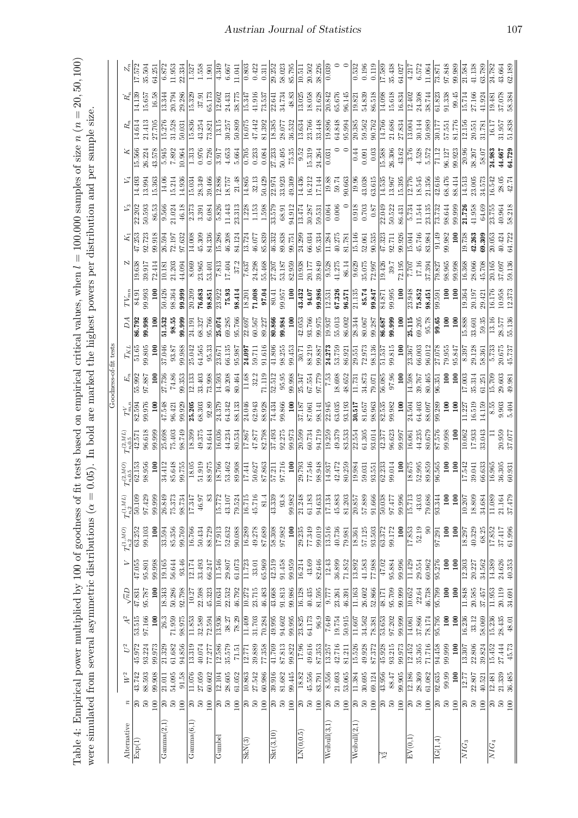| able 4: Empirical power multiplied by 100 of goodness of fit tests based on empirical critical values, when $l = 100.000$ samples of size $n (n = 20, 50, 100)$<br>0.05). In bold are marked the highest powers per distribution and per sample size.<br>$\alpha =$<br>vere simulated from several asymmetric distributions | toodness-of-fit tests |
|-----------------------------------------------------------------------------------------------------------------------------------------------------------------------------------------------------------------------------------------------------------------------------------------------------------------------------|-----------------------|
|-----------------------------------------------------------------------------------------------------------------------------------------------------------------------------------------------------------------------------------------------------------------------------------------------------------------------------|-----------------------|

<span id="page-16-0"></span>

| Alternative                      | $\boldsymbol{z}$         | $\,W^2$ | $U^2$  | A <sup>2</sup>  | $\sqrt{n}D$     | $\geq$             | ${\cal T}_{n,2}^{(1,MO)}$  | $T_{n,2}^{\left( 1,ML\right) }$ | $r_{n,0.5}^{(2,MO)}$                                                                                  | $\frac{\Gamma_{n,0.5}^{(2,ML)}}{42.571}$ 96.618 |                                                                                                                                                                 |                                                                                                                                                                                                                                                                        | $T_{KL}$                                                                                                                                 |                                                                                                                                                                                                                                                                                                                                                                     | $TV_{m}$                                                                                                                                                                                                                                                                                                                                                              |                  |                                                                                                                                                                                                                                                                                                 |                                                                                                                                                                                                                                                                                                               | $\mathcal{Z}$                                                                                                                                                                                                                                                                                       |                                                                                                                                                                                                                                                                                                      |                                                                                                                                  | $\stackrel{\circ}{\cal N}$                                                                                   |
|----------------------------------|--------------------------|---------|--------|-----------------|-----------------|--------------------|----------------------------|---------------------------------|-------------------------------------------------------------------------------------------------------|-------------------------------------------------|-----------------------------------------------------------------------------------------------------------------------------------------------------------------|------------------------------------------------------------------------------------------------------------------------------------------------------------------------------------------------------------------------------------------------------------------------|------------------------------------------------------------------------------------------------------------------------------------------|---------------------------------------------------------------------------------------------------------------------------------------------------------------------------------------------------------------------------------------------------------------------------------------------------------------------------------------------------------------------|-----------------------------------------------------------------------------------------------------------------------------------------------------------------------------------------------------------------------------------------------------------------------------------------------------------------------------------------------------------------------|------------------|-------------------------------------------------------------------------------------------------------------------------------------------------------------------------------------------------------------------------------------------------------------------------------------------------|---------------------------------------------------------------------------------------------------------------------------------------------------------------------------------------------------------------------------------------------------------------------------------------------------------------|-----------------------------------------------------------------------------------------------------------------------------------------------------------------------------------------------------------------------------------------------------------------------------------------------------|------------------------------------------------------------------------------------------------------------------------------------------------------------------------------------------------------------------------------------------------------------------------------------------------------|----------------------------------------------------------------------------------------------------------------------------------|--------------------------------------------------------------------------------------------------------------|
| Exp(1)                           | $\frac{20}{50}$          | 43.742  | 45.972 | 53.515          | 47.831          | 47.055             | 63.252                     | 50.109                          |                                                                                                       |                                                 | $\frac{T_{m,n}^V}{82.594}$                                                                                                                                      | $\frac{E_n}{55.992}$                                                                                                                                                                                                                                                   | $\frac{51.65}{39.805}$                                                                                                                   | $\frac{D\,A}{86.792}$<br>99.998                                                                                                                                                                                                                                                                                                                                     | 84.91<br>99.993                                                                                                                                                                                                                                                                                                                                                       |                  | $\frac{K_1}{47.253}$ 92.723                                                                                                                                                                                                                                                                     |                                                                                                                                                                                                                                                                                                               | 15.566<br>26.224<br>$\begin{array}{l} 11.493\\ 12.508\\ 13.508\\ 14.51\\ 15.11\\ 16.21\\ 17.50\\ 18.50\\ 19.50\\ 13.50\\ 14.50\\ 15.50\\ 16.50\\ 17.50\\ 18.50\\ 19.50\\ 11.50\\ 12.50\\ 13.50\\ 14.50\\ 15.50\\ 16.50\\ 17.50\\ 18.50\\ 19.50\\ 19.50\\ 19.50\\ 19.50\\ 19.50\\ 19.50\\$           | $\begin{array}{r} R_{\pi} \\ 14.614 \\ 21.705 \\ 21.705 \\ 14.613 \\ 21.706 \\ 15.276 \\ 16.38 \\ 17.706 \\ 18.83 \\ 19.83 \\ 15.83 \\ 18.31 \\ 19.83 \\ 19.83 \\ 10.31 \\ 11.5 \\ 13.60 \\ 10.60 \\ 11.61 \\ 12.61 \\ 13.62 \\ 14.63 \\ 15.83 \\ 16.532 \\ 18.532 \\ 18.532 \\ 18.532 \\ 18.532 \\$ | $\begin{array}{r} R'_n \\ \hline 14.139 \\ 15.657 \\ 16.58 \\ \end{array}$                                                       | 17.572<br>35.504                                                                                             |
|                                  |                          | 88.593  | 93.224 | 97.166          | 95.787          | 95.801             | 99.103                     | 97.429                          | 98.956                                                                                                |                                                 |                                                                                                                                                                 |                                                                                                                                                                                                                                                                        |                                                                                                                                          |                                                                                                                                                                                                                                                                                                                                                                     |                                                                                                                                                                                                                                                                                                                                                                       |                  |                                                                                                                                                                                                                                                                                                 |                                                                                                                                                                                                                                                                                                               |                                                                                                                                                                                                                                                                                                     |                                                                                                                                                                                                                                                                                                      |                                                                                                                                  |                                                                                                              |
|                                  | 100                      | 99.908  | 99.973 | $\frac{100}{2}$ | $\frac{8}{100}$ | 99.998             | $\frac{8}{100}$            | 99.999                          |                                                                                                       | 99.999                                          | $\overline{5}$                                                                                                                                                  | $\Xi$                                                                                                                                                                                                                                                                  | $\overline{100}$                                                                                                                         |                                                                                                                                                                                                                                                                                                                                                                     |                                                                                                                                                                                                                                                                                                                                                                       |                  | 9.918                                                                                                                                                                                                                                                                                           | 86.53                                                                                                                                                                                                                                                                                                         |                                                                                                                                                                                                                                                                                                     |                                                                                                                                                                                                                                                                                                      |                                                                                                                                  | 64.251                                                                                                       |
| Gamma(2,1)                       | $\frac{20}{50}$          | 21.011  | 21.329 | 26.3            | 18.343          | 19.165             | 33.594                     | 26.849                          | 34.412                                                                                                | 25.698                                          | 3F9.21                                                                                                                                                          |                                                                                                                                                                                                                                                                        |                                                                                                                                          |                                                                                                                                                                                                                                                                                                                                                                     | 50.426<br>98.364                                                                                                                                                                                                                                                                                                                                                      |                  |                                                                                                                                                                                                                                                                                                 |                                                                                                                                                                                                                                                                                                               |                                                                                                                                                                                                                                                                                                     | 5.945<br>7.892                                                                                                                                                                                                                                                                                       | 0.794                                                                                                                            |                                                                                                              |
|                                  |                          | 54.095  | 61.682 | 71.959          | 50.286          | 56.644             | 85.356                     | 75.373                          | 85.648                                                                                                | 75.403                                          | 96.421<br>99.929<br>25.205                                                                                                                                      | 27.736<br>74.86<br>99.353                                                                                                                                                                                                                                              | $\frac{37.046}{93.87}$                                                                                                                   |                                                                                                                                                                                                                                                                                                                                                                     |                                                                                                                                                                                                                                                                                                                                                                       |                  | 26.594<br>72.197<br>97.632                                                                                                                                                                                                                                                                      |                                                                                                                                                                                                                                                                                                               |                                                                                                                                                                                                                                                                                                     |                                                                                                                                                                                                                                                                                                      |                                                                                                                                  | 11.953                                                                                                       |
|                                  | 100                      | 91.58   | 94.856 | 98.975          | 92.798          | 93.46              | 99.769                     | 98.734                          | 99.755                                                                                                | 98.749                                          |                                                                                                                                                                 |                                                                                                                                                                                                                                                                        | 99.988<br>25.042                                                                                                                         |                                                                                                                                                                                                                                                                                                                                                                     | 99.999                                                                                                                                                                                                                                                                                                                                                                |                  |                                                                                                                                                                                                                                                                                                 |                                                                                                                                                                                                                                                                                                               |                                                                                                                                                                                                                                                                                                     | 10.964                                                                                                                                                                                                                                                                                               | 29.286                                                                                                                           | 22.334                                                                                                       |
| Gamma(6,1)                       | $20\,$                   | 11.076  | 13.319 | 11.853          | 10.27           | 12.174             | 16.766                     | 17.347                          | 18.05                                                                                                 | 8.399                                           |                                                                                                                                                                 |                                                                                                                                                                                                                                                                        |                                                                                                                                          |                                                                                                                                                                                                                                                                                                                                                                     |                                                                                                                                                                                                                                                                                                                                                                       |                  | 4.008                                                                                                                                                                                                                                                                                           |                                                                                                                                                                                                                                                                                                               |                                                                                                                                                                                                                                                                                                     | $\frac{1.313}{0.978}$                                                                                                                                                                                                                                                                                | 5.329                                                                                                                            | 1.527                                                                                                        |
|                                  | $\rm S$                  | 27.059  | 40.074 | 32.589          | 22.598          | 33.493             | 50.434                     | $46.97\,$                       | 51.919<br>88.975                                                                                      | 49.375                                          | 68.303<br>92.89                                                                                                                                                 |                                                                                                                                                                                                                                                                        | $34.565$<br>95.33                                                                                                                        |                                                                                                                                                                                                                                                                                                                                                                     |                                                                                                                                                                                                                                                                                                                                                                       |                  |                                                                                                                                                                                                                                                                                                 |                                                                                                                                                                                                                                                                                                               |                                                                                                                                                                                                                                                                                                     |                                                                                                                                                                                                                                                                                                      |                                                                                                                                  | $1.558$<br>$1.901$                                                                                           |
|                                  | 100                      | 60.602  | 77.277 | 72.594          | 45.323          | 66.247             | 88.729                     | 83                              |                                                                                                       | 84.644                                          |                                                                                                                                                                 |                                                                                                                                                                                                                                                                        |                                                                                                                                          | $\begin{array}{r} \n 51.532 \\  \hline\n 98.55 \\  \hline\n 99.999 \\  \hline\n 24.191 \\  \hline\n 38.327 \\  \hline\n 36.766\n \end{array}$                                                                                                                                                                                                                       | $\begin{array}{l} 20.209 \\ \textbf{76.683} \\ \textbf{76.693} \\ \textbf{88.851} \\ \textbf{12.923} \\ \textbf{75.93} \\ \textbf{18.414} \\ \textbf{10.201} \\ \textbf{11.008} \\ \textbf{12.014} \\ \textbf{13.04} \\ \textbf{14.06} \\ \textbf{15.07} \\ \textbf{16.08} \\ \textbf{17.04} \\ \textbf{18.07} \\ \textbf{19.08} \\ \textbf{10.08} \\ \textbf{14.08}$ |                  |                                                                                                                                                                                                                                                                                                 | $\begin{array}{l} 9.56 \\ 9.50 \\ 21.0 \\ 46.1 \\ 3.53 \\ 4.83 \\ 5.31 \\ 6.6 \\ 7.43 \\ 8.30 \\ 1.43 \\ 2.31 \\ 2.31 \\ 2.32 \\ 2.43 \\ 2.31 \\ 2.43 \\ 2.53 \\ 2.58 \\ 2.58 \\ 2.51 \\ 2.53 \\ 2.53 \\ 2.53 \\ 2.53 \\ 2.53 \\ 2.53 \\ 2.53 \\ 2.53 \\ 2.53 \\ 2.53 \\ 2.53 \\ 2.53 \\ 2.53 \\ 2.53 \\ 2.5$ |                                                                                                                                                                                                                                                                                                     |                                                                                                                                                                                                                                                                                                      | $\frac{37.91}{35.173}$                                                                                                           |                                                                                                              |
| Gumbe                            | $\approx$                | 12.104  | 12.586 | 13.936          | 10.634          | 11.546             | 17.913                     | 15.772                          | 8.766                                                                                                 | $\frac{16.036}{ }$                              | 24.379<br>64.342                                                                                                                                                |                                                                                                                                                                                                                                                                        | 23.671                                                                                                                                   |                                                                                                                                                                                                                                                                                                                                                                     |                                                                                                                                                                                                                                                                                                                                                                       |                  |                                                                                                                                                                                                                                                                                                 |                                                                                                                                                                                                                                                                                                               |                                                                                                                                                                                                                                                                                                     |                                                                                                                                                                                                                                                                                                      |                                                                                                                                  | $\frac{4.349}{6.667}$                                                                                        |
|                                  | $\rm 50$                 | 28.605  | 35.579 | 38.27           | 22.532          | 29.807             | 52.632                     | 43.107                          | 53.462<br>89.908                                                                                      | 44.234<br>80.534                                |                                                                                                                                                                 |                                                                                                                                                                                                                                                                        | 66.135<br>95.987                                                                                                                         | $\begin{array}{l} \textbf{25.074} \\ \textbf{36.285} \\ \textbf{69.5766} \\ \textbf{50.766} \\ \textbf{61.766} \\ \textbf{70.567} \\ \textbf{81.766} \\ \textbf{93.227} \\ \textbf{10.866} \\ \textbf{11.93} \\ \textbf{12.053} \\ \textbf{13.766} \\ \textbf{14.053} \\ \textbf{15.057} \\ \textbf{16.058} \\ \textbf{17.059} \\ \textbf{18.059} \\ \textbf{19.05$ |                                                                                                                                                                                                                                                                                                                                                                       |                  |                                                                                                                                                                                                                                                                                                 |                                                                                                                                                                                                                                                                                                               |                                                                                                                                                                                                                                                                                                     | $\frac{3.917}{4.653}$                                                                                                                                                                                                                                                                                | 24.431<br>38.775                                                                                                                 |                                                                                                              |
|                                  | 100                      | 61.052  | 71.51  | 78.29           | 46.792          | 61.073             | 90.088                     | 79.524                          |                                                                                                       |                                                 | 88.133                                                                                                                                                          |                                                                                                                                                                                                                                                                        |                                                                                                                                          |                                                                                                                                                                                                                                                                                                                                                                     |                                                                                                                                                                                                                                                                                                                                                                       |                  |                                                                                                                                                                                                                                                                                                 |                                                                                                                                                                                                                                                                                                               |                                                                                                                                                                                                                                                                                                     |                                                                                                                                                                                                                                                                                                      |                                                                                                                                  | 1.041                                                                                                        |
| SkN(3)                           | $\underset{5}{\text{O}}$ | 10.863  | 12.771 | 11.409          | 10.272          | $\frac{11.723}{2}$ | 16.289                     | 16.715                          | $\begin{array}{r} \hline 17.441 \\ 50.627 \\ 87.863 \\ \hline 57.211 \\ 97.716 \\ \hline \end{array}$ | 17.867<br>47.877                                | $\frac{24.046}{62.943}$<br>62.943<br>88.928<br>74.434<br>99.866                                                                                                 |                                                                                                                                                                                                                                                                        | 24.097<br>59.711                                                                                                                         |                                                                                                                                                                                                                                                                                                                                                                     |                                                                                                                                                                                                                                                                                                                                                                       |                  |                                                                                                                                                                                                                                                                                                 |                                                                                                                                                                                                                                                                                                               | $\begin{array}{r} \hline 0.705 \\ 0.233 \\ 0.084 \\ 27.233 \\ 50.495 \\ 75.35 \\ 9.52 \\ 15.319 \\ 15.319 \\ 15.324.264 \end{array}$                                                                                                                                                                |                                                                                                                                                                                                                                                                                                      | $\begin{array}{r} 15.347 \\ 41.916 \\ 73.537 \\ 22.641 \\ 34.734 \end{array}$                                                    | $\frac{0.803}{0.422}$                                                                                        |
|                                  |                          | 27.542  | 39.889 | 31.703          | 23.715          | 33.01              | 49.278                     | 45.716                          |                                                                                                       |                                                 |                                                                                                                                                                 |                                                                                                                                                                                                                                                                        |                                                                                                                                          |                                                                                                                                                                                                                                                                                                                                                                     |                                                                                                                                                                                                                                                                                                                                                                       |                  |                                                                                                                                                                                                                                                                                                 |                                                                                                                                                                                                                                                                                                               |                                                                                                                                                                                                                                                                                                     |                                                                                                                                                                                                                                                                                                      |                                                                                                                                  |                                                                                                              |
|                                  | 100                      | 60.986  | 77.358 | 70.284          | 46.483          | 65.969             | 87.689                     | 81.4                            |                                                                                                       | 82.798                                          |                                                                                                                                                                 |                                                                                                                                                                                                                                                                        |                                                                                                                                          |                                                                                                                                                                                                                                                                                                                                                                     |                                                                                                                                                                                                                                                                                                                                                                       |                  |                                                                                                                                                                                                                                                                                                 |                                                                                                                                                                                                                                                                                                               |                                                                                                                                                                                                                                                                                                     |                                                                                                                                                                                                                                                                                                      |                                                                                                                                  | 0.311                                                                                                        |
| Skt(3,10)                        | $\phantom{0}20$          | 39.916  | 41.769 | 49.995          | 43.668          | 42.519             | 58.308                     | 43.339                          |                                                                                                       | $\frac{37.493}{5}$                              |                                                                                                                                                                 |                                                                                                                                                                                                                                                                        |                                                                                                                                          |                                                                                                                                                                                                                                                                                                                                                                     |                                                                                                                                                                                                                                                                                                                                                                       |                  |                                                                                                                                                                                                                                                                                                 |                                                                                                                                                                                                                                                                                                               |                                                                                                                                                                                                                                                                                                     |                                                                                                                                                                                                                                                                                                      |                                                                                                                                  |                                                                                                              |
|                                  |                          | 81.682  | 87.813 | 94.602          | 91.813          | 91.458             | 97.982                     | 93.8                            |                                                                                                       | 92.275                                          |                                                                                                                                                                 |                                                                                                                                                                                                                                                                        |                                                                                                                                          |                                                                                                                                                                                                                                                                                                                                                                     |                                                                                                                                                                                                                                                                                                                                                                       |                  |                                                                                                                                                                                                                                                                                                 |                                                                                                                                                                                                                                                                                                               |                                                                                                                                                                                                                                                                                                     |                                                                                                                                                                                                                                                                                                      |                                                                                                                                  |                                                                                                              |
|                                  | 100                      | 99.445  | 99.822 | 99.995          | 99.986          | 99.959             | 100                        | 99.982                          |                                                                                                       | 99.973                                          |                                                                                                                                                                 |                                                                                                                                                                                                                                                                        | $\begin{array}{r} 91.616 \\ 41.806 \\ 98.255 \\ 99.453 \end{array}$                                                                      |                                                                                                                                                                                                                                                                                                                                                                     |                                                                                                                                                                                                                                                                                                                                                                       |                  |                                                                                                                                                                                                                                                                                                 |                                                                                                                                                                                                                                                                                                               |                                                                                                                                                                                                                                                                                                     |                                                                                                                                                                                                                                                                                                      | 48.83                                                                                                                            |                                                                                                              |
| LN(0, 0.5)                       | $\phantom{0}50$          | 18.82   | 17.96  | 23.825          | 16.128          | 16.214             | 29.235                     | 21.248                          |                                                                                                       | 20.599<br>60.734<br>94.719                      |                                                                                                                                                                 |                                                                                                                                                                                                                                                                        |                                                                                                                                          |                                                                                                                                                                                                                                                                                                                                                                     |                                                                                                                                                                                                                                                                                                                                                                       |                  |                                                                                                                                                                                                                                                                                                 |                                                                                                                                                                                                                                                                                                               |                                                                                                                                                                                                                                                                                                     |                                                                                                                                                                                                                                                                                                      | 13.025<br>18.058<br>21.628                                                                                                       | $\begin{array}{l} \hline 29.252 \\ 58.023 \\ 85.795 \\ \hline 10.511 \\ 20.502 \\ \hline 38.226 \end{array}$ |
|                                  |                          | 45.556  | 49.616 | 64.173          | 40.435          | 43.69              | 77.349                     | 61.183                          |                                                                                                       |                                                 |                                                                                                                                                                 |                                                                                                                                                                                                                                                                        |                                                                                                                                          |                                                                                                                                                                                                                                                                                                                                                                     |                                                                                                                                                                                                                                                                                                                                                                       |                  |                                                                                                                                                                                                                                                                                                 |                                                                                                                                                                                                                                                                                                               |                                                                                                                                                                                                                                                                                                     |                                                                                                                                                                                                                                                                                                      |                                                                                                                                  |                                                                                                              |
|                                  | 100                      | 83.791  | 87.353 | 96.9            | 81.595          | 82.646             | 99.019                     | 94.633                          | $\begin{array}{l} \hline 29.793 \\ 77.546 \\ 98.948 \\ 14.937 \\ 42.472 \\ \hline \end{array}$        |                                                 |                                                                                                                                                                 |                                                                                                                                                                                                                                                                        |                                                                                                                                          |                                                                                                                                                                                                                                                                                                                                                                     | $\begin{array}{l} 43.432 \\ 94.07 \\ 99.986 \\ 12.531 \\ 67.326 \\ \end{array}$                                                                                                                                                                                                                                                                                       |                  |                                                                                                                                                                                                                                                                                                 |                                                                                                                                                                                                                                                                                                               |                                                                                                                                                                                                                                                                                                     |                                                                                                                                                                                                                                                                                                      |                                                                                                                                  |                                                                                                              |
| $\overline{\text{Weibull}}(3,1)$ | $\overline{20}$          | 8.556   | 13.257 | 7.649           | 1777            | 12.43              | 13.516                     | 17.134                          |                                                                                                       | $\frac{19.259}{49.379}$<br>83.533               |                                                                                                                                                                 |                                                                                                                                                                                                                                                                        |                                                                                                                                          |                                                                                                                                                                                                                                                                                                                                                                     |                                                                                                                                                                                                                                                                                                                                                                       |                  |                                                                                                                                                                                                                                                                                                 |                                                                                                                                                                                                                                                                                                               | $\frac{3}{0.03}$                                                                                                                                                                                                                                                                                    |                                                                                                                                                                                                                                                                                                      | 20.842<br>65.676<br>96.145                                                                                                       | $\frac{3}{0.039}$                                                                                            |
|                                  | $50\,$                   | 21.693  | 42.716 | 19.754          | 23.261          | 36.899             | 40.736                     | 45.883                          |                                                                                                       |                                                 |                                                                                                                                                                 |                                                                                                                                                                                                                                                                        |                                                                                                                                          |                                                                                                                                                                                                                                                                                                                                                                     |                                                                                                                                                                                                                                                                                                                                                                       |                  |                                                                                                                                                                                                                                                                                                 |                                                                                                                                                                                                                                                                                                               |                                                                                                                                                                                                                                                                                                     |                                                                                                                                                                                                                                                                                                      |                                                                                                                                  |                                                                                                              |
|                                  | $100\,$                  | 53.065  | 81.211 | 50.915          | 46.391          | 71.852             | 79.981                     | 81.203                          |                                                                                                       |                                                 |                                                                                                                                                                 |                                                                                                                                                                                                                                                                        |                                                                                                                                          |                                                                                                                                                                                                                                                                                                                                                                     |                                                                                                                                                                                                                                                                                                                                                                       |                  |                                                                                                                                                                                                                                                                                                 |                                                                                                                                                                                                                                                                                                               |                                                                                                                                                                                                                                                                                                     |                                                                                                                                                                                                                                                                                                      |                                                                                                                                  |                                                                                                              |
| $\overline{\text{Weibull}}(2,1)$ | $\mathbb{S}^2$           | 11.384  | 15.526 | 11.607          | 11.163          | 13.892             | 18.361                     | 20.857                          | $\frac{19.984}{59.031}$                                                                               | 22.554                                          | $\begin{array}{l} \hline 37.187 \\ 87.061 \\ 88.141 \\ 98.141 \\ 20.945 \\ 63.035 \\ 63.131 \\ \hline 93.191 \\ 51.7 \\ 85.657 \\ 86.963 \\ \hline \end{array}$ | $\begin{array}{l} \bf{12.133\pm0.008\pm0.008\pm0.008\pm0.008\pm0.008\pm0.008\pm0.008\pm0.008\pm0.008\pm0.008\pm0.008\pm0.008\pm0.008\pm0.008\pm0.008\pm0.008\pm0.008\pm0.008\pm0.008\pm0.008\pm0.008\pm0.008\pm0.008\pm0.008\pm0.008\pm0.008\pm0.008\pm0.008\pm0.008\$ | $\begin{array}{l} 30.71 \\ 30.219 \\ 88.219 \\ 99.887 \\ 24.273 \\ 53.759 \\ 86.921 \\ 72.973 \\ 72.973 \\ 72.973 \\ 98.136 \end{array}$ |                                                                                                                                                                                                                                                                                                                                                                     |                                                                                                                                                                                                                                                                                                                                                                       |                  | $\begin{array}{l} 45.336 \\ 54.386 \\ 15.286 \\ 16.208 \\ 17.71 \\ 24.121 \\ 25.136 \\ 26.121 \\ 27.121 \\ 28.133 \\ 29.133 \\ 23.15 \\ 24.15 \\ 25.15 \\ 26.15 \\ 27.15 \\ 28.15 \\ 29.15 \\ 20.61 \\ 23.15 \\ 24.15 \\ 25.15 \\ 26.15 \\ 27.15 \\ 28.15 \\ 29.15 \\ 20.61 \\ 20.535 \\ 20.61$ |                                                                                                                                                                                                                                                                                                               |                                                                                                                                                                                                                                                                                                     | $\begin{array}{c} 0.44 \\ 0.091 \\ 0.03 \end{array}$                                                                                                                                                                                                                                                 |                                                                                                                                  | 0.532                                                                                                        |
|                                  | $\rm 50$                 | 30.695  | 49.928 | 34.562          | 26.602          | 41.583             | 57.125                     | 57.889                          |                                                                                                       | $61.305$<br>$93.014$                            |                                                                                                                                                                 |                                                                                                                                                                                                                                                                        |                                                                                                                                          |                                                                                                                                                                                                                                                                                                                                                                     |                                                                                                                                                                                                                                                                                                                                                                       |                  |                                                                                                                                                                                                                                                                                                 |                                                                                                                                                                                                                                                                                                               |                                                                                                                                                                                                                                                                                                     |                                                                                                                                                                                                                                                                                                      |                                                                                                                                  | $0.196$<br>$0.119$                                                                                           |
|                                  | 100                      | 69.124  | 87.372 | 78.381          | 52.866          | 77.988             | 93.503                     | 91.666                          |                                                                                                       |                                                 |                                                                                                                                                                 |                                                                                                                                                                                                                                                                        |                                                                                                                                          |                                                                                                                                                                                                                                                                                                                                                                     |                                                                                                                                                                                                                                                                                                                                                                       |                  |                                                                                                                                                                                                                                                                                                 |                                                                                                                                                                                                                                                                                                               |                                                                                                                                                                                                                                                                                                     |                                                                                                                                                                                                                                                                                                      |                                                                                                                                  |                                                                                                              |
| $\chi^2_2$                       | $\overline{\mathbb{R}}$  | 43.956  | 45.928 | 53.653          | 48.171          | 47.02              | 63.372                     | 50.038                          | $\frac{62.233}{99.014}$                                                                               | 12.377                                          |                                                                                                                                                                 |                                                                                                                                                                                                                                                                        |                                                                                                                                          |                                                                                                                                                                                                                                                                                                                                                                     |                                                                                                                                                                                                                                                                                                                                                                       |                  |                                                                                                                                                                                                                                                                                                 |                                                                                                                                                                                                                                                                                                               |                                                                                                                                                                                                                                                                                                     |                                                                                                                                                                                                                                                                                                      |                                                                                                                                  |                                                                                                              |
|                                  | $\rm 50$                 | 88.47   | 93.215 | 97.202          | 95.709          | 95.884             | 99.172                     | 127.15                          |                                                                                                       | 96.623<br>99.997                                | 82.535<br>99.982<br>100                                                                                                                                         |                                                                                                                                                                                                                                                                        | 51.537<br>99.815<br>100                                                                                                                  |                                                                                                                                                                                                                                                                                                                                                                     |                                                                                                                                                                                                                                                                                                                                                                       |                  |                                                                                                                                                                                                                                                                                                 |                                                                                                                                                                                                                                                                                                               |                                                                                                                                                                                                                                                                                                     |                                                                                                                                                                                                                                                                                                      |                                                                                                                                  | $\frac{17.589}{35.438}$<br>64.027                                                                            |
|                                  | 100                      | 99.905  | 99.973 | 99.999          | 99.999          | 99.996             | 100                        | 99.996                          | $\frac{5}{2}$                                                                                         |                                                 |                                                                                                                                                                 |                                                                                                                                                                                                                                                                        |                                                                                                                                          |                                                                                                                                                                                                                                                                                                                                                                     |                                                                                                                                                                                                                                                                                                                                                                       |                  |                                                                                                                                                                                                                                                                                                 |                                                                                                                                                                                                                                                                                                               |                                                                                                                                                                                                                                                                                                     |                                                                                                                                                                                                                                                                                                      |                                                                                                                                  |                                                                                                              |
| EV(0,1                           | $\approx$<br>$\rm 50$    | 12.186  | 12.452 | 14.061          | 10.652          | 11.429             | 17.853                     | 15.713                          | 18.675                                                                                                | 16.061                                          | 24.504<br>64.403<br>88.097                                                                                                                                      | 14.598<br>39.767<br>80.465<br>96.351                                                                                                                                                                                                                                   | $\frac{23.367}{66.003}$                                                                                                                  | $\begin{array}{r} 19.937 \\ 19.013 \\ 55.013 \\ 86.002 \\ 88.344 \\ 89.003 \\ 80.008 \\ \textbf{86.009} \\ \textbf{88.019} \\ \textbf{99.011} \\ 90.705 \\ 90.705 \\ \textbf{100} \\ 90.705 \\ \textbf{101} \\ 90.705 \\ \textbf{101} \\ 90.88 \\ \textbf{102} \\ 90.705 \\ \textbf{103} \\ 90.705 \\ \textbf{104} \\ 15.888 \\ \textbf{$                           | $\begin{array}{r} \n 11.135 \\  \hline\n 85.74 \\  \hline\n 89.847 \\  \hline\n 84.871 \\  \hline\n 84.871 \\  \hline\n 99.947 \\  \hline\n 100 \\  \hline\n 100 \\  \hline\n 12.948 \\  \hline\n 75.852 \\  \end{array}$                                                                                                                                             |                  | 47.323<br>92.711<br>99.926<br>15.746<br>45.746<br>45.746                                                                                                                                                                                                                                        | $\begin{array}{l} 22.049 \\ 25.052 \\ 56.52 \\ 86.431 \\ 11.544 \\ 23.135 \\ 73.732 \\ 73.732 \\ 86.643 \\ \textbf{11.726} \\ 73.644 \\ 11.736 \\ 13.135 \\ 14.958 \\ \end{array}$                                                                                                                            | $\begin{array}{r} 19.96 \\ 19.03 \\ 14.59 \\ 15.89 \\ 16.59 \\ 17.76 \\ 18.59 \\ 19.77 \\ 10.74 \\ 11.39 \\ 12.76 \\ 13.39 \\ 14.59 \\ 15.73 \\ 16.16 \\ 17.59 \\ 18.57 \\ 19.59 \\ 14.51 \\ 15.53 \\ 16.57 \\ 17.53 \\ 18.57 \\ 19.53 \\ 14.53 \\ 15.57 \\ 16.57 \\ 17.58 \\ 18.57 \\ 19.59 \\ 19$ | $\begin{array}{r} \hline 15.588 \\ 26.306 \\ 43.62 \\ \hline 3.76 \\ 4.572 \\ \hline 5.572 \\ \hline \end{array}$                                                                                                                                                                                    | $\begin{array}{l} 19.821 \\ 54.839 \\ 86.518 \\ 14.098 \\ 15.613 \\ 16.834 \\ 10.3434 \\ 12.402 \\ 24.308 \\ 38.744 \end{array}$ | $\begin{array}{r} 4.217 \\ 6.572 \\ 1.064 \\ 1.3871 \\ \end{array}$                                          |
|                                  |                          | 28.369  | 35.365 | 37.866          | 22.64           | 29.554             | 52.19                      | $43.03\,$                       | 52.995<br>89.859                                                                                      | 44.235<br>80.679                                |                                                                                                                                                                 |                                                                                                                                                                                                                                                                        |                                                                                                                                          |                                                                                                                                                                                                                                                                                                                                                                     |                                                                                                                                                                                                                                                                                                                                                                       |                  |                                                                                                                                                                                                                                                                                                 |                                                                                                                                                                                                                                                                                                               |                                                                                                                                                                                                                                                                                                     |                                                                                                                                                                                                                                                                                                      |                                                                                                                                  |                                                                                                              |
|                                  | 100                      | 61.082  | 71.716 | 78.174          | 46.738          | 60.962             | $\boldsymbol{\mathcal{S}}$ | 79.686                          |                                                                                                       |                                                 |                                                                                                                                                                 |                                                                                                                                                                                                                                                                        |                                                                                                                                          |                                                                                                                                                                                                                                                                                                                                                                     | 98.451                                                                                                                                                                                                                                                                                                                                                                |                  |                                                                                                                                                                                                                                                                                                 |                                                                                                                                                                                                                                                                                                               |                                                                                                                                                                                                                                                                                                     |                                                                                                                                                                                                                                                                                                      |                                                                                                                                  |                                                                                                              |
| IG(1, 4)                         | $\underset{5}{\text{O}}$ | 92.635  | 94.458 | 95.795          | 95.799          | 95.276             | 97.291                     | 93.344                          | 96.565<br>100                                                                                         | 87.576<br>99.998                                |                                                                                                                                                                 |                                                                                                                                                                                                                                                                        |                                                                                                                                          |                                                                                                                                                                                                                                                                                                                                                                     |                                                                                                                                                                                                                                                                                                                                                                       |                  |                                                                                                                                                                                                                                                                                                 |                                                                                                                                                                                                                                                                                                               |                                                                                                                                                                                                                                                                                                     | 71.12                                                                                                                                                                                                                                                                                                |                                                                                                                                  |                                                                                                              |
|                                  |                          | 99.99   | 99.999 | 100             | $100\,$         | 100                | 100                        | 100                             |                                                                                                       |                                                 | $\frac{1}{100}$                                                                                                                                                 |                                                                                                                                                                                                                                                                        | 27.078<br>79.955<br>95.847                                                                                                               |                                                                                                                                                                                                                                                                                                                                                                     | $\begin{array}{c} \overline{99.591} \\ 100 \end{array}$                                                                                                                                                                                                                                                                                                               |                  | $\frac{91.49}{99.982}$                                                                                                                                                                                                                                                                          |                                                                                                                                                                                                                                                                                                               | 96.127<br>99.923                                                                                                                                                                                                                                                                                    |                                                                                                                                                                                                                                                                                                      | $\frac{61.823}{91.338}$                                                                                                          |                                                                                                              |
|                                  | 100                      | 100     | 100    | 100             | $100\,$         | 100                | $100\,$                    | 100                             | $\Xi$                                                                                                 |                                                 |                                                                                                                                                                 | $\tilde{5}$                                                                                                                                                                                                                                                            |                                                                                                                                          |                                                                                                                                                                                                                                                                                                                                                                     | $\overline{5}$                                                                                                                                                                                                                                                                                                                                                        |                  |                                                                                                                                                                                                                                                                                                 |                                                                                                                                                                                                                                                                                                               |                                                                                                                                                                                                                                                                                                     |                                                                                                                                                                                                                                                                                                      |                                                                                                                                  | 99.989<br>21.584                                                                                             |
| $\overline{NG_3}$                | $\overline{20}$          | 12.77   | 13.307 | 16.236          | 11.848          | 12.303             | 18.297                     | $10.207\,$                      | 17.542                                                                                                | 10.062                                          | 11.227                                                                                                                                                          | $\frac{17.003}{35.314}$                                                                                                                                                                                                                                                | 8.397                                                                                                                                    |                                                                                                                                                                                                                                                                                                                                                                     | 19.364<br>20.197                                                                                                                                                                                                                                                                                                                                                      |                  | $\frac{19.738}{42.263}$                                                                                                                                                                                                                                                                         |                                                                                                                                                                                                                                                                                                               |                                                                                                                                                                                                                                                                                                     | $\frac{96}{20.96}$                                                                                                                                                                                                                                                                                   | 15.714<br>27.166<br>41.924                                                                                                       |                                                                                                              |
|                                  | $\rm{S}$                 | 22.807  | 22.806 | 33.12           | 20.585          | 20.227             | 40.329                     | 18.809                          | 39.041                                                                                                | 17.933<br>33.043                                | 16.519<br>14.159                                                                                                                                                |                                                                                                                                                                                                                                                                        | 29.128                                                                                                                                   |                                                                                                                                                                                                                                                                                                                                                                     |                                                                                                                                                                                                                                                                                                                                                                       | 28.066<br>45.708 |                                                                                                                                                                                                                                                                                                 |                                                                                                                                                                                                                                                                                                               |                                                                                                                                                                                                                                                                                                     | 38.207                                                                                                                                                                                                                                                                                               |                                                                                                                                  | 11.138                                                                                                       |
|                                  | 100                      | 40.521  | 39.824 | 58.069          | 37.457          | 34.562             | 68.25                      | 34.684                          | 66.633                                                                                                |                                                 |                                                                                                                                                                 |                                                                                                                                                                                                                                                                        | 58.361                                                                                                                                   |                                                                                                                                                                                                                                                                                                                                                                     | 29.421                                                                                                                                                                                                                                                                                                                                                                |                  |                                                                                                                                                                                                                                                                                                 | 64.69                                                                                                                                                                                                                                                                                                         |                                                                                                                                                                                                                                                                                                     | 58.07                                                                                                                                                                                                                                                                                                |                                                                                                                                  | 33.789                                                                                                       |
| $NIG_4$                          | $\mathfrak{D}$           | 12.481  | 15.452 | 15.236          | 11.953          | 14.389             | 17.852                     | 11.089                          | 16.965                                                                                                |                                                 |                                                                                                                                                                 | 5.708                                                                                                                                                                                                                                                                  |                                                                                                                                          | 13.16                                                                                                                                                                                                                                                                                                                                                               | .6176                                                                                                                                                                                                                                                                                                                                                                 | 20.165           | 20.053                                                                                                                                                                                                                                                                                          | 23.755                                                                                                                                                                                                                                                                                                        | 24.983<br>6.542                                                                                                                                                                                                                                                                                     | 16.17                                                                                                                                                                                                                                                                                                | 0.481                                                                                                                            | 24.782                                                                                                       |
|                                  | $50\,$                   | 21.339  | 27.444 | 28.435          | 20.119          | 24.626             | 37.417                     | 21.164                          | 36.305                                                                                                | 20.959<br>37.077                                | 9.903                                                                                                                                                           |                                                                                                                                                                                                                                                                        |                                                                                                                                          | 28.577<br>55.136                                                                                                                                                                                                                                                                                                                                                    |                                                                                                                                                                                                                                                                                                                                                                       | 37.097           |                                                                                                                                                                                                                                                                                                 | $40.964$<br>58.218                                                                                                                                                                                                                                                                                            | $\begin{array}{c} 28.05 \\ 42.74 \end{array}$                                                                                                                                                                                                                                                       | 31.957<br>51.838                                                                                                                                                                                                                                                                                     |                                                                                                                                  | 13.664                                                                                                       |
|                                  | 100                      | 36.485  | 45.73  | 48.01           | 34.691          | 40.353             | 61.996                     | 37.479                          | 60.931                                                                                                |                                                 | 5.404                                                                                                                                                           | 49.981                                                                                                                                                                                                                                                                 | 45.737                                                                                                                                   |                                                                                                                                                                                                                                                                                                                                                                     | 12.373                                                                                                                                                                                                                                                                                                                                                                | 59.136           | 64.722                                                                                                                                                                                                                                                                                          |                                                                                                                                                                                                                                                                                                               | 64.729                                                                                                                                                                                                                                                                                              |                                                                                                                                                                                                                                                                                                      | 58.384                                                                                                                           | 62.189                                                                                                       |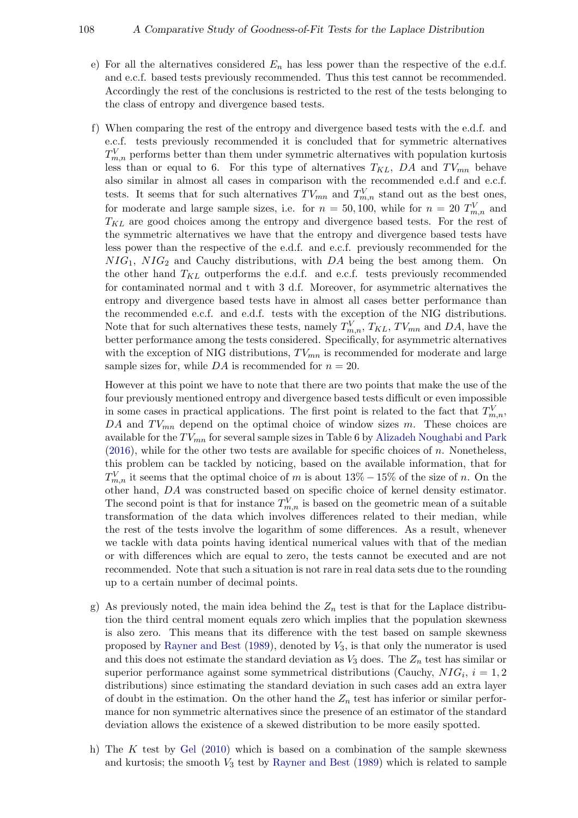- e) For all the alternatives considered  $E_n$  has less power than the respective of the e.d.f. and e.c.f. based tests previously recommended. Thus this test cannot be recommended. Accordingly the rest of the conclusions is restricted to the rest of the tests belonging to the class of entropy and divergence based tests.
- f) When comparing the rest of the entropy and divergence based tests with the e.d.f. and e.c.f. tests previously recommended it is concluded that for symmetric alternatives  $T_{m,n}^V$  performs better than them under symmetric alternatives with population kurtosis less than or equal to 6. For this type of alternatives  $T_{KL}$ , DA and  $TV_{mn}$  behave also similar in almost all cases in comparison with the recommended e.d.f and e.c.f. tests. It seems that for such alternatives  $TV_{mn}$  and  $T_{m,n}^V$  stand out as the best ones, for moderate and large sample sizes, i.e. for  $n = 50, 100$ , while for  $n = 20$   $T_{m,n}^V$  and  $T_{KL}$  are good choices among the entropy and divergence based tests. For the rest of the symmetric alternatives we have that the entropy and divergence based tests have less power than the respective of the e.d.f. and e.c.f. previously recommended for the  $NIG<sub>1</sub>, NIG<sub>2</sub>$  and Cauchy distributions, with DA being the best among them. On the other hand  $T_{KL}$  outperforms the e.d.f. and e.c.f. tests previously recommended for contaminated normal and t with 3 d.f. Moreover, for asymmetric alternatives the entropy and divergence based tests have in almost all cases better performance than the recommended e.c.f. and e.d.f. tests with the exception of the NIG distributions. Note that for such alternatives these tests, namely  $T_{m,n}^V$ ,  $T_{KL}$ ,  $TV_{mn}$  and  $DA$ , have the better performance among the tests considered. Specifically, for asymmetric alternatives with the exception of NIG distributions,  $TV_{mn}$  is recommended for moderate and large sample sizes for, while  $DA$  is recommended for  $n = 20$ .

However at this point we have to note that there are two points that make the use of the four previously mentioned entropy and divergence based tests difficult or even impossible in some cases in practical applications. The first point is related to the fact that  $T_{m,n}^V$ , DA and  $TV_{mn}$  depend on the optimal choice of window sizes m. These choices are available for the  $TV_{mn}$  for several sample sizes in Table 6 by [Alizadeh Noughabi and Park](#page-19-8)  $(2016)$ , while for the other two tests are available for specific choices of n. Nonetheless, this problem can be tackled by noticing, based on the available information, that for  $T_{m,n}^V$  it seems that the optimal choice of m is about  $13\% - 15\%$  of the size of n. On the other hand, DA was constructed based on specific choice of kernel density estimator. The second point is that for instance  $T_{m,n}^V$  is based on the geometric mean of a suitable transformation of the data which involves differences related to their median, while the rest of the tests involve the logarithm of some differences. As a result, whenever we tackle with data points having identical numerical values with that of the median or with differences which are equal to zero, the tests cannot be executed and are not recommended. Note that such a situation is not rare in real data sets due to the rounding up to a certain number of decimal points.

- g) As previously noted, the main idea behind the  $Z_n$  test is that for the Laplace distribution the third central moment equals zero which implies that the population skewness is also zero. This means that its difference with the test based on sample skewness proposed by [Rayner and Best](#page-20-7)  $(1989)$ , denoted by  $V_3$ , is that only the numerator is used and this does not estimate the standard deviation as  $V_3$  does. The  $Z_n$  test has similar or superior performance against some symmetrical distributions (Cauchy,  $NIG_i$ ,  $i = 1, 2$ distributions) since estimating the standard deviation in such cases add an extra layer of doubt in the estimation. On the other hand the  $Z_n$  test has inferior or similar performance for non symmetric alternatives since the presence of an estimator of the standard deviation allows the existence of a skewed distribution to be more easily spotted.
- h) The K test by [Gel](#page-19-4)  $(2010)$  which is based on a combination of the sample skewness and kurtosis; the smooth  $V_3$  test by [Rayner and Best](#page-20-7) [\(1989\)](#page-20-7) which is related to sample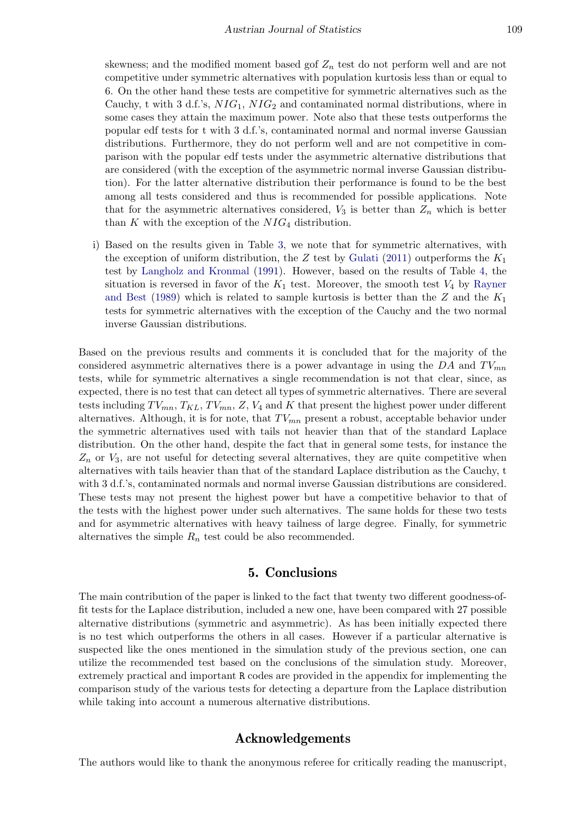skewness; and the modified moment based gof  $Z_n$  test do not perform well and are not competitive under symmetric alternatives with population kurtosis less than or equal to 6. On the other hand these tests are competitive for symmetric alternatives such as the Cauchy, t with 3 d.f.'s,  $NIG_1$ ,  $NIG_2$  and contaminated normal distributions, where in some cases they attain the maximum power. Note also that these tests outperforms the popular edf tests for t with 3 d.f.'s, contaminated normal and normal inverse Gaussian distributions. Furthermore, they do not perform well and are not competitive in comparison with the popular edf tests under the asymmetric alternative distributions that are considered (with the exception of the asymmetric normal inverse Gaussian distribution). For the latter alternative distribution their performance is found to be the best among all tests considered and thus is recommended for possible applications. Note that for the asymmetric alternatives considered,  $V_3$  is better than  $Z_n$  which is better than  $K$  with the exception of the  $NIG<sub>4</sub>$  distribution.

i) Based on the results given in Table [3,](#page-15-0) we note that for symmetric alternatives, with the exception of uniform distribution, the Z test by [Gulati](#page-19-9) [\(2011\)](#page-19-9) outperforms the  $K_1$ test by [Langholz and Kronmal](#page-20-8) [\(1991\)](#page-20-8). However, based on the results of Table [4,](#page-16-0) the situation is reversed in favor of the  $K_1$  test. Moreover, the smooth test  $V_4$  by [Rayner](#page-20-7) [and Best](#page-20-7) [\(1989\)](#page-20-7) which is related to sample kurtosis is better than the  $Z$  and the  $K_1$ tests for symmetric alternatives with the exception of the Cauchy and the two normal inverse Gaussian distributions.

Based on the previous results and comments it is concluded that for the majority of the considered asymmetric alternatives there is a power advantage in using the  $DA$  and  $TV_{mn}$ tests, while for symmetric alternatives a single recommendation is not that clear, since, as expected, there is no test that can detect all types of symmetric alternatives. There are several tests including  $TV_{mn}$ ,  $T_{KL}$ ,  $TV_{mn}$ ,  $Z$ ,  $V_4$  and  $K$  that present the highest power under different alternatives. Although, it is for note, that  $TV_{mn}$  present a robust, acceptable behavior under the symmetric alternatives used with tails not heavier than that of the standard Laplace distribution. On the other hand, despite the fact that in general some tests, for instance the  $Z_n$  or  $V_3$ , are not useful for detecting several alternatives, they are quite competitive when alternatives with tails heavier than that of the standard Laplace distribution as the Cauchy, t with 3 d.f.'s, contaminated normals and normal inverse Gaussian distributions are considered. These tests may not present the highest power but have a competitive behavior to that of the tests with the highest power under such alternatives. The same holds for these two tests and for asymmetric alternatives with heavy tailness of large degree. Finally, for symmetric alternatives the simple  $R_n$  test could be also recommended.

# 5. Conclusions

The main contribution of the paper is linked to the fact that twenty two different goodness-offit tests for the Laplace distribution, included a new one, have been compared with 27 possible alternative distributions (symmetric and asymmetric). As has been initially expected there is no test which outperforms the others in all cases. However if a particular alternative is suspected like the ones mentioned in the simulation study of the previous section, one can utilize the recommended test based on the conclusions of the simulation study. Moreover, extremely practical and important R codes are provided in the appendix for implementing the comparison study of the various tests for detecting a departure from the Laplace distribution while taking into account a numerous alternative distributions.

# Acknowledgements

The authors would like to thank the anonymous referee for critically reading the manuscript,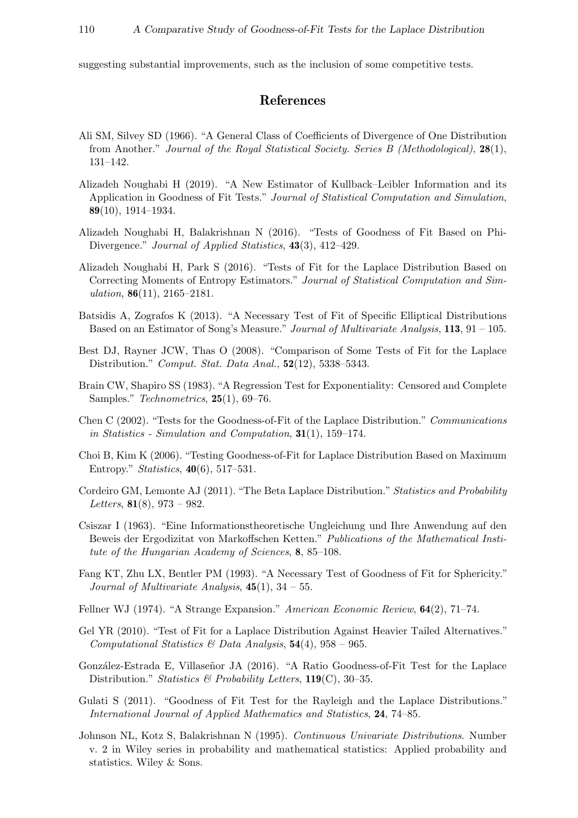suggesting substantial improvements, such as the inclusion of some competitive tests.

# References

- <span id="page-19-15"></span>Ali SM, Silvey SD (1966). "A General Class of Coefficients of Divergence of One Distribution from Another." Journal of the Royal Statistical Society. Series B (Methodological), 28(1), 131–142.
- <span id="page-19-7"></span>Alizadeh Noughabi H (2019). "A New Estimator of Kullback–Leibler Information and its Application in Goodness of Fit Tests." Journal of Statistical Computation and Simulation, 89(10), 1914–1934.
- <span id="page-19-6"></span>Alizadeh Noughabi H, Balakrishnan N (2016). "Tests of Goodness of Fit Based on Phi-Divergence." Journal of Applied Statistics, 43(3), 412–429.
- <span id="page-19-8"></span>Alizadeh Noughabi H, Park S (2016). "Tests of Fit for the Laplace Distribution Based on Correcting Moments of Entropy Estimators." Journal of Statistical Computation and Simulation,  $86(11)$ ,  $2165-2181$ .
- <span id="page-19-13"></span>Batsidis A, Zografos K (2013). "A Necessary Test of Fit of Specific Elliptical Distributions Based on an Estimator of Song's Measure." Journal of Multivariate Analysis, 113, 91 – 105.
- <span id="page-19-10"></span>Best DJ, Rayner JCW, Thas O (2008). "Comparison of Some Tests of Fit for the Laplace Distribution." Comput. Stat. Data Anal., 52(12), 5338–5343.
- <span id="page-19-16"></span>Brain CW, Shapiro SS (1983). "A Regression Test for Exponentiality: Censored and Complete Samples." Technometrics, 25(1), 69–76.
- <span id="page-19-2"></span>Chen C (2002). "Tests for the Goodness-of-Fit of the Laplace Distribution." Communications in Statistics - Simulation and Computation, 31(1), 159–174.
- <span id="page-19-5"></span>Choi B, Kim K (2006). "Testing Goodness-of-Fit for Laplace Distribution Based on Maximum Entropy." Statistics, 40(6), 517–531.
- <span id="page-19-0"></span>Cordeiro GM, Lemonte AJ (2011). "The Beta Laplace Distribution." Statistics and Probability Letters,  $81(8)$ ,  $973 - 982$ .
- <span id="page-19-14"></span>Csiszar I (1963). "Eine Informationstheoretische Ungleichung und Ihre Anwendung auf den Beweis der Ergodizitat von Markoffschen Ketten." Publications of the Mathematical Institute of the Hungarian Academy of Sciences, 8, 85–108.
- <span id="page-19-12"></span>Fang KT, Zhu LX, Bentler PM (1993). "A Necessary Test of Goodness of Fit for Sphericity." Journal of Multivariate Analysis,  $45(1)$ ,  $34-55$ .
- <span id="page-19-11"></span>Fellner WJ (1974). "A Strange Expansion." American Economic Review, 64(2), 71–74.
- <span id="page-19-4"></span>Gel YR (2010). "Test of Fit for a Laplace Distribution Against Heavier Tailed Alternatives." Computational Statistics & Data Analysis,  $54(4)$ ,  $958 - 965$ .
- <span id="page-19-3"></span>González-Estrada E, Villaseñor JA (2016). "A Ratio Goodness-of-Fit Test for the Laplace Distribution." Statistics & Probability Letters,  $119(C)$ , 30–35.
- <span id="page-19-9"></span>Gulati S (2011). "Goodness of Fit Test for the Rayleigh and the Laplace Distributions." International Journal of Applied Mathematics and Statistics, 24, 74–85.
- <span id="page-19-1"></span>Johnson NL, Kotz S, Balakrishnan N (1995). Continuous Univariate Distributions. Number v. 2 in Wiley series in probability and mathematical statistics: Applied probability and statistics. Wiley & Sons.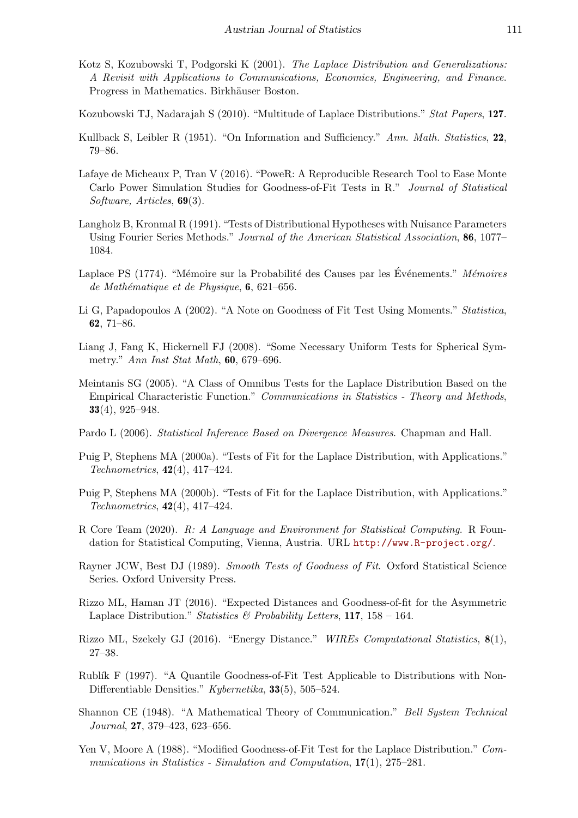- <span id="page-20-2"></span>Kotz S, Kozubowski T, Podgorski K (2001). The Laplace Distribution and Generalizations: A Revisit with Applications to Communications, Economics, Engineering, and Finance. Progress in Mathematics. Birkhäuser Boston.
- <span id="page-20-1"></span>Kozubowski TJ, Nadarajah S (2010). "Multitude of Laplace Distributions." Stat Papers, 127.
- <span id="page-20-16"></span>Kullback S, Leibler R (1951). "On Information and Sufficiency." Ann. Math. Statistics, 22, 79–86.
- <span id="page-20-18"></span>Lafaye de Micheaux P, Tran V (2016). "PoweR: A Reproducible Research Tool to Ease Monte Carlo Power Simulation Studies for Goodness-of-Fit Tests in R." Journal of Statistical Software, Articles, 69(3).
- <span id="page-20-8"></span>Langholz B, Kronmal R (1991). "Tests of Distributional Hypotheses with Nuisance Parameters Using Fourier Series Methods." Journal of the American Statistical Association, 86, 1077– 1084.
- <span id="page-20-0"></span>Laplace PS (1774). "Mémoire sur la Probabilité des Causes par les Événements." Mémoires de Mathématique et de Physique,  $6, 621-656$ .
- <span id="page-20-9"></span>Li G, Papadopoulos A (2002). "A Note on Goodness of Fit Test Using Moments." Statistica, 62, 71–86.
- <span id="page-20-11"></span>Liang J, Fang K, Hickernell FJ (2008). "Some Necessary Uniform Tests for Spherical Symmetry." Ann Inst Stat Math, 60, 679–696.
- <span id="page-20-6"></span>Meintanis SG (2005). "A Class of Omnibus Tests for the Laplace Distribution Based on the Empirical Characteristic Function." Communications in Statistics - Theory and Methods, 33(4), 925–948.
- <span id="page-20-15"></span>Pardo L (2006). Statistical Inference Based on Divergence Measures. Chapman and Hall.
- <span id="page-20-5"></span>Puig P, Stephens MA (2000a). "Tests of Fit for the Laplace Distribution, with Applications." Technometrics, 42(4), 417–424.
- <span id="page-20-17"></span>Puig P, Stephens MA (2000b). "Tests of Fit for the Laplace Distribution, with Applications." Technometrics, 42(4), 417–424.
- <span id="page-20-12"></span>R Core Team (2020). R: A Language and Environment for Statistical Computing. R Foundation for Statistical Computing, Vienna, Austria. URL <http://www.R-project.org/>.
- <span id="page-20-7"></span>Rayner JCW, Best DJ (1989). Smooth Tests of Goodness of Fit. Oxford Statistical Science Series. Oxford University Press.
- <span id="page-20-10"></span>Rizzo ML, Haman JT (2016). "Expected Distances and Goodness-of-fit for the Asymmetric Laplace Distribution." Statistics & Probability Letters,  $117$ ,  $158 - 164$ .
- <span id="page-20-14"></span>Rizzo ML, Szekely GJ (2016). "Energy Distance." WIREs Computational Statistics, 8(1), 27–38.
- <span id="page-20-4"></span>Rublík F (1997). "A Quantile Goodness-of-Fit Test Applicable to Distributions with Non-Differentiable Densities." Kybernetika, 33(5), 505–524.
- <span id="page-20-13"></span>Shannon CE (1948). "A Mathematical Theory of Communication." Bell System Technical Journal, 27, 379–423, 623–656.
- <span id="page-20-3"></span>Yen V, Moore A (1988). "Modified Goodness-of-Fit Test for the Laplace Distribution." Communications in Statistics - Simulation and Computation, 17(1), 275–281.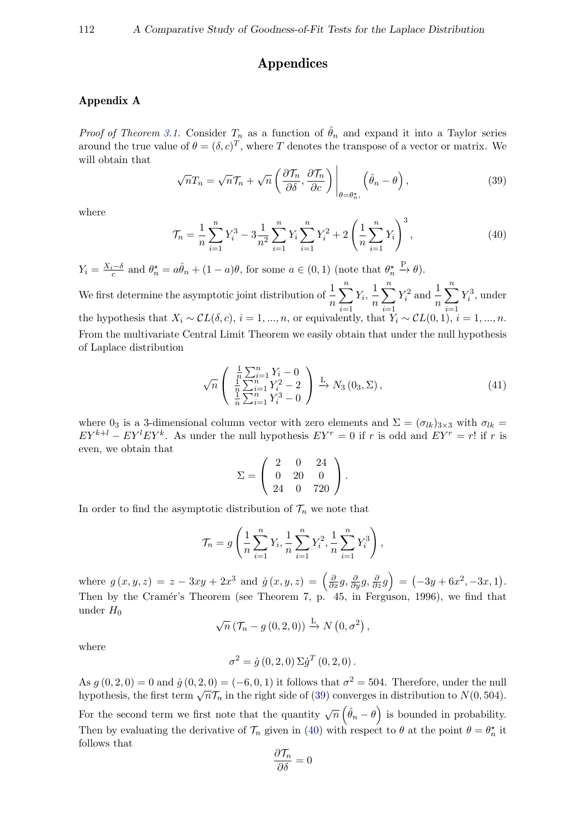# Appendices

# Appendix A

*Proof of Theorem [3.1.](#page-7-0)* Consider  $T_n$  as a function of  $\hat{\theta}_n$  and expand it into a Taylor series around the true value of  $\theta = (\delta, c)^T$ , where T denotes the transpose of a vector or matrix. We will obtain that

<span id="page-21-0"></span>
$$
\sqrt{n}T_n = \sqrt{n}\mathcal{T}_n + \sqrt{n}\left(\frac{\partial \mathcal{T}_n}{\partial \delta}, \frac{\partial \mathcal{T}_n}{\partial c}\right)\Big|_{\theta = \theta_n^{\star}}, \left(\hat{\theta}_n - \theta\right), \tag{39}
$$

<span id="page-21-1"></span>where

$$
\mathcal{T}_n = \frac{1}{n} \sum_{i=1}^n Y_i^3 - 3 \frac{1}{n^2} \sum_{i=1}^n Y_i \sum_{i=1}^n Y_i^2 + 2 \left( \frac{1}{n} \sum_{i=1}^n Y_i \right)^3, \tag{40}
$$

 $Y_i = \frac{X_i - \delta}{c}$  and  $\theta_n^* = a\hat{\theta}_n + (1 - a)\theta$ , for some  $a \in (0, 1)$  (note that  $\theta_n^*$  $\stackrel{\rm P}{\rightarrow} \theta$ ).

We first determine the asymptotic joint distribution of  $\frac{1}{n}$  $\sum_{n=1}^{\infty}$  $i=1$  $Y_i, \frac{1}{n}$ n  $\sum_{n=1}^{\infty}$  $i=1$  $Y_i^2$  and  $\frac{1}{n}$  $\sum_{n=1}^{\infty}$  $i=1$  $Y_i^3$ , under the hypothesis that  $X_i \sim CL(\delta, c)$ ,  $i = 1, ..., n$ , or equivalently, that  $Y_i \sim CL(0, 1)$ ,  $i = 1, ..., n$ . From the multivariate Central Limit Theorem we easily obtain that under the null hypothesis of Laplace distribution

$$
\sqrt{n}\left(\begin{array}{c}\frac{1}{n}\sum_{i=1}^{n}Y_{i}-0\\ \frac{1}{n}\sum_{i=1}^{n}Y_{i}^{2}-2\\ \frac{1}{n}\sum_{i=1}^{n}Y_{i}^{3}-0\end{array}\right)\xrightarrow{L} N_{3}(0_{3},\Sigma),\tag{41}
$$

where 0<sub>3</sub> is a 3-dimensional column vector with zero elements and  $\Sigma = (\sigma_{lk})_{3\times 3}$  with  $\sigma_{lk}$  $EY^{k+l} - EY^{l}EY^{k}$ . As under the null hypothesis  $EY^{r} = 0$  if r is odd and  $EY^{r} = r!$  if r is even, we obtain that

$$
\Sigma = \left(\begin{array}{ccc} 2 & 0 & 24 \\ 0 & 20 & 0 \\ 24 & 0 & 720 \end{array}\right).
$$

In order to find the asymptotic distribution of  $\mathcal{T}_n$  we note that

$$
\mathcal{T}_n = g\left(\frac{1}{n}\sum_{i=1}^n Y_i, \frac{1}{n}\sum_{i=1}^n Y_i^2, \frac{1}{n}\sum_{i=1}^n Y_i^3\right),\,
$$

where  $g(x, y, z) = z - 3xy + 2x^3$  and  $\dot{g}(x, y, z) = \left(\frac{\partial}{\partial x}g, \frac{\partial}{\partial y}g, \frac{\partial}{\partial z}g\right) = (-3y + 6x^2, -3x, 1)$ . Then by the Cramér's Theorem (see Theorem 7, p. 45, in Ferguson, 1996), we find that under  $H_0$ 

$$
\sqrt{n} \left( \mathcal{T}_n - g(0, 2, 0) \right) \xrightarrow{\mathcal{L}} N\left(0, \sigma^2\right),
$$

where

$$
\sigma^{2} = \dot{g}(0, 2, 0) \Sigma \dot{g}^{T}(0, 2, 0).
$$

As  $g(0, 2, 0) = 0$  and  $\dot{g}(0, 2, 0) = (-6, 0, 1)$  it follows that  $\sigma^2 = 504$ . Therefore, under the null  $\lim_{\delta \to 0} g(0, 2, 0) = 0$  and  $g(0, 2, 0) = (-0, 0, 1)$  it follows that  $\delta = 304$ . Therefore, under the hundred hypothesis, the first term  $\sqrt{n}\mathcal{T}_n$  in the right side of [\(39\)](#page-21-0) converges in distribution to  $N(0, 504)$ . For the second term we first note that the quantity  $\sqrt{n}(\hat{\theta}_n - \theta)$  is bounded in probability. Then by evaluating the derivative of  $\mathcal{T}_n$  given in [\(40\)](#page-21-1) with respect to  $\theta$  at the point  $\theta = \theta_n^*$  it follows that

$$
\frac{\partial \mathcal{T}_n}{\partial \delta} = 0
$$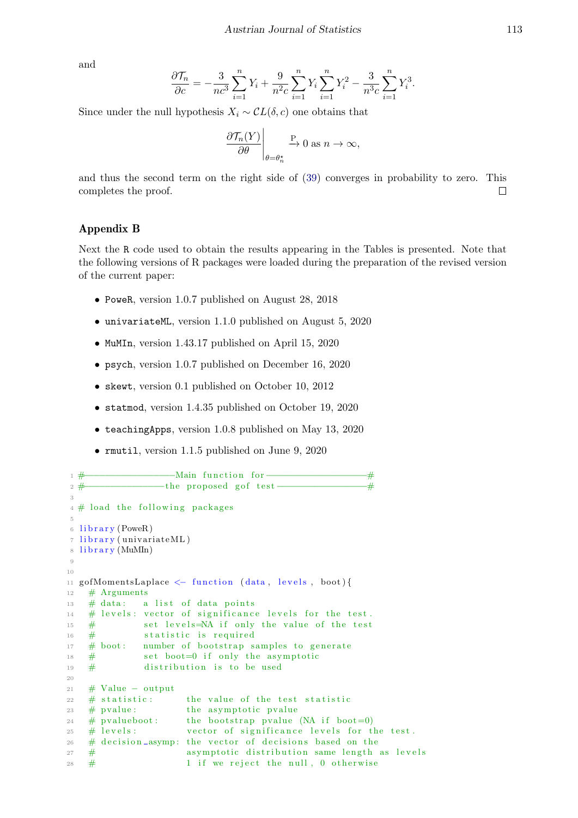and

$$
\frac{\partial \mathcal{T}_n}{\partial c} = -\frac{3}{nc^3} \sum_{i=1}^n Y_i + \frac{9}{n^2 c} \sum_{i=1}^n Y_i \sum_{i=1}^n Y_i^2 - \frac{3}{n^3 c} \sum_{i=1}^n Y_i^3.
$$

Since under the null hypothesis  $X_i \sim CL(\delta, c)$  one obtains that

$$
\left. \frac{\partial \mathcal{T}_n(Y)}{\partial \theta} \right|_{\theta = \theta_n^{\star}} \xrightarrow{P} 0 \text{ as } n \to \infty,
$$

and thus the second term on the right side of [\(39\)](#page-21-0) converges in probability to zero. This completes the proof.  $\Box$ 

### Appendix B

Next the R code used to obtain the results appearing in the Tables is presented. Note that the following versions of R packages were loaded during the preparation of the revised version of the current paper:

- PoweR, version 1.0.7 published on August 28, 2018
- univariateML, version 1.1.0 published on August 5, 2020
- MuMIn, version 1.43.17 published on April 15, 2020
- psych, version 1.0.7 published on December 16, 2020
- skewt, version 0.1 published on October 10, 2012
- statmod, version 1.4.35 published on October 19, 2020
- teachingApps, version 1.0.8 published on May 13, 2020
- rmutil, version 1.1.5 published on June 9, 2020

```
1 #−−−−−−−−−−−−−−−−−Main f u n c ti o n f o r−−−−−−−−−−−−−−−−−−−#
2 #−−−−−−−−−−−−−−−the p r op o sed g o f t e s t −−−−−−−−−−−−−−−−−#
3
4 \# load the following packages
5
6 library (PoweR)
7 library (univariateML)
8 library (MuMIn)
9
10
11 gofMomentsLaplace <- function (data, levels, boot){
12 \# Arguments
13 # data: a list of data points
14 # levels: vector of significance levels for the test.
\frac{4}{15} set levels=NA if only the value of the test
16 \# statistic is required
17 \# boot: number of bootstrap samples to generate
18 # set boot=0 if only the asymptotic
19 \# distribution is to be used
2021 # Value − output
22 # statistic: the value of the test statistic
23 \# pvalue: the asymptotic pvalue
24 # pvalueboot: the bootstrap pvalue (NA if boot=0)
25 \# levels: vector of significance levels for the test.
26 # decision_asymp: the vector of decisions based on the
27 # asymptotic distribution same length as levels
28 \# 1 if we reject the null, 0 otherwise
```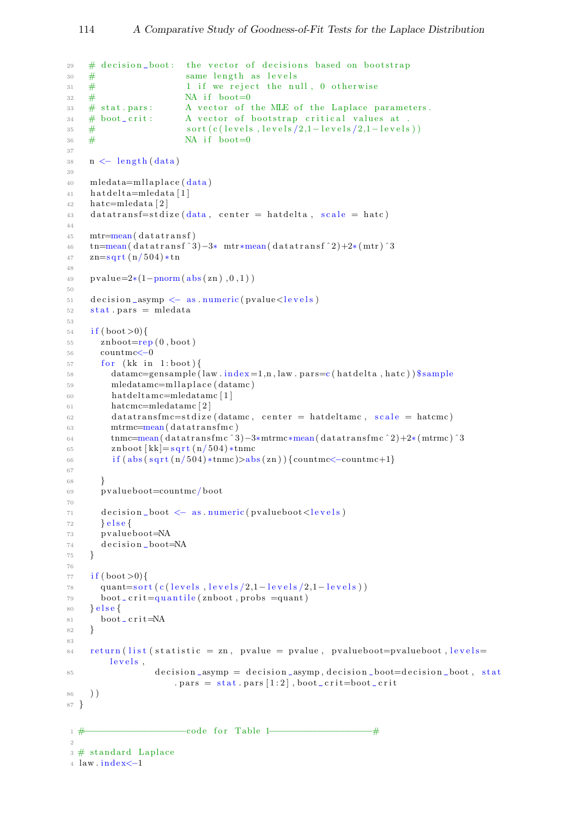```
\frac{1}{29} # decision_boot: the vector of decisions based on bootstrap
30 \# same length as levels
\frac{31}{2} # 1 if we reject the null, 0 otherwise
32 \neq NA if boot=0
\frac{33}{4} stat . pars: A vector of the MLE of the Laplace parameters.
\frac{1}{34} # boot_crit: A vector of bootstrap critical values at
\frac{\text{35}}{4} sort (c(levels, levels/2,1-levels/2,1-levels))
36 \# NA if boot=0
37
38 \quad n \leftarrow \text{length}(data)39
_{40} mledata=mllaplace (data)
41 hat delta=mledata [1]
42 hatc=mledata [2]
43 datatransf=stdize (data, center = hatdelta, scale = hatc)
44
45 mtr=mean(datatransf)
46 tn=mean( d a t a t r a n s f ˆ 3 )−3∗ mtr∗mean( d a t a t r a n s f ˆ 2 )+2∗ ( mtr ) ˆ3
47 z = \sqrt{\frac{r \cdot t}{n}}48
49 pvalue=2*(1-pnorm(abs(zn), 0, 1))50
51 decision_asymp <- as numeric (pvalue <levels)
52 stat. pars = mledata
53
54 \quad \text{if (boot > 0)}55 znboot=rep (0, boot)56 countmc < -057 for (kk in 1:boot){
_{58} datamc=gensample (law . index = 1,n, law . pars = c (h at delta, h at c)) \gamma sample
59 mledatamc=mllaplace (datamc)
60 h a tdel t amc=mledatamc [1]
61 hatcmc=mledatamc [ 2 ]
62 datatransfmc=stdize (datamc, center = hatdeltamc, scale = hatcmc)
63 mtrmc=mean(datatransfmc)
\text{t_4} \quad \text{t_1} \quad \text{t_2} \quad \text{t_3} \quad \text{t_4} \quad \text{t_5} \quad \text{t_6} \quad \text{t_7} \quad \text{t_8} \quad \text{t_9} \quad \text{t_9} \quad \text{t_9} \quad \text{t_1} \quad \text{t_8} \quad \text{t_9} \quad \text{t_9} \quad \text{t_9} \quad \text{t_9} \quad \text{t_9} \quad \text{t_9} \quad \text{t_9} \quad \text{t_9} \quad \text{t_9} \quad \text{t_9} \quad \text{t65 znboot [kk] = sqrt(n/504) *tmmc66 if (abs(sqrt(n/504)*tnmc)>abs(zn)) {countmc<-countmc+1}
67
68 }
69 pvalueboot=countmc/boot
70
71 decision_boot \leq as numeric (pvalueboot \leq levels)
72 } e \text{ls} e \left\{73 pvalueboot=NA
74 decision_boot=NA
75 }
76
77 if (boot >0){
78 quant=s ort ( c ( l e v e l s / 2,1 - l e v e l s / 2,1 - l e v e l s ) )
79 \text{ boot} \text{-} \text{crit} = \text{quantile} (\text{znboot}, \text{probs} = \text{quant})80 } e l s e {
81 boot_crit=NA
82 }
83
84 return (list (statistic = zn, pvalue = pvalue, pvalueboot=pvalueboot, levels=
          levels,
85 decision_asymp = decision_asymp, decision_boot=decision_boot, stat
                         . pars = stat. pars [1:2], boot_crit=boot_crit
86 ) )
87 }
1 #−−−−−−−−−−−−−−−−−−−code f o r Table 1−−−−−−−−−−−−−−−−−−−#
\overline{2}\beta \# standard Laplace
4 law.index \leq -1
```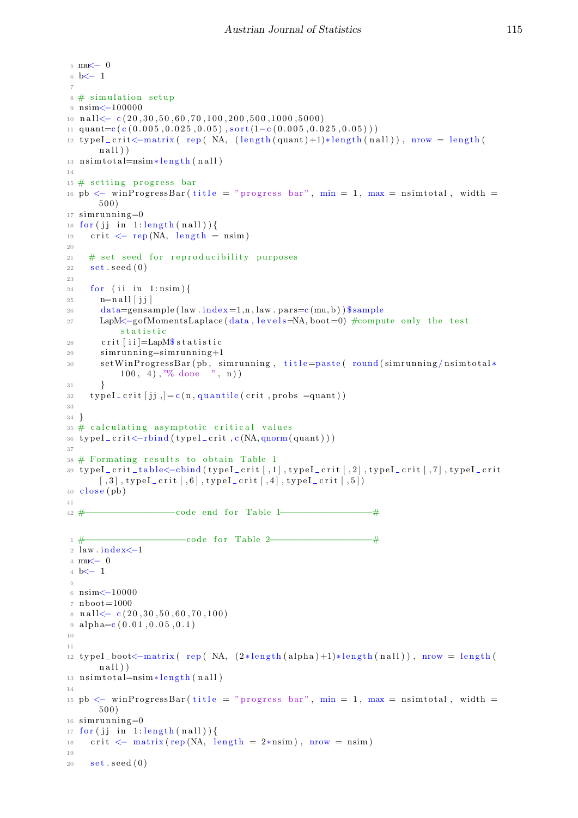```
5 mu\leq 0
6 b<− 1
 7
8 \# simulation setup
9 nsim<−100000
10 n a l l < − c (20, 30, 50, 60, 70, 100, 200, 500, 1000, 5000)
11 quant=c (c (0.005, 0.025, 0.05), sort (1-c (0.005, 0.025, 0.05)))
12 typeI_crit<-matrix (rep (NA, (length (quant)+1)*length (nall)), nrow = length (
       n all )13 n sim t o t al=nsim * length (nall)
14
15 \# setting progress bar
16 pb \leq winProgressBar(title = "progress bar", min = 1, max = nsimtotal, width =
       500)17 \sin running = 018 for (jj in 1: length (nall)) {
19 crit \langle -\text{rep}(NA, \text{ length} = \text{nsim}) \rangle2021 # set seed for reproducibility purposes
22 set . seed (0)23
24 for (ii in 1:nsim) {
25 \qquad \qquad \mathbf{n} = \mathbf{n} \, \mathbf{all} \, [\, \mathbf{j} \, \mathbf{j} \,]26 data=gensample (law.index = 1, n, law.parse(mu, b)) $ sample
27 LapM<−gofMomentsLaplace (data, levels=NA, boot=0) #compute only the test
            statistic
28 crit \int i i = LapM\ statistic
29 sim running =\sin running +130 set WinProgressBar (pb, simrunning, title=paste (round (simrunning/nsimtotal*
            100, 4), "% done", n))
31 }
\text{typeI\_crit} [jj, ]=c(n, \text{quantile}(\text{crit}, \text{probs} = \text{quant}))33
34 }
35 \# calculating asymptotic critical values
36 typeI_crit<-rbind(typeI_crit,c(NA,qnorm(quant)))
37
38 \# Formating results to obtain Table 1
39 typeI_crit_table<-cbind(typeI_crit[,1],typeI_crit[,2],typeI_crit[,7],typeI_crit
       [0,3], type I_crit [0,6], type I_crit [0,4], type I_crit [0,5]40 \text{ close} (\text{pb})41
42 #−−−−−−−−−−−−−−−−−code end f o r Table 1−−−−−−−−−−−−−−−−−#
1 #−−−−−−−−−−−−−−−−−−−code f o r Table 2−−−−−−−−−−−−−−−−−−−#
2 law.index \leq -13 mu<− 0
4 b<− 1
 5
6 nsim<−10000
7 \text{ n} hoot=1000
\{8 \text{ nall} < -\csc(20, 30, 50, 60, 70, 100)\}9 \text{ alpha} = c (0.01, 0.05, 0.1)10
11
12 typeI_boot \text{-}matrix (rep (NA, (2*length(alpha)+1)*length(nall)), nrow = length (
       nall))
13 n sim t o t al=nsim \ast length (nall)
14
15 pb \lt winProgressBar(title = "progress bar", min = 1, max = nsimtotal, width =
       50016 simrunning=0
17 for (jj in 1: length (nall)) {
18 crit \langle - \text{ matrix}(\text{rep}(NA, \text{ length } = 2*\text{nsim}), \text{ nrow } = \text{nsim})19
20 \quad \text{set}.\text{seed}(0)
```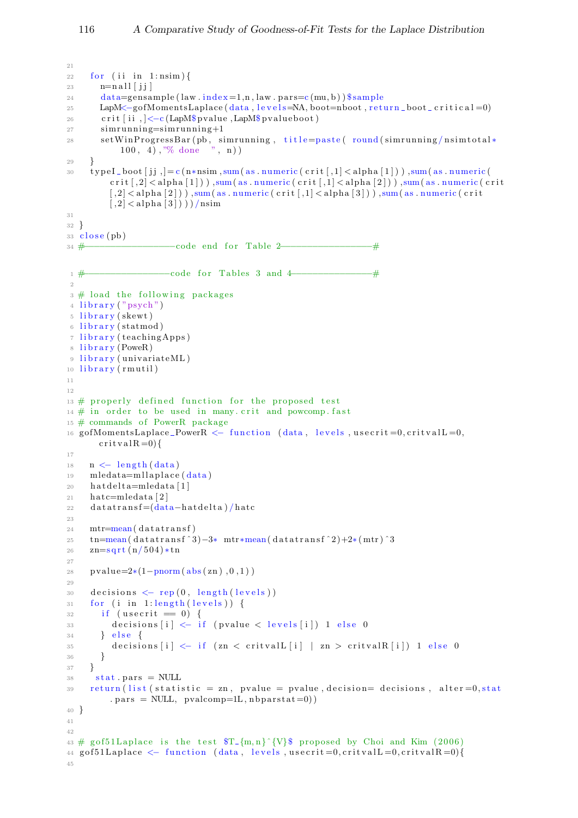```
21
22 for (ii in 1:nsim) {
23 n=nall [jj]24 data=gensample (law . index = 1,n, law . pars=c (mu, b)) $ sample
25 LapM<−gofMomentsLaplace (data, levels=NA, boot=nboot, return_boot_critical=0)
26 crit [ii , ]<−c (LapM$ pvalue , LapM$ pvalueboot)
27 sim running = sim running +1
28 setWinProgressBar(pb, simrunning, title=paste( round (simrunning/nsimtotal*
            100, 4, \sqrt[3]{6} done \sqrt[3]{n}, n))
29 }
30 type I_boot [j; ]=c(n\ast n\sin n,\text{sum} (as . numeric (crit [,1] <alpha[1])), sum (as . numeric (
          c r it \lfloor 2 \rfloor < alpha \lfloor 1 \rfloor), sum (as . numeric (crit \lfloor 1 \rfloor < alpha \lfloor 2 \rfloor)), sum (as . numeric (crit
          [0, 2] <alpha[2]) ), sum( as . numeric( crit[0, 1] <alpha[3]) ), sum( as . numeric( crit
          \lfloor 2 \rfloor < alpha\lfloor 3 \rfloor))/nsim
31
32 }
33 \text{ close} (\text{pb})34 #−−−−−−−−−−−−−−−−−code end f o r Table 2−−−−−−−−−−−−−−−−−#
1 #−−−−−−−−−−−−−−−−code f o r T able s 3 and 4−−−−−−−−−−−−−−−#
\overline{2}3 \# load the following packages
4 library ("psych")
5 library (skewt)
6 library (statmod)
7 library (teachingApps)
8 library (PoweR)
9 library (univariateML)
10 library (rmutil)
11
12
13 \# properly defined function for the proposed test
14 \# in order to be used in many crit and powcomp fast
15 \# commands of PowerR package
16 gofMomentsLaplace_PowerR <- function (data, levels, usecrit=0, critvalL=0,
       crit v al R = 0) {
17
18 \quad n \leftarrow \text{length}(data)19 mledata=mllaplace (data)
20 h at del t a=mledata [1]
21 hatc=mledata [2]
22 datatransf = (data-hat delta) / hatc
2<sup>2</sup>24 mtr=mean(datatransf)
25 tn=mean( d a t a t r an s f \hat{3}) -3* mtr*mean( d a t a t r an s f \hat{2}) +2* (mtr) \hat{3}26 z = \sqrt{504} \cdot \tan^{-1}27
28 pvalue=2*(1-pnorm(abs(zn), 0, 1))29930 decisions \leftarrow rep (0, \text{ length}(\text{levels}))31 for (i in 1: length (levels)) {
32 if (usecrit = 0) {
33 decisions [i] \leftarrow if (pvalue \leftarrow levels [i]) 1 else 0
34 } e \text{S} e \text{S}35 decisions [i] \leq -if (\text{zn} \leq \text{critvalL}[i] \mid \text{zn} > \text{critvalR}[i]) 1 else 0
36 }
37 }
38 stat. pars = NULL
39 return (list (statistic = zn, pvalue = pvalue, decision= decisions, alter=0, stat
          . pars = NULL, pvalcomp=1L, nbparstat = 0)
40 }
41
4243 # gof51Laplace is the test T_{m,n}^{\infty} (V) proposed by Choi and Kim (2006)
44 gof51Laplace \langle function (data, levels, usecrit=0, critvalL=0, critvalR=0){
45
```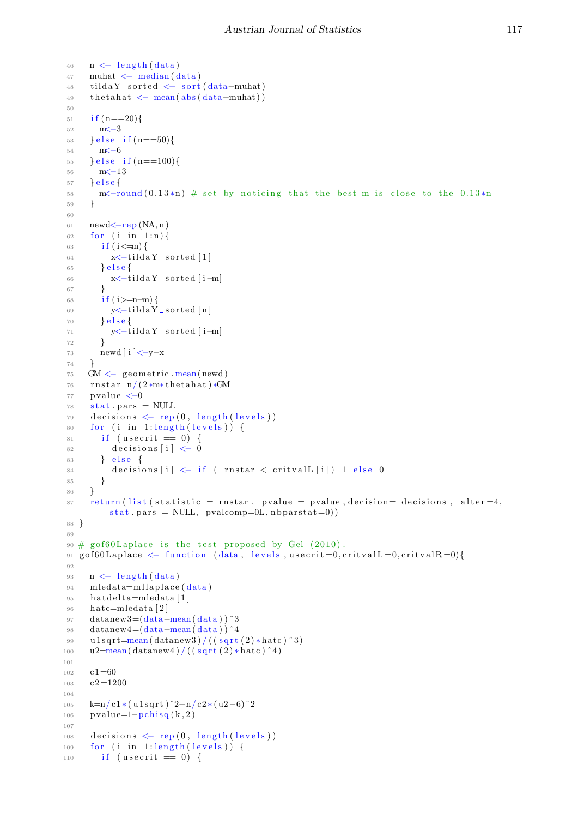```
46 n \leftarrow \text{length}(data)47 muhat \leq median (data)
48 tildaY_sorted <− sort (data-muhat)
49 th etahat \leftarrow mean(abs(data-muhat))
50
51 if (n == 20)52 m < -353 } else if (n==50){
54 \qquad \qquad m \leq -655 } e l s e if (n == 100) {
56 m\leftarrow 1357 } e \text{ls} e {
58 m\lt-round (0.13*n) # set by noticing that the best m is close to the 0.13 *n
59 }
60
61 newd \leftarrow rep(NA, n)62 for (i \text{ in } 1:n)63 if (i < m) {
64 \quad x \leq -\text{tildaY} - \text{sorted} [1]65 } e l s e {
66 x<-tildaY_sorted [i-m]
67 }
68 if (i>=n-m) {
69 y \le -\text{tilda} Y _sorted [n]
70 \qquad \text{else}\gamma<sup>71</sup> y \le -tildaY _sorted [ i+m]
72 }
73 newd [ i ]<−y−x
74 }
75 GM \leftarrow geometric mean(newd)
\tau<sup>6</sup> rnstar=n/(2*m*thetahat)*GM
77 pvalue <-078 stat. pars = NULL
79 decisions \leftarrow rep (0, \text{ length}(\text{levels}))80 for (i in 1: length (levels)) {
81 if (usecrit = 0) {
82 \quad \text{decisions} \quad [i] \leq 083 } e l s e {
84 decisions [i] \leftarrow if ( rnstar \leftarrow critvalL [i]) 1 else 0
85 }
86 }
87 return (list (statistic = rnstar, pvalue = pvalue, decision= decisions, alter=4,
          stat. pars = NULL, pvalcomp=0L, nbparstat=0)88 }
89
90 # g of 60 Laplace is the test proposed by Gel (2010).
91 g o f 60 L a place \langle - function (data, levels, usecrit = 0, critval L = 0, critval R = 0) {
\alpha93 n \leftarrow \text{length}(\text{data})94 mledata=mllaplace (data)
95 hatdelta=mledata [1]
96 hatc=mledata [2]97 datanew3=(data−mean( data ) ) ˆ3
98 datanew4=(data−mean( data ) ) ˆ4
99 u 1sqrt=mean(datanew3)/((sqrt(2)*hatc)^3)
100 u2=mean(datanew4)/((sqrt(2)*hatc)^4)101
102 c1=60
103 \quad c2 = 1200104
105 k=n/c1 ∗ ( u 1 s q r t ) 2+n/c2 * ( u 2-6) ^2106 pvalue=1-pchisq(k,2)
107
108 decisions \leftarrow \text{rep}(0, \text{ length}(\text{levels}))109 for (i in 1: length (levels)) {
110 if (usecrit = 0) {
```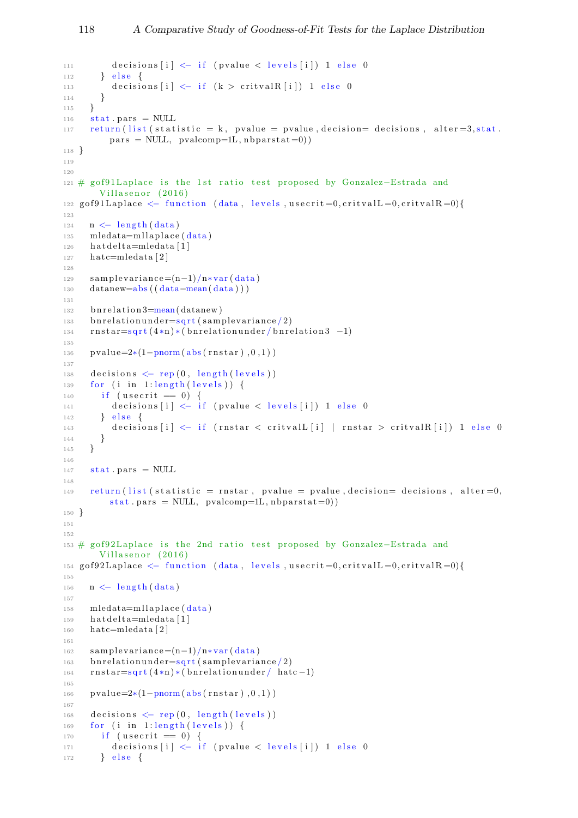```
111 decisions [i] \leftarrow if (pvalue \leftarrow levels [i]) 1 else 0
112 } else {
113 decisions [i] \leftarrow if (k > critvalR[i]) 1 else 0114 }
115 }
_{116} stat. pars = NULL
117 return (list (statistic = k, pvalue = pvalue, decision= decisions, alter=3, stat.
          \texttt{pars = NULL}, \ \ \texttt{pvalcomp=1L}, \ \texttt{nbparstat=0)})118 }
119
120
121 # gof91Laplace is the 1st ratio test proposed by Gonzalez–Estrada and
        Villasenor (2016)
122 g o f 9 1 L a place \langle - function (data, levels, usecrit = 0, critval L = 0, critval R = 0) {
123
124 \quad n \leftarrow \text{length}(data)125 mledata=mllaplace (data)
_{126} hat delta=mledata [1]
_{127} hatc=mledata [2]
128
129 samplevariance=(n-1)/n*var (data)
130 datanew=abs ((data-mean(data))131
132 b n r elation 3=mean(datanew)
133 b n r elation under =\sqrt{\arctan(2)}r_{134} rnstar=sqrt(4*n)*(b)relationunder/bnrelation 3 -1)
135
136 pvalue=2*(1-pnorm(abs(rnstar), 0, 1))137
138 decisions \leftarrow \text{rep}(0, \text{ length}(\text{levels}))139 for (i in 1:length (levels)) {
140 if (usecrit = 0) {
141 decisions [i] \leftarrow if (pvalue \leftarrow levels [i]) 1 else 0
142 } else {
143 decisions [i] \leftarrow if (rnstar \leftarrow critvalL[i] | rnstar \leftarrow critvalR[i]) 1 else 0
144 }
145 }
146
_{147} stat. pars = NULL
148
149 return (list (statistic = rnstar, pvalue = pvalue, decision= decisions, alter=0,
          stat. pars = NULL, pvalcomp=1L, nbparstat=0)150 }
151
152
153 # gof92Laplace is the 2nd ratio test proposed by Gonzalez–Estrada and
        Villasenor (2016)
154 g of 92L a place \leq function (data, levels, usecrit = 0, critval L = 0, critval R = 0) {
155
_{156} n \leftarrow length (data)
157
158 mledata=mllaplace (data)_{159} hat delta=mledata [1]
_{160} hatc=mledata [2]
161
_{162} sample variance = (n-1)/n*var (data)
163 b n r elation under =\sqrt{\arctan(2)}164 rnstar=sqrt(4*n)*(bnrelationunder/hatc-1)165
166 pvalue=2*(1-pnorm(abs(rnstar), 0, 1))167
168 decisions \leftarrow rep (0, \text{ length}(\text{levels}))169 for (i in 1: length (levels)) {
170 if (usecrit = 0) {
171 decisions [i] \leftarrow if (pvalue < levels[i]) 1 else 0172 } e l s e {
```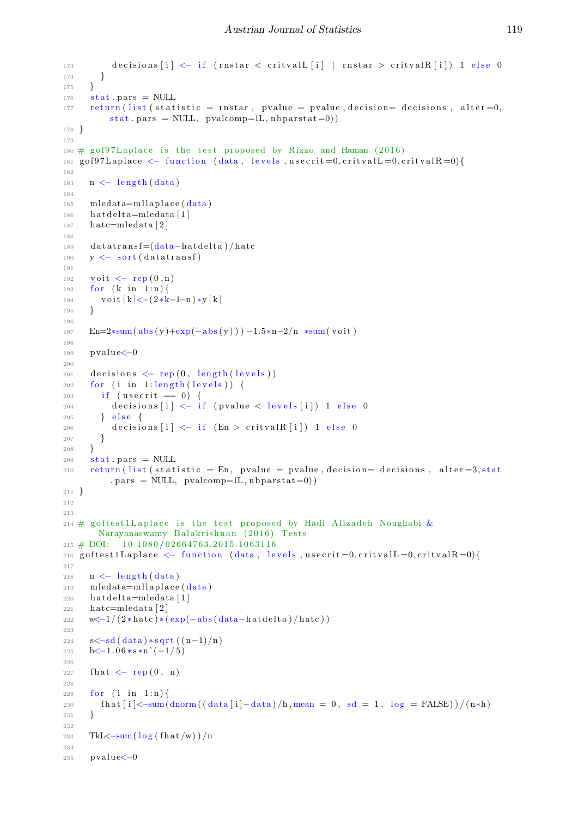```
173 decisions [i] \leftarrow if (rnstar \leftarrow critval [i] | rnstar \leftarrow critval R[i]) 1 else 0
174 }
175 }
176 stat. pars = NULL
177 return (list (statistic = rnstar, pvalue = pvalue, decision= decisions, alter=0,
            stat. pars = NULL, pvalcomp=1L, nbparstat=0)178 }
179
180 \# gof97Laplace is the test proposed by Rizzo and Haman (2016)
181 g o f 97 L a place \langle function (data, levels, usecrit = 0, critval L = 0, critval R = 0) {
182
183 \quad n \leftarrow \text{length}(data)184
185 mledata=mllaplace (data)186 hat delta=mledata [1]
_{187} hatc=mledata [2]
188
_{189} datatransf=(data-hatdelta)/hatc
190 y \leftarrow sort (datatransf)
191
192 voit \leftarrow rep (0, n)193 for (k \in \{1:n\}194 voit k \leq -(2 * k - 1 - n) * y k195 }
196
197 En=2*sum(abs(y)+exp(-abs(y))) –1.5*n-2/n *sum(voit)
198
199 pvalue<−0
200
201 decisions \leftarrow \text{rep}(0, \text{ length}(\text{levels}))202 for (i in 1: length (levels)) {
203 if (usecrit = 0) {
204 decisions [i] \leq if (pvalue \leq levels [i]) 1 else 0
205 } else {
206 decisions [i] \leftarrow if (En > critvalR[i]) 1 else 0
207 }
208 }
209 stat. pars = NULL
210 return (list (statistic = En, pvalue = pvalue, decision= decisions, alter=3, stat
             . pars = NULL, pvalcomp=1L, nbparstat=0))
211 }
212
213
214 # goftest1Laplace is the test proposed by Hadi Alizadeh Noughabi &
         Narayanaswamy Balakrishnan (2016) Tests
215 \text{ } \# \text{ } DOI: \text{ } 10.1080 / 02664763.2015.1063116216 g of t est 1 L a place \langle - function (data, levels, usecrit = 0, critval L = 0, critval R = 0) {
217
218 n \leftarrow length (data)
219 mledata=mllaplace (data)220 hat delta=mledata [1]
221 hatc=mledata [2]
222 w \left(\frac{-1}{2 * \hat{h} \cdot \hat{c}}\right) * \left(\frac{\hat{e} \cdot \hat{b}}{\hat{c}}\right) \cdot \left(\frac{\hat{a} \cdot \hat{a}}{\hat{c}}\right) - \hat{b} \cdot \hat{d} \cdot \hat{d} \cdot \hat{d} \cdot \hat{d} \cdot \hat{d} \cdot \hat{d} \cdot \hat{d} \cdot \hat{d} \cdot \hat{d} \cdot \hat{d} \cdot \hat{d} \cdot \hat{d} \cdot \hat{d} \cdot \hat{d} \cdot \hat{d} \cdot \hat{d} \cdot \hat{d} \cdot \hat{d} \cdot \hat{d}223
224 s\lt - sd(data) * sqrt((n-1)/n)225 h\lt-1.06 * s * n<sup>^</sup> (-1/5)
226
227 fhat <- rep (0, n)228229 for (i \text{ in } 1:n)230 fhat \left[ i \right] < -\text{sum} \left( \frac{\text{d} x}{\text{d} x} \right) - \text{d} x , \left[ i \right] - \text{d} x , \left[ h, \text{mean} = 0, \text{sd} = 1, \text{log} = \text{FALSE} \right) / \left( n * h \right)231 }
232
233 TkL\lt-sum(\log(\text{flat/w}))/n
234
235 pvalue<−0
```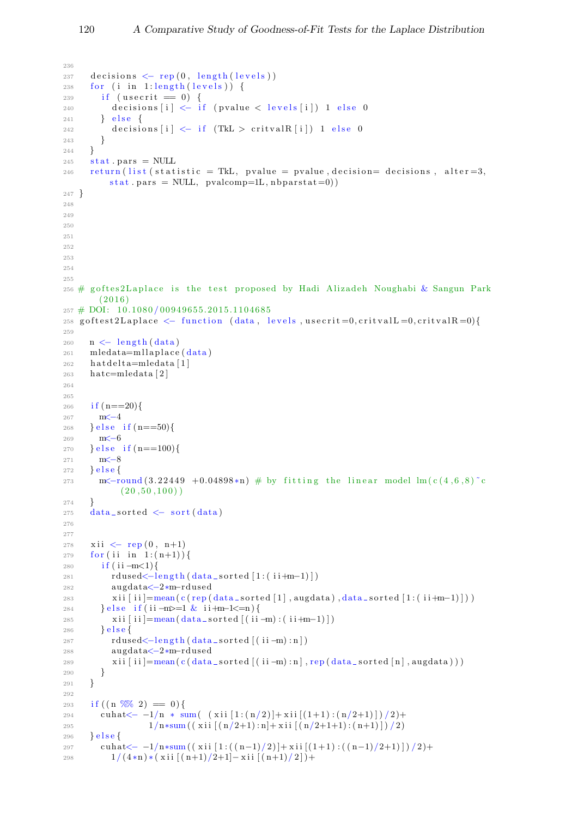```
236
237 decisions \leftarrow \text{rep}(0, \text{ length}(levels))238 for (i in 1:length (levels)) {
239 if (usecrit = 0) {
240 decisions [i] \leftarrow if (pvalue < levels[i]) 1 else 0241 } e l s e {
242 decisions [i] \leftarrow if (TkL > critvalR [i]) 1 else 0
243 }
244 }
245 stat.pars = NULL
246 return (list (statistic = TkL, pvalue = pvalue, decision= decisions, alter=3,
          stat. pars = NULL, pvalcomp=1L, nbparstat=0)247 }
248
249
250
251
252
253
254
255
256 # goftes2Laplace is the test proposed by Hadi Alizadeh Noughabi & Sangun Park
        (2016)257 # DOI: 10.1080/00949655.2015.1104685
258 g of test 2L a place \langle - function (data, levels, usecrit=0, critvalL =0, critvalR =0){
259
260 \quad n \leftarrow \text{length} (\text{data})261 mledata=mllaplace (data)
262 hat delta=mledata [1]
263 hatc=mledata [2]
264
265
266 if (n == 20)267 m <del>≤</del>−4
268 } else if (n == 50){
269 m<−6
270 } e l s e i f (n == 100) {
271 m <del><</del>8
272 } else273 m\lt-round (3.22449 +0.04898*n) # by fitting the linear model \ln(c/4, 6, 8)^{\circ}c(20, 50, 100)274 }
275 data_sorted \leq sort (data)
276
277
278 xii \leftarrow rep (0, n+1)279 for (ii in 1:(n+1))}
280 if (i i -m < 1){
281 rdused<-length (data_sorted [1:( ii+m-1)])
282 augdata<−2∗m−rdu sed
283 xii [ii]=mean(c(rep(data_sorted [1], augdata), data_sorted [1:(i+jm-1)])
284 } else if (ii -m>=1 & ii +m-1 <= n) {
285 xii[i] = mean(data\_sorted[(ii-m):(ii+m-1)])286 \} e l s e {
287 rdu sed < −length (data _ sorted [(ii -m) : n ])
288 augdata<−2∗m−rdu sed
289 xii [ii]=mean(c(data_sorted [(ii-m):n],rep(data_sorted [n],augdata)))
290 }
291 }
292
293 if ((n \frac{8\%}{2}) = 0)294 cuhat \left\langle -1/n * \operatorname{sum} \left( \left( \operatorname{xii} [1:(n/2)] + \operatorname{xii} [(1+1):(n/2+1)] \right) / 2 \right) +295 1/n*sum (( xii [(n/2+1):n]+xii [(n/2+1+1):(n+1)] )/2 )296 } else {297 cuhat \left(-\frac{-1}{n\cdot\sin\left(\frac{x^2}{1-(n-1)/2}\right)}+\frac{x^2}{1-(n-1)/2+1)}\right)/2298 1/(4*n)*(xii[(n+1)/2+1]-xii[(n+1)/2])+
```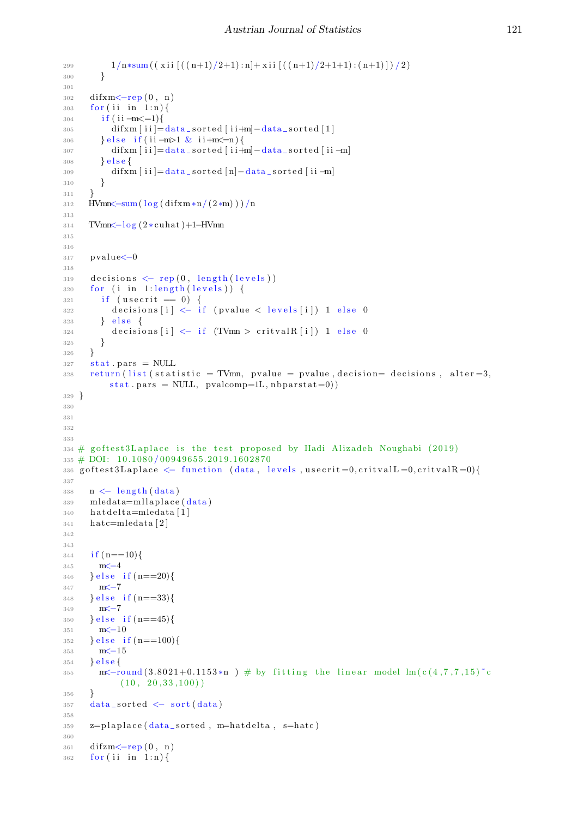```
299 1/n \cdot \text{sum} (( \text{ xii} [(n+1)/2+1):n] + \text{ xii} [(n+1)/2+1+1):(n+1)] )/2)300 }
301
302 difxm<-rep (0, n)303 for (ii in 1:n) {
304 if (i i -m \leq 1){
305 difxm [i] = data\_sorted [i + m] - data\_sorted [1]306 } else if (ii -m>1 & ii+m<=n) {
307 difxm [ i i ]=data_sorted [ i i +m] -data_sorted [ i i -m]
308 } e l s e {
309 difxm [ i i ]=data_sorted [n]-data_sorted [ i i -m]
310 }
311 }
312 HVmn\leq-sum(\log(\text{diff}\,x\,\text{m}+(2\,\text{km})))/n313
314 TVmn<-log(2 ∗ cuhat)+1–HVmn
315
316
317 pvalue<−0
318
319 decisions \leftarrow rep (0, \text{ length}(\text{levels}))320 for (i in 1: length (levels)) {
321 if (usecrit = 0) {
322 decisions [i] \leftarrow if (pvalue \leftarrow levels [i]) 1 else 0
323 } else {
324 decisions [i] <- if (TVmn > critvalR [i]) 1 else 0
325 }
326 }
327 stat.pars = NULL
328 return (list (statistic = TVmn, pvalue = pvalue, decision= decisions, alter=3,
          stat. pars = NULL, pvalcomp=1L, nbparstat=0)329 }
330
331
332
333
334 \# g of test 3L aplace is the test proposed by Hadi Alizadeh Noughabi (2019)
335 # DOI: 10.1080/00949655.2019.1602870
336 g of t est 3 L a place \langle - function (data, levels, usecrit = 0, critval L = 0, critval R = 0) {
337
338 \quad n \leftarrow \text{length}(data)339 mledata=mllaplace (data)340 h at delta=mledata [1]
_{341} hatc=mledata [2]
342
343
344 if (n == 10)345 m<−4
346 } e l s e i f (n==20){
347 m <del><</del>−7
348 } else if (n == 33){
349 m<−7
350 } else if (n == 45){
351 m<−10
352 } e l s e i f ( n = = 100) {
353 m <del><</del>−15
354 \quad \text{else}355 m\lt-round (3.8021+0.1153*n) # by fitting the linear model lm(c(4,7,7,15)^{c}c(10, 20, 33, 100)356 }
357 data_sorted \leq sort (data)
358
359 \text{ z}=plaplace(\text{data\_sorted}, \text{m}=hatedelta, \text{ s}=hate)360
361 difzm <- rep (0, n)362 for (ii in 1:n) {
```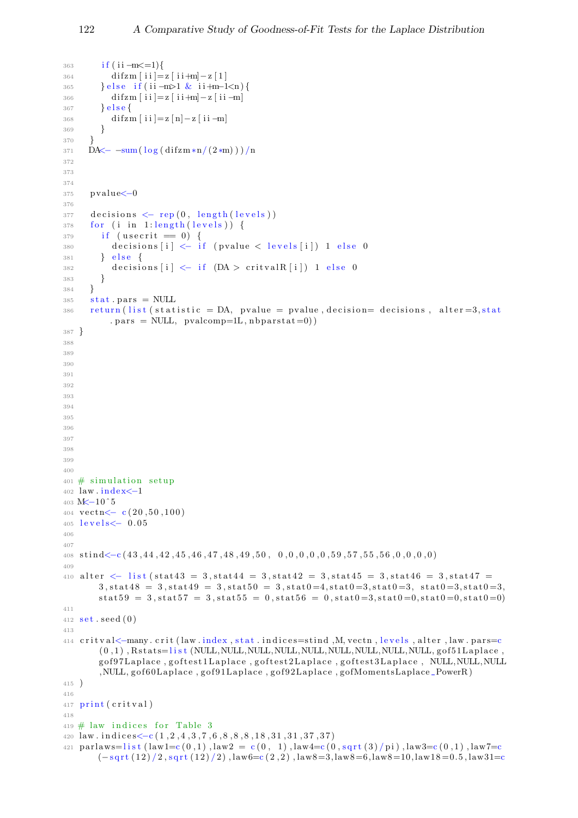```
363 if (i i - m \leq 1){
364 difzm [i] = z[i] + m - z[1]365 } else if (ii -m>1 & ii +m-1<n) {
366 di fzm [ i i ]= z [ i i +m] - z [ i i -m]
367 } e l s e {
368 di fzm [ i i ]= z [ n ] - z [ i i - m ]
369 }
370 }
371 DA\leftarrow -sum(\log(\text{difzm} * n/(2*m)))/n372
373
374
375 pv alue<−0
376
377 decisions \leftarrow \text{rep}(0, \text{ length}(\text{levels}))378 for (i in 1: length (levels)) {
379 if (usecrit = 0) {
380 decisions [i] \leftarrow if (pvalue < levels[i]) 1 else 0381 } e se {
382 decisions [i] \leftarrow if (DA > \text{critvalR} [i]) 1 else 0
383 }
384 }
385 stat. pars = NULL
386 return (list (statistic = DA, pvalue = pvalue, decision= decisions, alter=3, stat
           . pars = NULL, pvalcomp=1L, nbparstat=0))
387 }
388
389
390
391
392
393
394
395
396
397
398
399
400
401 \# simulation setup
402 law . index \leq -1403 M<-10<sup>^5</sup>
404 vectn\leftarrow c(20,50,100)
405 levels<− 0.05
406
407
408 stind<-c(43,44,42,45,46,47,48,49,50,0,0,0,0,0,59,57,55,56,0,0,0,0)
409410 alter \langle list (stat43 = 3, stat44 = 3, stat42 = 3, stat45 = 3, stat46 = 3, stat47 =
        3, \texttt{stat48 = 3}, \texttt{stat49 = 3}, \texttt{stat50 = 3}, \texttt{stat0 = 4}, \texttt{stat0 = 3}, \texttt{stat0 = 3}, \texttt{stat0 = 3}, \texttt{stat0 = 3},stat59 = 3, stat57 = 3, stat55 = 0, stat56 = 0, stat0=3, stat0=0,stat0=0,stat0=0)411
412 \text{ set}. seed (0)413
414 critval<-many.crit (law.index, stat.indices=stind, M, vectn, levels, alter, law.pars=c
        ( 0 , 1 ) , R s t a t s=l i s t (NULL,NULL,NULL,NULL,NULL,NULL,NULL,NULL,NULL, g o f 5 1L apl ace ,
        gof97Laplace, goftest1Laplace, goftest2Laplace, goftest3Laplace, NULL,NULL,NULL
        ,NULL, gof60Laplace, gof91Laplace, gof92Laplace, gofMomentsLaplace_PowerR)
415 )
416
417 print (critval)
418
419 \# law indices for Table 3
420 law.indices <-c (1, 2, 4, 3, 7, 6, 8, 8, 8, 18, 31, 31, 37, 37)421 parlaws=list (law1=c(0,1), law2=c(0, 1), law4=c(0, sqrt(3)/pi), law3=c(0,1), law7=c(-sqrt(12)/2,sqrt(12)/2),law6=c(2,2),law8=3,law8=6,law8=10,law18=0.5,law31=c
```